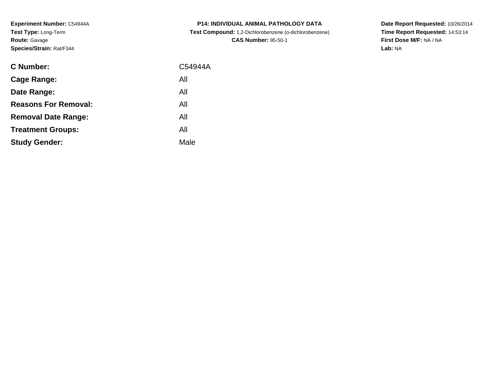**Experiment Number:** C54944A**Test Type:** Long-Term**Route:** Gavage**Species/Strain:** Rat/F344

| C Number:                   | C54944A |
|-----------------------------|---------|
| <b>Cage Range:</b>          | All     |
| Date Range:                 | All     |
| <b>Reasons For Removal:</b> | All     |
| <b>Removal Date Range:</b>  | All     |
| <b>Treatment Groups:</b>    | All     |
| <b>Study Gender:</b>        | Male    |
|                             |         |

**P14: INDIVIDUAL ANIMAL PATHOLOGY DATA Test Compound:** 1,2-Dichlorobenzene (o-dichlorobenzene)**CAS Number:** 95-50-1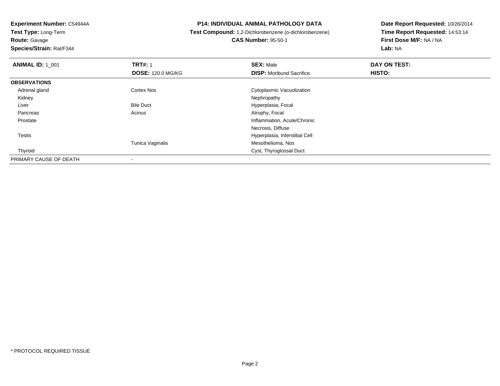**Route:** Gavage

**Species/Strain:** Rat/F344

#### **P14: INDIVIDUAL ANIMAL PATHOLOGY DATA**

**Test Compound:** 1,2-Dichlorobenzene (o-dichlorobenzene)

**CAS Number:** 95-50-1

| <b>ANIMAL ID: 1 001</b> | <b>TRT#: 1</b>           | <b>SEX: Male</b>                | DAY ON TEST: |  |
|-------------------------|--------------------------|---------------------------------|--------------|--|
|                         | <b>DOSE: 120.0 MG/KG</b> | <b>DISP:</b> Moribund Sacrifice | HISTO:       |  |
| <b>OBSERVATIONS</b>     |                          |                                 |              |  |
| Adrenal gland           | <b>Cortex Nos</b>        | Cytoplasmic Vacuolization       |              |  |
| Kidney                  |                          | Nephropathy                     |              |  |
| Liver                   | <b>Bile Duct</b>         | Hyperplasia, Focal              |              |  |
| Pancreas                | Acinus                   | Atrophy, Focal                  |              |  |
| Prostate                |                          | Inflammation, Acute/Chronic     |              |  |
|                         |                          | Necrosis, Diffuse               |              |  |
| Testis                  |                          | Hyperplasia, Interstitial Cell  |              |  |
|                         | Tunica Vaginalis         | Mesothelioma, Nos               |              |  |
| Thyroid                 |                          | Cyst, Thyroglossal Duct         |              |  |
| PRIMARY CAUSE OF DEATH  |                          |                                 |              |  |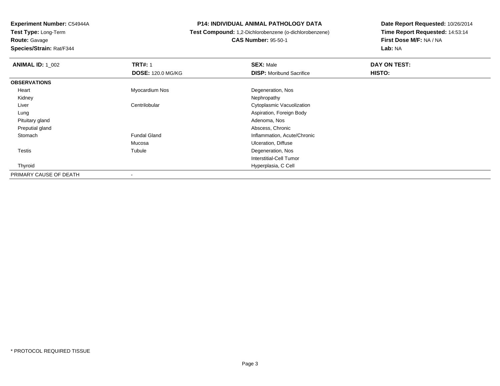**Route:** Gavage

**Species/Strain:** Rat/F344

#### **P14: INDIVIDUAL ANIMAL PATHOLOGY DATA**

# **Test Compound:** 1,2-Dichlorobenzene (o-dichlorobenzene) **CAS Number:** 95-50-1

| <b>ANIMAL ID: 1_002</b> | <b>TRT#: 1</b>           | <b>SEX: Male</b>                | DAY ON TEST: |  |
|-------------------------|--------------------------|---------------------------------|--------------|--|
|                         | <b>DOSE: 120.0 MG/KG</b> | <b>DISP:</b> Moribund Sacrifice | HISTO:       |  |
| <b>OBSERVATIONS</b>     |                          |                                 |              |  |
| Heart                   | Myocardium Nos           | Degeneration, Nos               |              |  |
| Kidney                  |                          | Nephropathy                     |              |  |
| Liver                   | Centrilobular            | Cytoplasmic Vacuolization       |              |  |
| Lung                    |                          | Aspiration, Foreign Body        |              |  |
| Pituitary gland         |                          | Adenoma, Nos                    |              |  |
| Preputial gland         |                          | Abscess, Chronic                |              |  |
| Stomach                 | <b>Fundal Gland</b>      | Inflammation, Acute/Chronic     |              |  |
|                         | Mucosa                   | <b>Ulceration, Diffuse</b>      |              |  |
| Testis                  | Tubule                   | Degeneration, Nos               |              |  |
|                         |                          | Interstitial-Cell Tumor         |              |  |
| Thyroid                 |                          | Hyperplasia, C Cell             |              |  |
| PRIMARY CAUSE OF DEATH  |                          |                                 |              |  |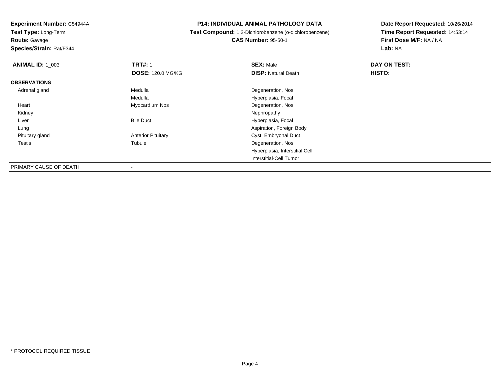**Route:** Gavage

**Species/Strain:** Rat/F344

#### **P14: INDIVIDUAL ANIMAL PATHOLOGY DATA**

# **Test Compound:** 1,2-Dichlorobenzene (o-dichlorobenzene)**CAS Number:** 95-50-1

| <b>ANIMAL ID: 1 003</b> | <b>TRT#: 1</b>            | <b>SEX: Male</b>               | DAY ON TEST: |  |
|-------------------------|---------------------------|--------------------------------|--------------|--|
|                         | <b>DOSE: 120.0 MG/KG</b>  | <b>DISP: Natural Death</b>     | HISTO:       |  |
| <b>OBSERVATIONS</b>     |                           |                                |              |  |
| Adrenal gland           | Medulla                   | Degeneration, Nos              |              |  |
|                         | Medulla                   | Hyperplasia, Focal             |              |  |
| Heart                   | Myocardium Nos            | Degeneration, Nos              |              |  |
| Kidney                  |                           | Nephropathy                    |              |  |
| Liver                   | <b>Bile Duct</b>          | Hyperplasia, Focal             |              |  |
| Lung                    |                           | Aspiration, Foreign Body       |              |  |
| Pituitary gland         | <b>Anterior Pituitary</b> | Cyst, Embryonal Duct           |              |  |
| <b>Testis</b>           | Tubule                    | Degeneration, Nos              |              |  |
|                         |                           | Hyperplasia, Interstitial Cell |              |  |
|                         |                           | Interstitial-Cell Tumor        |              |  |
| PRIMARY CAUSE OF DEATH  | ۰                         |                                |              |  |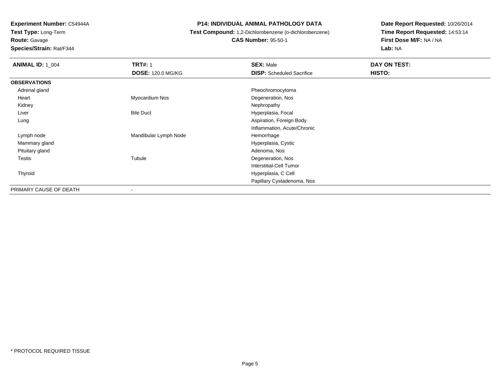**Route:** Gavage

**Species/Strain:** Rat/F344

#### **P14: INDIVIDUAL ANIMAL PATHOLOGY DATA**

# **Test Compound:** 1,2-Dichlorobenzene (o-dichlorobenzene)

**CAS Number:** 95-50-1

| <b>ANIMAL ID: 1_004</b> | <b>TRT#: 1</b>           | <b>SEX: Male</b>                 | DAY ON TEST:  |
|-------------------------|--------------------------|----------------------------------|---------------|
|                         | <b>DOSE: 120.0 MG/KG</b> | <b>DISP:</b> Scheduled Sacrifice | <b>HISTO:</b> |
| <b>OBSERVATIONS</b>     |                          |                                  |               |
| Adrenal gland           |                          | Pheochromocytoma                 |               |
| Heart                   | Myocardium Nos           | Degeneration, Nos                |               |
| Kidney                  |                          | Nephropathy                      |               |
| Liver                   | <b>Bile Duct</b>         | Hyperplasia, Focal               |               |
| Lung                    |                          | Aspiration, Foreign Body         |               |
|                         |                          | Inflammation, Acute/Chronic      |               |
| Lymph node              | Mandibular Lymph Node    | Hemorrhage                       |               |
| Mammary gland           |                          | Hyperplasia, Cystic              |               |
| Pituitary gland         |                          | Adenoma, Nos                     |               |
| Testis                  | Tubule                   | Degeneration, Nos                |               |
|                         |                          | <b>Interstitial-Cell Tumor</b>   |               |
| Thyroid                 |                          | Hyperplasia, C Cell              |               |
|                         |                          | Papillary Cystadenoma, Nos       |               |
| PRIMARY CAUSE OF DEATH  |                          |                                  |               |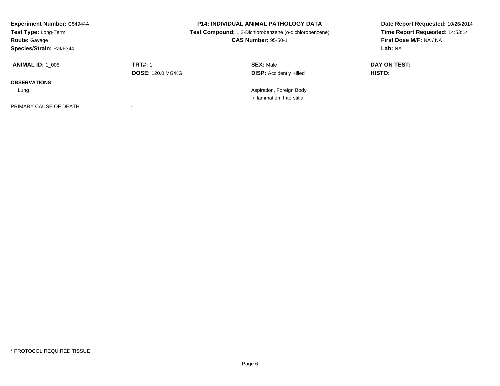| <b>Experiment Number: C54944A</b><br>Test Type: Long-Term<br><b>Route: Gavage</b><br>Species/Strain: Rat/F344 | <b>P14: INDIVIDUAL ANIMAL PATHOLOGY DATA</b><br>Test Compound: 1,2-Dichlorobenzene (o-dichlorobenzene)<br><b>CAS Number: 95-50-1</b> |                                                    | Date Report Requested: 10/26/2014<br>Time Report Requested: 14:53:14<br>First Dose M/F: NA / NA<br>Lab: NA |
|---------------------------------------------------------------------------------------------------------------|--------------------------------------------------------------------------------------------------------------------------------------|----------------------------------------------------|------------------------------------------------------------------------------------------------------------|
| <b>ANIMAL ID:</b> 1 005                                                                                       | <b>TRT#: 1</b><br><b>DOSE: 120.0 MG/KG</b>                                                                                           | <b>SEX: Male</b><br><b>DISP:</b> Accidently Killed | DAY ON TEST:<br>HISTO:                                                                                     |
| <b>OBSERVATIONS</b>                                                                                           |                                                                                                                                      |                                                    |                                                                                                            |
| Lung                                                                                                          |                                                                                                                                      | Aspiration, Foreign Body                           |                                                                                                            |
|                                                                                                               |                                                                                                                                      | Inflammation, Interstitial                         |                                                                                                            |
| PRIMARY CAUSE OF DEATH                                                                                        |                                                                                                                                      |                                                    |                                                                                                            |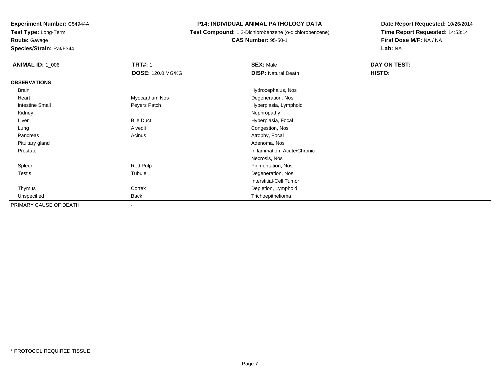**Route:** Gavage

**Species/Strain:** Rat/F344

#### **P14: INDIVIDUAL ANIMAL PATHOLOGY DATA**

 **Test Compound:** 1,2-Dichlorobenzene (o-dichlorobenzene)**CAS Number:** 95-50-1

| <b>ANIMAL ID: 1_006</b> | <b>TRT#: 1</b>           | <b>SEX: Male</b>            | DAY ON TEST: |  |
|-------------------------|--------------------------|-----------------------------|--------------|--|
|                         | <b>DOSE: 120.0 MG/KG</b> | <b>DISP: Natural Death</b>  | HISTO:       |  |
| <b>OBSERVATIONS</b>     |                          |                             |              |  |
| Brain                   |                          | Hydrocephalus, Nos          |              |  |
| Heart                   | Myocardium Nos           | Degeneration, Nos           |              |  |
| <b>Intestine Small</b>  | Peyers Patch             | Hyperplasia, Lymphoid       |              |  |
| Kidney                  |                          | Nephropathy                 |              |  |
| Liver                   | <b>Bile Duct</b>         | Hyperplasia, Focal          |              |  |
| Lung                    | Alveoli                  | Congestion, Nos             |              |  |
| Pancreas                | Acinus                   | Atrophy, Focal              |              |  |
| Pituitary gland         |                          | Adenoma, Nos                |              |  |
| Prostate                |                          | Inflammation, Acute/Chronic |              |  |
|                         |                          | Necrosis, Nos               |              |  |
| Spleen                  | Red Pulp                 | Pigmentation, Nos           |              |  |
| <b>Testis</b>           | Tubule                   | Degeneration, Nos           |              |  |
|                         |                          | Interstitial-Cell Tumor     |              |  |
| Thymus                  | Cortex                   | Depletion, Lymphoid         |              |  |
| Unspecified             | <b>Back</b>              | Trichoepithelioma           |              |  |
| PRIMARY CAUSE OF DEATH  | $\blacksquare$           |                             |              |  |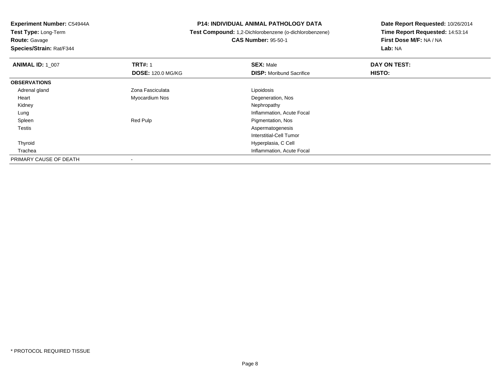**Test Type:** Long-Term**Route:** Gavage

**Species/Strain:** Rat/F344

#### **P14: INDIVIDUAL ANIMAL PATHOLOGY DATA**

 **Test Compound:** 1,2-Dichlorobenzene (o-dichlorobenzene)**CAS Number:** 95-50-1

| <b>ANIMAL ID: 1_007</b> | <b>TRT#: 1</b>           | <b>SEX: Male</b>                | DAY ON TEST: |  |
|-------------------------|--------------------------|---------------------------------|--------------|--|
|                         | <b>DOSE: 120.0 MG/KG</b> | <b>DISP:</b> Moribund Sacrifice | HISTO:       |  |
| <b>OBSERVATIONS</b>     |                          |                                 |              |  |
| Adrenal gland           | Zona Fasciculata         | Lipoidosis                      |              |  |
| Heart                   | Myocardium Nos           | Degeneration, Nos               |              |  |
| Kidney                  |                          | Nephropathy                     |              |  |
| Lung                    |                          | Inflammation, Acute Focal       |              |  |
| Spleen                  | Red Pulp                 | Pigmentation, Nos               |              |  |
| Testis                  |                          | Aspermatogenesis                |              |  |
|                         |                          | Interstitial-Cell Tumor         |              |  |
| Thyroid                 |                          | Hyperplasia, C Cell             |              |  |
| Trachea                 |                          | Inflammation, Acute Focal       |              |  |
| PRIMARY CAUSE OF DEATH  | $\,$                     |                                 |              |  |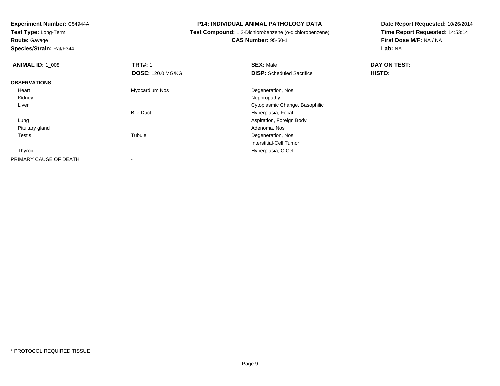**Route:** Gavage

**Species/Strain:** Rat/F344

#### **P14: INDIVIDUAL ANIMAL PATHOLOGY DATA**

 **Test Compound:** 1,2-Dichlorobenzene (o-dichlorobenzene)**CAS Number:** 95-50-1

| <b>ANIMAL ID: 1 008</b> | <b>TRT#: 1</b>           | <b>SEX: Male</b>                 | DAY ON TEST: |  |
|-------------------------|--------------------------|----------------------------------|--------------|--|
|                         | <b>DOSE: 120.0 MG/KG</b> | <b>DISP:</b> Scheduled Sacrifice | HISTO:       |  |
| <b>OBSERVATIONS</b>     |                          |                                  |              |  |
| Heart                   | Myocardium Nos           | Degeneration, Nos                |              |  |
| Kidney                  |                          | Nephropathy                      |              |  |
| Liver                   |                          | Cytoplasmic Change, Basophilic   |              |  |
|                         | <b>Bile Duct</b>         | Hyperplasia, Focal               |              |  |
| Lung                    |                          | Aspiration, Foreign Body         |              |  |
| Pituitary gland         |                          | Adenoma, Nos                     |              |  |
| Testis                  | Tubule                   | Degeneration, Nos                |              |  |
|                         |                          | Interstitial-Cell Tumor          |              |  |
| Thyroid                 |                          | Hyperplasia, C Cell              |              |  |
| PRIMARY CAUSE OF DEATH  | $\,$                     |                                  |              |  |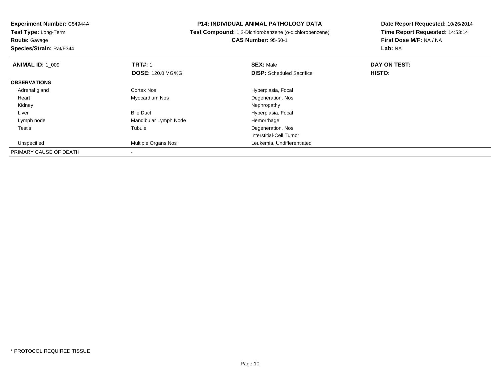**Test Type:** Long-Term**Route:** Gavage

**Species/Strain:** Rat/F344

#### **P14: INDIVIDUAL ANIMAL PATHOLOGY DATA**

 **Test Compound:** 1,2-Dichlorobenzene (o-dichlorobenzene)**CAS Number:** 95-50-1

| <b>ANIMAL ID: 1_009</b> | <b>TRT#: 1</b>           | <b>SEX: Male</b>                 | DAY ON TEST: |  |
|-------------------------|--------------------------|----------------------------------|--------------|--|
|                         | <b>DOSE: 120.0 MG/KG</b> | <b>DISP:</b> Scheduled Sacrifice | HISTO:       |  |
| <b>OBSERVATIONS</b>     |                          |                                  |              |  |
| Adrenal gland           | Cortex Nos               | Hyperplasia, Focal               |              |  |
| Heart                   | Myocardium Nos           | Degeneration, Nos                |              |  |
| Kidney                  |                          | Nephropathy                      |              |  |
| Liver                   | <b>Bile Duct</b>         | Hyperplasia, Focal               |              |  |
| Lymph node              | Mandibular Lymph Node    | Hemorrhage                       |              |  |
| <b>Testis</b>           | Tubule                   | Degeneration, Nos                |              |  |
|                         |                          | Interstitial-Cell Tumor          |              |  |
| Unspecified             | Multiple Organs Nos      | Leukemia, Undifferentiated       |              |  |
| PRIMARY CAUSE OF DEATH  |                          |                                  |              |  |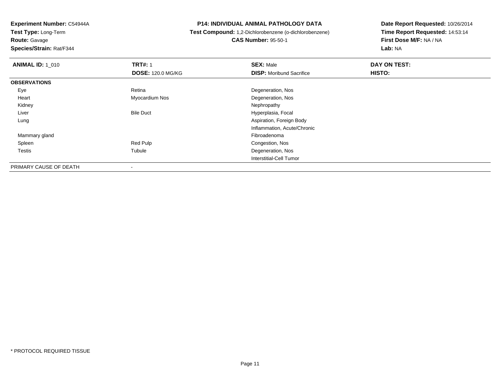**Route:** Gavage

**Species/Strain:** Rat/F344

#### **P14: INDIVIDUAL ANIMAL PATHOLOGY DATA**

**Test Compound:** 1,2-Dichlorobenzene (o-dichlorobenzene)

**CAS Number:** 95-50-1

| <b>ANIMAL ID: 1 010</b> | <b>TRT#: 1</b>           | <b>SEX: Male</b>                | DAY ON TEST: |  |
|-------------------------|--------------------------|---------------------------------|--------------|--|
|                         | <b>DOSE: 120.0 MG/KG</b> | <b>DISP:</b> Moribund Sacrifice | HISTO:       |  |
| <b>OBSERVATIONS</b>     |                          |                                 |              |  |
| Eye                     | Retina                   | Degeneration, Nos               |              |  |
| Heart                   | Myocardium Nos           | Degeneration, Nos               |              |  |
| Kidney                  |                          | Nephropathy                     |              |  |
| Liver                   | <b>Bile Duct</b>         | Hyperplasia, Focal              |              |  |
| Lung                    |                          | Aspiration, Foreign Body        |              |  |
|                         |                          | Inflammation, Acute/Chronic     |              |  |
| Mammary gland           |                          | Fibroadenoma                    |              |  |
| Spleen                  | Red Pulp                 | Congestion, Nos                 |              |  |
| Testis                  | Tubule                   | Degeneration, Nos               |              |  |
|                         |                          | Interstitial-Cell Tumor         |              |  |
| PRIMARY CAUSE OF DEATH  | ۰                        |                                 |              |  |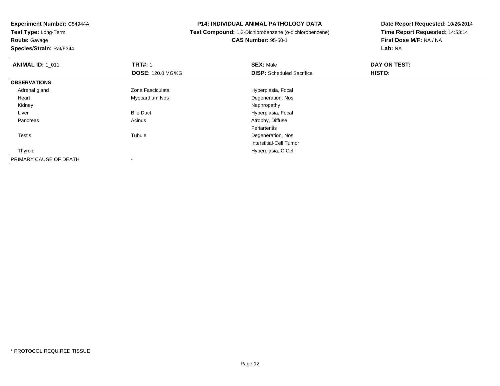**Route:** Gavage

**Species/Strain:** Rat/F344

#### **P14: INDIVIDUAL ANIMAL PATHOLOGY DATA**

# **Test Compound:** 1,2-Dichlorobenzene (o-dichlorobenzene)**CAS Number:** 95-50-1

| <b>ANIMAL ID: 1 011</b> | <b>TRT#: 1</b>           | <b>SEX: Male</b>                 | DAY ON TEST: |  |
|-------------------------|--------------------------|----------------------------------|--------------|--|
|                         | <b>DOSE: 120.0 MG/KG</b> | <b>DISP:</b> Scheduled Sacrifice | HISTO:       |  |
| <b>OBSERVATIONS</b>     |                          |                                  |              |  |
| Adrenal gland           | Zona Fasciculata         | Hyperplasia, Focal               |              |  |
| Heart                   | Myocardium Nos           | Degeneration, Nos                |              |  |
| Kidney                  |                          | Nephropathy                      |              |  |
| Liver                   | <b>Bile Duct</b>         | Hyperplasia, Focal               |              |  |
| Pancreas                | Acinus                   | Atrophy, Diffuse                 |              |  |
|                         |                          | Periarteritis                    |              |  |
| Testis                  | Tubule                   | Degeneration, Nos                |              |  |
|                         |                          | <b>Interstitial-Cell Tumor</b>   |              |  |
| Thyroid                 |                          | Hyperplasia, C Cell              |              |  |
| PRIMARY CAUSE OF DEATH  | $\overline{\phantom{a}}$ |                                  |              |  |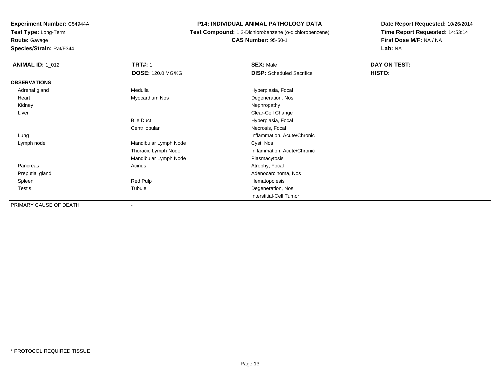**Route:** Gavage

**Species/Strain:** Rat/F344

#### **P14: INDIVIDUAL ANIMAL PATHOLOGY DATA**

 **Test Compound:** 1,2-Dichlorobenzene (o-dichlorobenzene)**CAS Number:** 95-50-1

| <b>ANIMAL ID: 1_012</b> | <b>TRT#: 1</b>           | <b>SEX: Male</b>                 | DAY ON TEST: |  |
|-------------------------|--------------------------|----------------------------------|--------------|--|
|                         | <b>DOSE: 120.0 MG/KG</b> | <b>DISP:</b> Scheduled Sacrifice | HISTO:       |  |
| <b>OBSERVATIONS</b>     |                          |                                  |              |  |
| Adrenal gland           | Medulla                  | Hyperplasia, Focal               |              |  |
| Heart                   | Myocardium Nos           | Degeneration, Nos                |              |  |
| Kidney                  |                          | Nephropathy                      |              |  |
| Liver                   |                          | Clear-Cell Change                |              |  |
|                         | <b>Bile Duct</b>         | Hyperplasia, Focal               |              |  |
|                         | Centrilobular            | Necrosis, Focal                  |              |  |
| Lung                    |                          | Inflammation, Acute/Chronic      |              |  |
| Lymph node              | Mandibular Lymph Node    | Cyst, Nos                        |              |  |
|                         | Thoracic Lymph Node      | Inflammation, Acute/Chronic      |              |  |
|                         | Mandibular Lymph Node    | Plasmacytosis                    |              |  |
| Pancreas                | Acinus                   | Atrophy, Focal                   |              |  |
| Preputial gland         |                          | Adenocarcinoma, Nos              |              |  |
| Spleen                  | Red Pulp                 | Hematopoiesis                    |              |  |
| Testis                  | Tubule                   | Degeneration, Nos                |              |  |
|                         |                          | Interstitial-Cell Tumor          |              |  |
| PRIMARY CAUSE OF DEATH  | $\overline{\phantom{a}}$ |                                  |              |  |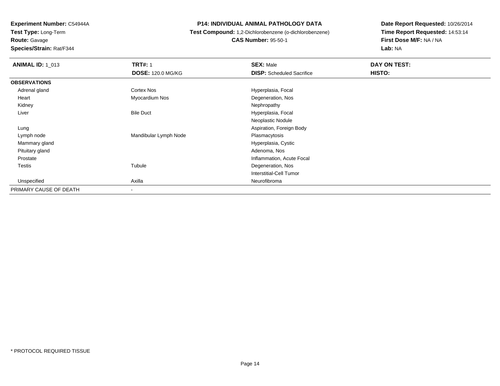**Route:** Gavage

**Species/Strain:** Rat/F344

#### **P14: INDIVIDUAL ANIMAL PATHOLOGY DATA**

# **Test Compound:** 1,2-Dichlorobenzene (o-dichlorobenzene)**CAS Number:** 95-50-1

| <b>ANIMAL ID: 1_013</b> | <b>TRT#: 1</b>           | <b>SEX: Male</b>                 | DAY ON TEST: |  |
|-------------------------|--------------------------|----------------------------------|--------------|--|
|                         | <b>DOSE: 120.0 MG/KG</b> | <b>DISP:</b> Scheduled Sacrifice | HISTO:       |  |
| <b>OBSERVATIONS</b>     |                          |                                  |              |  |
| Adrenal gland           | Cortex Nos               | Hyperplasia, Focal               |              |  |
| Heart                   | Myocardium Nos           | Degeneration, Nos                |              |  |
| Kidney                  |                          | Nephropathy                      |              |  |
| Liver                   | <b>Bile Duct</b>         | Hyperplasia, Focal               |              |  |
|                         |                          | Neoplastic Nodule                |              |  |
| Lung                    |                          | Aspiration, Foreign Body         |              |  |
| Lymph node              | Mandibular Lymph Node    | Plasmacytosis                    |              |  |
| Mammary gland           |                          | Hyperplasia, Cystic              |              |  |
| Pituitary gland         |                          | Adenoma, Nos                     |              |  |
| Prostate                |                          | Inflammation, Acute Focal        |              |  |
| Testis                  | Tubule                   | Degeneration, Nos                |              |  |
|                         |                          | <b>Interstitial-Cell Tumor</b>   |              |  |
| Unspecified             | Axilla                   | Neurofibroma                     |              |  |
| PRIMARY CAUSE OF DEATH  | $\overline{\phantom{a}}$ |                                  |              |  |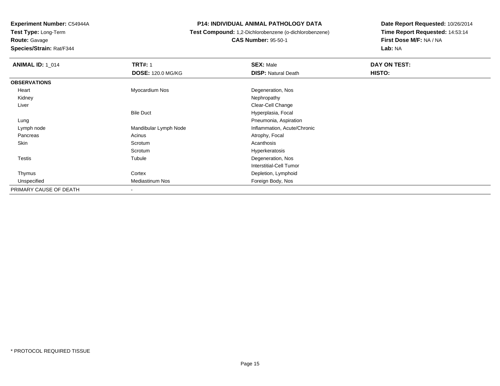**Route:** Gavage

**Species/Strain:** Rat/F344

#### **P14: INDIVIDUAL ANIMAL PATHOLOGY DATA**

# **Test Compound:** 1,2-Dichlorobenzene (o-dichlorobenzene)**CAS Number:** 95-50-1

| <b>ANIMAL ID: 1_014</b> | <b>TRT#: 1</b>           | <b>SEX: Male</b>            | DAY ON TEST: |  |
|-------------------------|--------------------------|-----------------------------|--------------|--|
|                         | <b>DOSE: 120.0 MG/KG</b> | <b>DISP: Natural Death</b>  | HISTO:       |  |
| <b>OBSERVATIONS</b>     |                          |                             |              |  |
| Heart                   | Myocardium Nos           | Degeneration, Nos           |              |  |
| Kidney                  |                          | Nephropathy                 |              |  |
| Liver                   |                          | Clear-Cell Change           |              |  |
|                         | <b>Bile Duct</b>         | Hyperplasia, Focal          |              |  |
| Lung                    |                          | Pneumonia, Aspiration       |              |  |
| Lymph node              | Mandibular Lymph Node    | Inflammation, Acute/Chronic |              |  |
| Pancreas                | Acinus                   | Atrophy, Focal              |              |  |
| Skin                    | Scrotum                  | Acanthosis                  |              |  |
|                         | Scrotum                  | Hyperkeratosis              |              |  |
| Testis                  | Tubule                   | Degeneration, Nos           |              |  |
|                         |                          | Interstitial-Cell Tumor     |              |  |
| Thymus                  | Cortex                   | Depletion, Lymphoid         |              |  |
| Unspecified             | Mediastinum Nos          | Foreign Body, Nos           |              |  |
| PRIMARY CAUSE OF DEATH  | $\overline{\phantom{a}}$ |                             |              |  |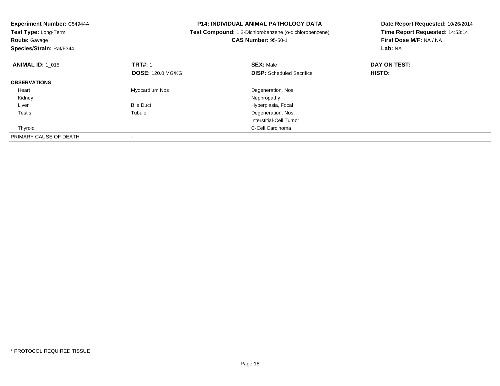| Experiment Number: C54944A<br>Test Type: Long-Term<br><b>Route: Gavage</b><br>Species/Strain: Rat/F344 |                          | <b>P14: INDIVIDUAL ANIMAL PATHOLOGY DATA</b><br>Test Compound: 1,2-Dichlorobenzene (o-dichlorobenzene)<br><b>CAS Number: 95-50-1</b> | Date Report Requested: 10/26/2014<br>Time Report Requested: 14:53:14<br>First Dose M/F: NA / NA<br>Lab: NA |
|--------------------------------------------------------------------------------------------------------|--------------------------|--------------------------------------------------------------------------------------------------------------------------------------|------------------------------------------------------------------------------------------------------------|
| <b>ANIMAL ID: 1 015</b>                                                                                | <b>TRT#: 1</b>           | <b>SEX: Male</b>                                                                                                                     | DAY ON TEST:                                                                                               |
|                                                                                                        | <b>DOSE: 120.0 MG/KG</b> | <b>DISP:</b> Scheduled Sacrifice                                                                                                     | HISTO:                                                                                                     |
| <b>OBSERVATIONS</b>                                                                                    |                          |                                                                                                                                      |                                                                                                            |
| Heart                                                                                                  | Myocardium Nos           | Degeneration, Nos                                                                                                                    |                                                                                                            |
| Kidney                                                                                                 |                          | Nephropathy                                                                                                                          |                                                                                                            |
| Liver                                                                                                  | <b>Bile Duct</b>         | Hyperplasia, Focal                                                                                                                   |                                                                                                            |
| Testis                                                                                                 | Tubule                   | Degeneration, Nos                                                                                                                    |                                                                                                            |
|                                                                                                        |                          | Interstitial-Cell Tumor                                                                                                              |                                                                                                            |
| Thyroid                                                                                                |                          | C-Cell Carcinoma                                                                                                                     |                                                                                                            |
| PRIMARY CAUSE OF DEATH                                                                                 |                          |                                                                                                                                      |                                                                                                            |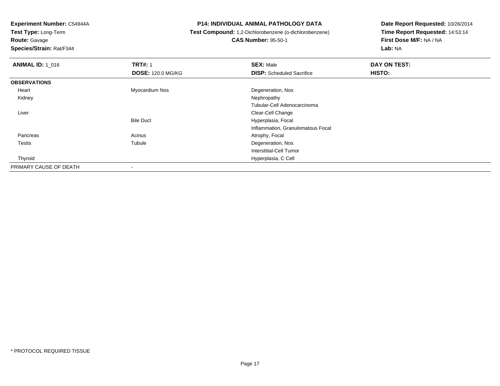**Test Type:** Long-Term**Route:** Gavage

**Species/Strain:** Rat/F344

#### **P14: INDIVIDUAL ANIMAL PATHOLOGY DATA**

# **Test Compound:** 1,2-Dichlorobenzene (o-dichlorobenzene) **CAS Number:** 95-50-1

| <b>ANIMAL ID: 1_016</b> | <b>TRT#: 1</b>           | <b>SEX: Male</b>                  | DAY ON TEST: |  |
|-------------------------|--------------------------|-----------------------------------|--------------|--|
|                         | <b>DOSE: 120.0 MG/KG</b> | <b>DISP:</b> Scheduled Sacrifice  | HISTO:       |  |
| <b>OBSERVATIONS</b>     |                          |                                   |              |  |
| Heart                   | Myocardium Nos           | Degeneration, Nos                 |              |  |
| Kidney                  |                          | Nephropathy                       |              |  |
|                         |                          | Tubular-Cell Adenocarcinoma       |              |  |
| Liver                   |                          | Clear-Cell Change                 |              |  |
|                         | <b>Bile Duct</b>         | Hyperplasia, Focal                |              |  |
|                         |                          | Inflammation, Granulomatous Focal |              |  |
| Pancreas                | Acinus                   | Atrophy, Focal                    |              |  |
| <b>Testis</b>           | Tubule                   | Degeneration, Nos                 |              |  |
|                         |                          | Interstitial-Cell Tumor           |              |  |
| Thyroid                 |                          | Hyperplasia, C Cell               |              |  |
| PRIMARY CAUSE OF DEATH  | $\overline{\phantom{a}}$ |                                   |              |  |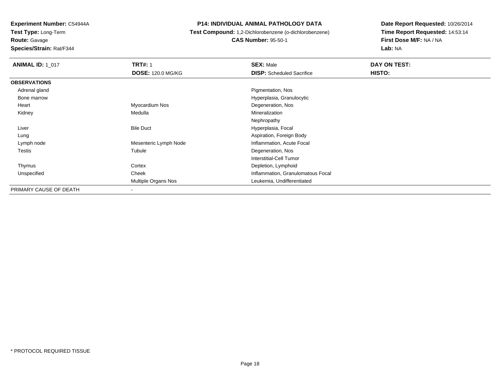**Route:** Gavage

**Species/Strain:** Rat/F344

#### **P14: INDIVIDUAL ANIMAL PATHOLOGY DATA**

 **Test Compound:** 1,2-Dichlorobenzene (o-dichlorobenzene)**CAS Number:** 95-50-1

| <b>ANIMAL ID: 1_017</b> | <b>TRT#: 1</b>           | <b>SEX: Male</b>                  | DAY ON TEST: |  |
|-------------------------|--------------------------|-----------------------------------|--------------|--|
|                         | <b>DOSE: 120.0 MG/KG</b> | <b>DISP:</b> Scheduled Sacrifice  | HISTO:       |  |
| <b>OBSERVATIONS</b>     |                          |                                   |              |  |
| Adrenal gland           |                          | Pigmentation, Nos                 |              |  |
| Bone marrow             |                          | Hyperplasia, Granulocytic         |              |  |
| Heart                   | Myocardium Nos           | Degeneration, Nos                 |              |  |
| Kidney                  | Medulla                  | Mineralization                    |              |  |
|                         |                          | Nephropathy                       |              |  |
| Liver                   | <b>Bile Duct</b>         | Hyperplasia, Focal                |              |  |
| Lung                    |                          | Aspiration, Foreign Body          |              |  |
| Lymph node              | Mesenteric Lymph Node    | Inflammation, Acute Focal         |              |  |
| Testis                  | Tubule                   | Degeneration, Nos                 |              |  |
|                         |                          | Interstitial-Cell Tumor           |              |  |
| Thymus                  | Cortex                   | Depletion, Lymphoid               |              |  |
| Unspecified             | Cheek                    | Inflammation, Granulomatous Focal |              |  |
|                         | Multiple Organs Nos      | Leukemia, Undifferentiated        |              |  |
| PRIMARY CAUSE OF DEATH  | -                        |                                   |              |  |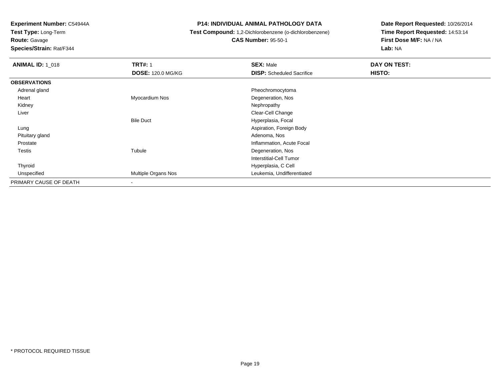**Test Type:** Long-Term

**Route:** Gavage

**Species/Strain:** Rat/F344

#### **P14: INDIVIDUAL ANIMAL PATHOLOGY DATA**

# **Test Compound:** 1,2-Dichlorobenzene (o-dichlorobenzene)

**CAS Number:** 95-50-1

| <b>ANIMAL ID: 1 018</b> | <b>TRT#: 1</b>           | <b>SEX: Male</b>                 | DAY ON TEST: |  |
|-------------------------|--------------------------|----------------------------------|--------------|--|
|                         | <b>DOSE: 120.0 MG/KG</b> | <b>DISP:</b> Scheduled Sacrifice | HISTO:       |  |
| <b>OBSERVATIONS</b>     |                          |                                  |              |  |
| Adrenal gland           |                          | Pheochromocytoma                 |              |  |
| Heart                   | Myocardium Nos           | Degeneration, Nos                |              |  |
| Kidney                  |                          | Nephropathy                      |              |  |
| Liver                   |                          | Clear-Cell Change                |              |  |
|                         | <b>Bile Duct</b>         | Hyperplasia, Focal               |              |  |
| Lung                    |                          | Aspiration, Foreign Body         |              |  |
| Pituitary gland         |                          | Adenoma, Nos                     |              |  |
| Prostate                |                          | Inflammation, Acute Focal        |              |  |
| Testis                  | Tubule                   | Degeneration, Nos                |              |  |
|                         |                          | Interstitial-Cell Tumor          |              |  |
| Thyroid                 |                          | Hyperplasia, C Cell              |              |  |
| Unspecified             | Multiple Organs Nos      | Leukemia, Undifferentiated       |              |  |
| PRIMARY CAUSE OF DEATH  | $\overline{\phantom{a}}$ |                                  |              |  |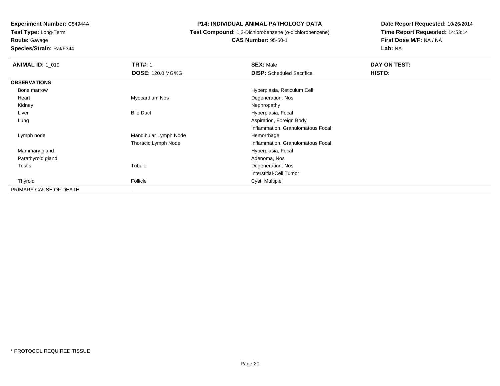**Route:** Gavage

**Species/Strain:** Rat/F344

#### **P14: INDIVIDUAL ANIMAL PATHOLOGY DATA**

**Test Compound:** 1,2-Dichlorobenzene (o-dichlorobenzene)

**CAS Number:** 95-50-1

| <b>ANIMAL ID: 1_019</b> | <b>TRT#: 1</b>           | <b>SEX: Male</b>                  | DAY ON TEST:  |
|-------------------------|--------------------------|-----------------------------------|---------------|
|                         | <b>DOSE: 120.0 MG/KG</b> | <b>DISP:</b> Scheduled Sacrifice  | <b>HISTO:</b> |
| <b>OBSERVATIONS</b>     |                          |                                   |               |
| Bone marrow             |                          | Hyperplasia, Reticulum Cell       |               |
| Heart                   | Myocardium Nos           | Degeneration, Nos                 |               |
| Kidney                  |                          | Nephropathy                       |               |
| Liver                   | <b>Bile Duct</b>         | Hyperplasia, Focal                |               |
| Lung                    |                          | Aspiration, Foreign Body          |               |
|                         |                          | Inflammation, Granulomatous Focal |               |
| Lymph node              | Mandibular Lymph Node    | Hemorrhage                        |               |
|                         | Thoracic Lymph Node      | Inflammation, Granulomatous Focal |               |
| Mammary gland           |                          | Hyperplasia, Focal                |               |
| Parathyroid gland       |                          | Adenoma, Nos                      |               |
| <b>Testis</b>           | Tubule                   | Degeneration, Nos                 |               |
|                         |                          | <b>Interstitial-Cell Tumor</b>    |               |
| Thyroid                 | Follicle                 | Cyst, Multiple                    |               |
| PRIMARY CAUSE OF DEATH  | $\overline{\phantom{a}}$ |                                   |               |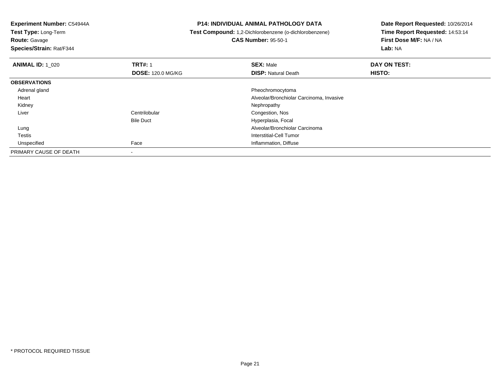**Test Type:** Long-Term**Route:** Gavage

**Species/Strain:** Rat/F344

#### **P14: INDIVIDUAL ANIMAL PATHOLOGY DATA**

# **Test Compound:** 1,2-Dichlorobenzene (o-dichlorobenzene)

**CAS Number:** 95-50-1

| <b>ANIMAL ID: 1 020</b> | <b>TRT#: 1</b>           | <b>SEX: Male</b>                         | DAY ON TEST: |  |
|-------------------------|--------------------------|------------------------------------------|--------------|--|
|                         | <b>DOSE: 120.0 MG/KG</b> | <b>DISP: Natural Death</b>               | HISTO:       |  |
| <b>OBSERVATIONS</b>     |                          |                                          |              |  |
| Adrenal gland           |                          | Pheochromocytoma                         |              |  |
| Heart                   |                          | Alveolar/Bronchiolar Carcinoma, Invasive |              |  |
| Kidney                  |                          | Nephropathy                              |              |  |
| Liver                   | Centrilobular            | Congestion, Nos                          |              |  |
|                         | <b>Bile Duct</b>         | Hyperplasia, Focal                       |              |  |
| Lung                    |                          | Alveolar/Bronchiolar Carcinoma           |              |  |
| Testis                  |                          | Interstitial-Cell Tumor                  |              |  |
| Unspecified             | Face                     | Inflammation, Diffuse                    |              |  |
| PRIMARY CAUSE OF DEATH  |                          |                                          |              |  |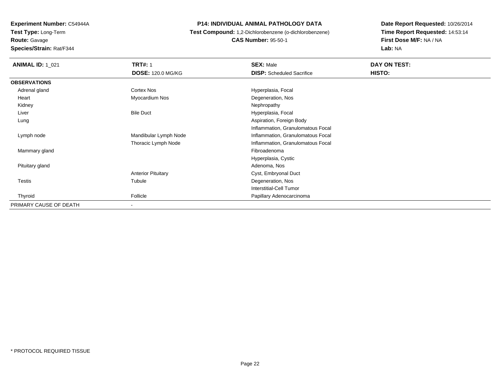**Experiment Number:** C54944A**Test Type:** Long-Term**Route:** Gavage

# **Species/Strain:** Rat/F344

#### **P14: INDIVIDUAL ANIMAL PATHOLOGY DATA**

 **Test Compound:** 1,2-Dichlorobenzene (o-dichlorobenzene)**CAS Number:** 95-50-1

| <b>ANIMAL ID: 1_021</b> | <b>TRT#: 1</b>            | <b>SEX: Male</b>                  | <b>DAY ON TEST:</b> |  |
|-------------------------|---------------------------|-----------------------------------|---------------------|--|
|                         | <b>DOSE: 120.0 MG/KG</b>  | <b>DISP:</b> Scheduled Sacrifice  | HISTO:              |  |
| <b>OBSERVATIONS</b>     |                           |                                   |                     |  |
| Adrenal gland           | Cortex Nos                | Hyperplasia, Focal                |                     |  |
| Heart                   | Myocardium Nos            | Degeneration, Nos                 |                     |  |
| Kidney                  |                           | Nephropathy                       |                     |  |
| Liver                   | <b>Bile Duct</b>          | Hyperplasia, Focal                |                     |  |
| Lung                    |                           | Aspiration, Foreign Body          |                     |  |
|                         |                           | Inflammation, Granulomatous Focal |                     |  |
| Lymph node              | Mandibular Lymph Node     | Inflammation, Granulomatous Focal |                     |  |
|                         | Thoracic Lymph Node       | Inflammation, Granulomatous Focal |                     |  |
| Mammary gland           |                           | Fibroadenoma                      |                     |  |
|                         |                           | Hyperplasia, Cystic               |                     |  |
| Pituitary gland         |                           | Adenoma, Nos                      |                     |  |
|                         | <b>Anterior Pituitary</b> | Cyst, Embryonal Duct              |                     |  |
| Testis                  | Tubule                    | Degeneration, Nos                 |                     |  |
|                         |                           | <b>Interstitial-Cell Tumor</b>    |                     |  |
| Thyroid                 | Follicle                  | Papillary Adenocarcinoma          |                     |  |
| PRIMARY CAUSE OF DEATH  | $\overline{\phantom{a}}$  |                                   |                     |  |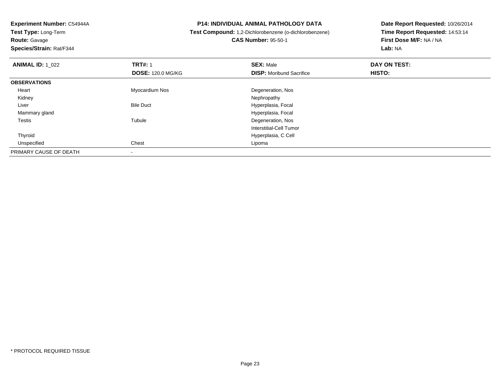**Route:** Gavage

**Species/Strain:** Rat/F344

#### **P14: INDIVIDUAL ANIMAL PATHOLOGY DATA**

# **Test Compound:** 1,2-Dichlorobenzene (o-dichlorobenzene)**CAS Number:** 95-50-1

| <b>ANIMAL ID: 1_022</b> | <b>TRT#: 1</b>           | <b>SEX: Male</b>                | DAY ON TEST: |  |
|-------------------------|--------------------------|---------------------------------|--------------|--|
|                         | <b>DOSE: 120.0 MG/KG</b> | <b>DISP:</b> Moribund Sacrifice | HISTO:       |  |
| <b>OBSERVATIONS</b>     |                          |                                 |              |  |
| Heart                   | Myocardium Nos           | Degeneration, Nos               |              |  |
| Kidney                  |                          | Nephropathy                     |              |  |
| Liver                   | <b>Bile Duct</b>         | Hyperplasia, Focal              |              |  |
| Mammary gland           |                          | Hyperplasia, Focal              |              |  |
| <b>Testis</b>           | Tubule                   | Degeneration, Nos               |              |  |
|                         |                          | Interstitial-Cell Tumor         |              |  |
| Thyroid                 |                          | Hyperplasia, C Cell             |              |  |
| Unspecified             | Chest                    | Lipoma                          |              |  |
| PRIMARY CAUSE OF DEATH  |                          |                                 |              |  |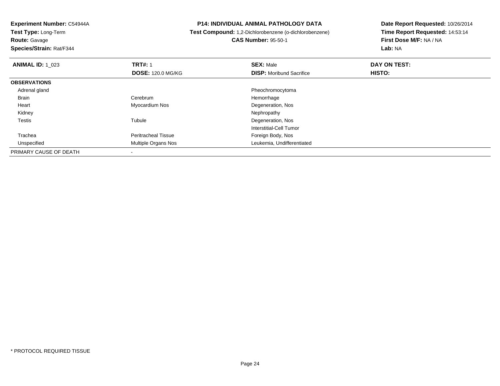**Test Type:** Long-Term**Route:** Gavage

**Species/Strain:** Rat/F344

#### **P14: INDIVIDUAL ANIMAL PATHOLOGY DATA**

**Test Compound:** 1,2-Dichlorobenzene (o-dichlorobenzene)

**CAS Number:** 95-50-1

| <b>ANIMAL ID: 1 023</b> | <b>TRT#: 1</b>             | <b>SEX: Male</b>                | DAY ON TEST: |  |
|-------------------------|----------------------------|---------------------------------|--------------|--|
|                         | <b>DOSE: 120.0 MG/KG</b>   | <b>DISP:</b> Moribund Sacrifice | HISTO:       |  |
| <b>OBSERVATIONS</b>     |                            |                                 |              |  |
| Adrenal gland           |                            | Pheochromocytoma                |              |  |
| <b>Brain</b>            | Cerebrum                   | Hemorrhage                      |              |  |
| Heart                   | Myocardium Nos             | Degeneration, Nos               |              |  |
| Kidney                  |                            | Nephropathy                     |              |  |
| <b>Testis</b>           | Tubule                     | Degeneration, Nos               |              |  |
|                         |                            | Interstitial-Cell Tumor         |              |  |
| Trachea                 | <b>Peritracheal Tissue</b> | Foreign Body, Nos               |              |  |
| Unspecified             | Multiple Organs Nos        | Leukemia, Undifferentiated      |              |  |
| PRIMARY CAUSE OF DEATH  |                            |                                 |              |  |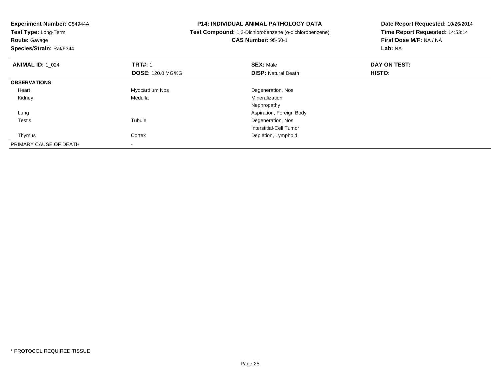**Experiment Number:** C54944A**Test Type:** Long-Term**Route:** Gavage **Species/Strain:** Rat/F344**P14: INDIVIDUAL ANIMAL PATHOLOGY DATA Test Compound:** 1,2-Dichlorobenzene (o-dichlorobenzene)**CAS Number:** 95-50-1**Date Report Requested:** 10/26/2014**Time Report Requested:** 14:53:14**First Dose M/F:** NA / NA**Lab:** NA**ANIMAL ID:** 1\_024**1 TRT#:** 1 **SEX:** Male **DAY ON TEST: DOSE:** 120.0 MG/KG**DISP:** Natural Death **HISTO: OBSERVATIONS** Heart Myocardium Nos Degeneration, Nos Kidney Medulla Mineralization Nephropathy Aspiration, Foreign Body Lung Testiss and the contract of the contract of the contract of the contract of the contract of the contract of the contract of the contract of the contract of the contract of the contract of the contract of the contract of the cont Tubule **Degeneration**, Nos Interstitial-Cell Tumor ThymusCortex **Depletion**, Lymphoid PRIMARY CAUSE OF DEATH-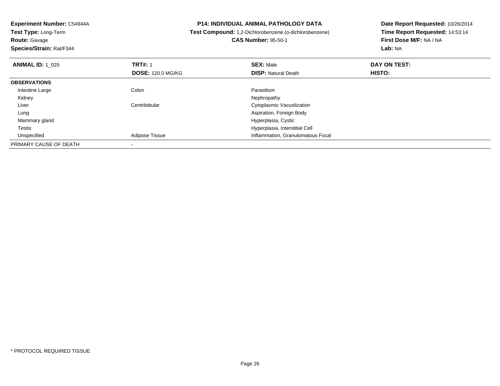| Experiment Number: C54944A<br>Test Type: Long-Term |                          | <b>P14: INDIVIDUAL ANIMAL PATHOLOGY DATA</b>           | Date Report Requested: 10/26/2014 |
|----------------------------------------------------|--------------------------|--------------------------------------------------------|-----------------------------------|
|                                                    |                          | Test Compound: 1,2-Dichlorobenzene (o-dichlorobenzene) | Time Report Requested: 14:53:14   |
| Route: Gavage                                      |                          | <b>CAS Number: 95-50-1</b>                             | First Dose M/F: NA / NA           |
| Species/Strain: Rat/F344                           |                          |                                                        | Lab: NA                           |
| <b>ANIMAL ID: 1 025</b>                            | <b>TRT#: 1</b>           | <b>SEX: Male</b>                                       | DAY ON TEST:                      |
|                                                    | <b>DOSE: 120.0 MG/KG</b> | <b>DISP: Natural Death</b>                             | HISTO:                            |
| <b>OBSERVATIONS</b>                                |                          |                                                        |                                   |
| Intestine Large                                    | Colon                    | Parasitism                                             |                                   |
| Kidney                                             |                          | Nephropathy                                            |                                   |
| Liver                                              | Centrilobular            | Cytoplasmic Vacuolization                              |                                   |
| Lung                                               |                          | Aspiration, Foreign Body                               |                                   |
| Mammary gland                                      |                          | Hyperplasia, Cystic                                    |                                   |
| Testis                                             |                          | Hyperplasia, Interstitial Cell                         |                                   |
| Unspecified                                        | Adipose Tissue           | Inflammation, Granulomatous Focal                      |                                   |
| PRIMARY CAUSE OF DEATH                             |                          |                                                        |                                   |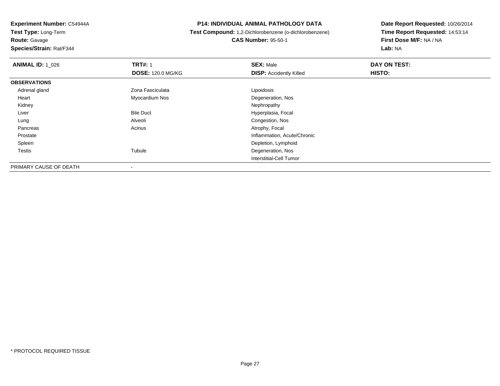**Experiment Number:** C54944A**Test Type:** Long-Term**Route:** Gavage

**Species/Strain:** Rat/F344

#### **P14: INDIVIDUAL ANIMAL PATHOLOGY DATA**

# **Test Compound:** 1,2-Dichlorobenzene (o-dichlorobenzene)**CAS Number:** 95-50-1

| <b>ANIMAL ID: 1 026</b> | <b>TRT#: 1</b>           | <b>SEX: Male</b>               | DAY ON TEST: |
|-------------------------|--------------------------|--------------------------------|--------------|
|                         | <b>DOSE: 120.0 MG/KG</b> | <b>DISP: Accidently Killed</b> | HISTO:       |
| <b>OBSERVATIONS</b>     |                          |                                |              |
| Adrenal gland           | Zona Fasciculata         | Lipoidosis                     |              |
| Heart                   | Myocardium Nos           | Degeneration, Nos              |              |
| Kidney                  |                          | Nephropathy                    |              |
| Liver                   | <b>Bile Duct</b>         | Hyperplasia, Focal             |              |
| Lung                    | Alveoli                  | Congestion, Nos                |              |
| Pancreas                | Acinus                   | Atrophy, Focal                 |              |
| Prostate                |                          | Inflammation, Acute/Chronic    |              |
| Spleen                  |                          | Depletion, Lymphoid            |              |
| <b>Testis</b>           | Tubule                   | Degeneration, Nos              |              |
|                         |                          | Interstitial-Cell Tumor        |              |
| PRIMARY CAUSE OF DEATH  |                          |                                |              |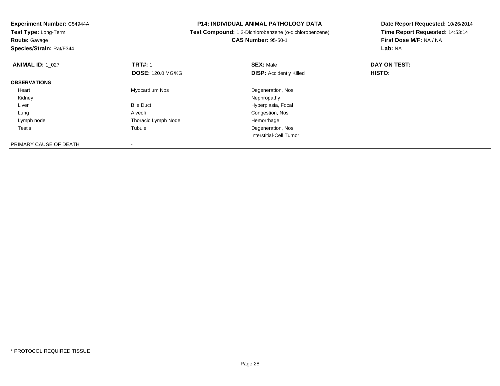**Experiment Number:** C54944A**Test Type:** Long-Term**Route:** Gavage **Species/Strain:** Rat/F344**P14: INDIVIDUAL ANIMAL PATHOLOGY DATA Test Compound:** 1,2-Dichlorobenzene (o-dichlorobenzene)**CAS Number:** 95-50-1**Date Report Requested:** 10/26/2014**Time Report Requested:** 14:53:14**First Dose M/F:** NA / NA**Lab:** NA**ANIMAL ID:** 1\_027 **TRT#:** <sup>1</sup> **SEX:** Male **DAY ON TEST: DOSE:** 120.0 MG/KG**DISP:** Accidently Killed **HISTO: OBSERVATIONS** Heart Myocardium Nos Degeneration, Nos Kidneyy the control of the control of the control of the control of the control of the control of the control of the control of the control of the control of the control of the control of the control of the control of the contro LiverBile Duct **Hyperplasia**, Focal LungAlveoli<br>
Thoracic Lymph Node<br>
Thoracic Lymph Node<br>
Congestion, Nos Lymph nodeThoracic Lymph Node<br>Tubule Testiss and the contract of the contract of the contract of the contract of the contract of the contract of the contract of the contract of the contract of the contract of the contract of the contract of the contract of the cont Degeneration, Nos Interstitial-Cell TumorPRIMARY CAUSE OF DEATH

-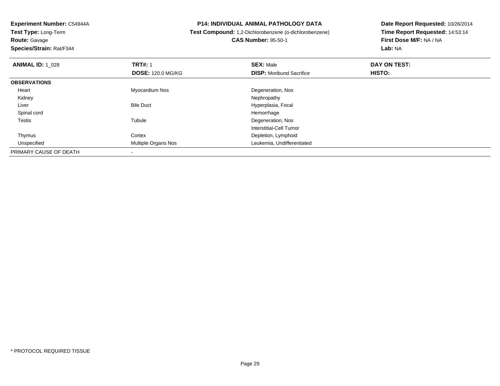**Route:** Gavage

**Species/Strain:** Rat/F344

#### **P14: INDIVIDUAL ANIMAL PATHOLOGY DATA**

**Test Compound:** 1,2-Dichlorobenzene (o-dichlorobenzene)

**CAS Number:** 95-50-1

| <b>ANIMAL ID: 1_028</b> | <b>TRT#: 1</b>           | <b>SEX: Male</b>                | DAY ON TEST: |  |
|-------------------------|--------------------------|---------------------------------|--------------|--|
|                         | <b>DOSE: 120.0 MG/KG</b> | <b>DISP:</b> Moribund Sacrifice | HISTO:       |  |
| <b>OBSERVATIONS</b>     |                          |                                 |              |  |
| Heart                   | Myocardium Nos           | Degeneration, Nos               |              |  |
| Kidney                  |                          | Nephropathy                     |              |  |
| Liver                   | <b>Bile Duct</b>         | Hyperplasia, Focal              |              |  |
| Spinal cord             |                          | Hemorrhage                      |              |  |
| <b>Testis</b>           | Tubule                   | Degeneration, Nos               |              |  |
|                         |                          | Interstitial-Cell Tumor         |              |  |
| Thymus                  | Cortex                   | Depletion, Lymphoid             |              |  |
| Unspecified             | Multiple Organs Nos      | Leukemia, Undifferentiated      |              |  |
| PRIMARY CAUSE OF DEATH  |                          |                                 |              |  |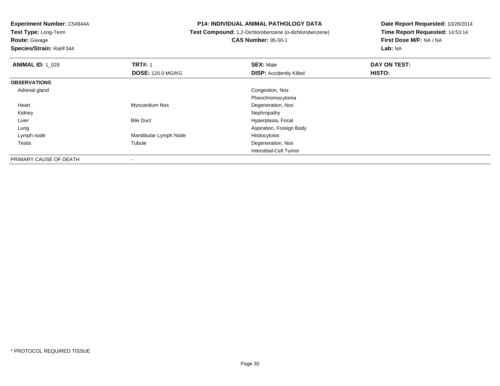**Test Type:** Long-Term**Route:** Gavage

**Species/Strain:** Rat/F344

#### **P14: INDIVIDUAL ANIMAL PATHOLOGY DATA**

# **Test Compound:** 1,2-Dichlorobenzene (o-dichlorobenzene)**CAS Number:** 95-50-1

| <b>ANIMAL ID: 1 029</b> | <b>TRT#: 1</b>           | <b>SEX: Male</b>               | DAY ON TEST: |  |
|-------------------------|--------------------------|--------------------------------|--------------|--|
|                         | <b>DOSE: 120.0 MG/KG</b> | <b>DISP:</b> Accidently Killed | HISTO:       |  |
| <b>OBSERVATIONS</b>     |                          |                                |              |  |
| Adrenal gland           |                          | Congestion, Nos                |              |  |
|                         |                          | Pheochromocytoma               |              |  |
| Heart                   | Myocardium Nos           | Degeneration, Nos              |              |  |
| Kidney                  |                          | Nephropathy                    |              |  |
| Liver                   | <b>Bile Duct</b>         | Hyperplasia, Focal             |              |  |
| Lung                    |                          | Aspiration, Foreign Body       |              |  |
| Lymph node              | Mandibular Lymph Node    | Histiocytosis                  |              |  |
| <b>Testis</b>           | Tubule                   | Degeneration, Nos              |              |  |
|                         |                          | Interstitial-Cell Tumor        |              |  |
| PRIMARY CAUSE OF DEATH  |                          |                                |              |  |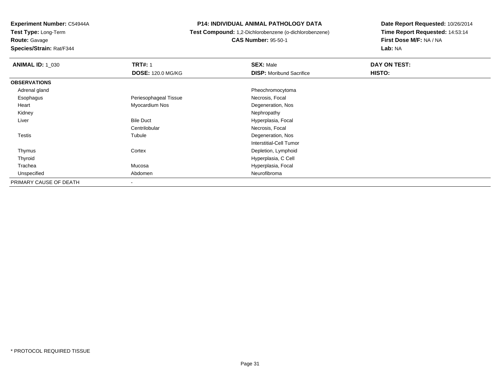**Route:** Gavage

**Species/Strain:** Rat/F344

#### **P14: INDIVIDUAL ANIMAL PATHOLOGY DATA**

# **Test Compound:** 1,2-Dichlorobenzene (o-dichlorobenzene)**CAS Number:** 95-50-1

| <b>ANIMAL ID: 1_030</b> | <b>TRT#: 1</b>           | <b>SEX: Male</b>                | DAY ON TEST: |  |
|-------------------------|--------------------------|---------------------------------|--------------|--|
|                         | <b>DOSE: 120.0 MG/KG</b> | <b>DISP:</b> Moribund Sacrifice | HISTO:       |  |
| <b>OBSERVATIONS</b>     |                          |                                 |              |  |
| Adrenal gland           |                          | Pheochromocytoma                |              |  |
| Esophagus               | Periesophageal Tissue    | Necrosis, Focal                 |              |  |
| Heart                   | Myocardium Nos           | Degeneration, Nos               |              |  |
| Kidney                  |                          | Nephropathy                     |              |  |
| Liver                   | <b>Bile Duct</b>         | Hyperplasia, Focal              |              |  |
|                         | Centrilobular            | Necrosis, Focal                 |              |  |
| <b>Testis</b>           | Tubule                   | Degeneration, Nos               |              |  |
|                         |                          | <b>Interstitial-Cell Tumor</b>  |              |  |
| Thymus                  | Cortex                   | Depletion, Lymphoid             |              |  |
| Thyroid                 |                          | Hyperplasia, C Cell             |              |  |
| Trachea                 | Mucosa                   | Hyperplasia, Focal              |              |  |
| Unspecified             | Abdomen                  | Neurofibroma                    |              |  |
| PRIMARY CAUSE OF DEATH  | $\overline{\phantom{a}}$ |                                 |              |  |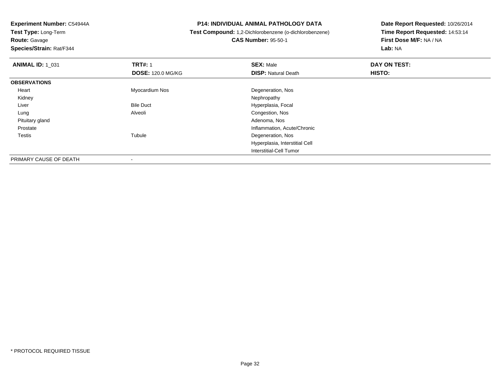**Route:** Gavage

**Species/Strain:** Rat/F344

#### **P14: INDIVIDUAL ANIMAL PATHOLOGY DATA**

 **Test Compound:** 1,2-Dichlorobenzene (o-dichlorobenzene)**CAS Number:** 95-50-1

| <b>ANIMAL ID: 1 031</b> | <b>TRT#: 1</b>           | <b>SEX: Male</b>               | DAY ON TEST:  |  |
|-------------------------|--------------------------|--------------------------------|---------------|--|
|                         | <b>DOSE: 120.0 MG/KG</b> | <b>DISP: Natural Death</b>     | <b>HISTO:</b> |  |
| <b>OBSERVATIONS</b>     |                          |                                |               |  |
| Heart                   | Myocardium Nos           | Degeneration, Nos              |               |  |
| Kidney                  |                          | Nephropathy                    |               |  |
| Liver                   | <b>Bile Duct</b>         | Hyperplasia, Focal             |               |  |
| Lung                    | Alveoli                  | Congestion, Nos                |               |  |
| Pituitary gland         |                          | Adenoma, Nos                   |               |  |
| Prostate                |                          | Inflammation, Acute/Chronic    |               |  |
| <b>Testis</b>           | Tubule                   | Degeneration, Nos              |               |  |
|                         |                          | Hyperplasia, Interstitial Cell |               |  |
|                         |                          | Interstitial-Cell Tumor        |               |  |
| PRIMARY CAUSE OF DEATH  |                          |                                |               |  |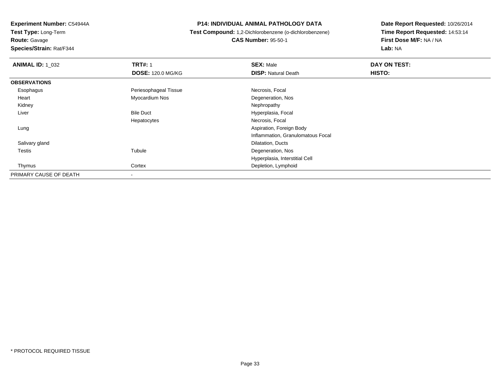**Route:** Gavage

**Species/Strain:** Rat/F344

#### **P14: INDIVIDUAL ANIMAL PATHOLOGY DATA**

 **Test Compound:** 1,2-Dichlorobenzene (o-dichlorobenzene)**CAS Number:** 95-50-1

| <b>ANIMAL ID: 1_032</b> | <b>TRT#: 1</b>           | <b>SEX: Male</b>                  | DAY ON TEST: |  |
|-------------------------|--------------------------|-----------------------------------|--------------|--|
|                         | <b>DOSE: 120.0 MG/KG</b> | <b>DISP: Natural Death</b>        | HISTO:       |  |
| <b>OBSERVATIONS</b>     |                          |                                   |              |  |
| Esophagus               | Periesophageal Tissue    | Necrosis, Focal                   |              |  |
| Heart                   | Myocardium Nos           | Degeneration, Nos                 |              |  |
| Kidney                  |                          | Nephropathy                       |              |  |
| Liver                   | <b>Bile Duct</b>         | Hyperplasia, Focal                |              |  |
|                         | Hepatocytes              | Necrosis, Focal                   |              |  |
| Lung                    |                          | Aspiration, Foreign Body          |              |  |
|                         |                          | Inflammation, Granulomatous Focal |              |  |
| Salivary gland          |                          | Dilatation, Ducts                 |              |  |
| <b>Testis</b>           | Tubule                   | Degeneration, Nos                 |              |  |
|                         |                          | Hyperplasia, Interstitial Cell    |              |  |
| Thymus                  | Cortex                   | Depletion, Lymphoid               |              |  |
| PRIMARY CAUSE OF DEATH  | $\,$                     |                                   |              |  |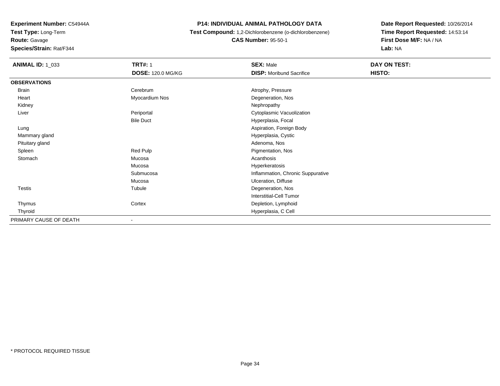**Route:** Gavage

**Species/Strain:** Rat/F344

#### **P14: INDIVIDUAL ANIMAL PATHOLOGY DATA**

 **Test Compound:** 1,2-Dichlorobenzene (o-dichlorobenzene)**CAS Number:** 95-50-1

| <b>ANIMAL ID: 1_033</b> | <b>TRT#: 1</b>           | <b>SEX: Male</b>                  | DAY ON TEST: |
|-------------------------|--------------------------|-----------------------------------|--------------|
|                         | <b>DOSE: 120.0 MG/KG</b> | <b>DISP:</b> Moribund Sacrifice   | HISTO:       |
| <b>OBSERVATIONS</b>     |                          |                                   |              |
| <b>Brain</b>            | Cerebrum                 | Atrophy, Pressure                 |              |
| Heart                   | Myocardium Nos           | Degeneration, Nos                 |              |
| Kidney                  |                          | Nephropathy                       |              |
| Liver                   | Periportal               | Cytoplasmic Vacuolization         |              |
|                         | <b>Bile Duct</b>         | Hyperplasia, Focal                |              |
| Lung                    |                          | Aspiration, Foreign Body          |              |
| Mammary gland           |                          | Hyperplasia, Cystic               |              |
| Pituitary gland         |                          | Adenoma, Nos                      |              |
| Spleen                  | Red Pulp                 | Pigmentation, Nos                 |              |
| Stomach                 | Mucosa                   | Acanthosis                        |              |
|                         | Mucosa                   | Hyperkeratosis                    |              |
|                         | Submucosa                | Inflammation, Chronic Suppurative |              |
|                         | Mucosa                   | Ulceration, Diffuse               |              |
| Testis                  | Tubule                   | Degeneration, Nos                 |              |
|                         |                          | Interstitial-Cell Tumor           |              |
| Thymus                  | Cortex                   | Depletion, Lymphoid               |              |
| Thyroid                 |                          | Hyperplasia, C Cell               |              |
| PRIMARY CAUSE OF DEATH  | -                        |                                   |              |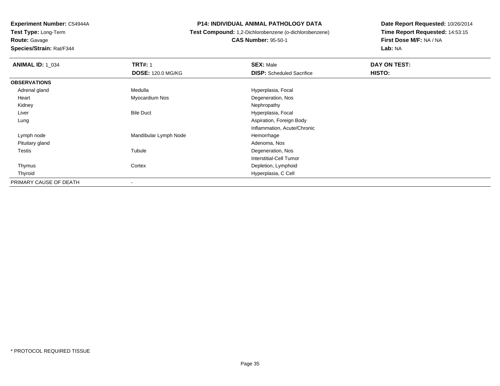**Route:** Gavage

**Species/Strain:** Rat/F344

#### **P14: INDIVIDUAL ANIMAL PATHOLOGY DATA**

# **Test Compound:** 1,2-Dichlorobenzene (o-dichlorobenzene)**CAS Number:** 95-50-1

| <b>ANIMAL ID: 1 034</b> | <b>TRT#: 1</b>           | <b>SEX: Male</b>                 | DAY ON TEST: |  |
|-------------------------|--------------------------|----------------------------------|--------------|--|
|                         | <b>DOSE: 120.0 MG/KG</b> | <b>DISP:</b> Scheduled Sacrifice | HISTO:       |  |
| <b>OBSERVATIONS</b>     |                          |                                  |              |  |
| Adrenal gland           | Medulla                  | Hyperplasia, Focal               |              |  |
| Heart                   | Myocardium Nos           | Degeneration, Nos                |              |  |
| Kidney                  |                          | Nephropathy                      |              |  |
| Liver                   | <b>Bile Duct</b>         | Hyperplasia, Focal               |              |  |
| Lung                    |                          | Aspiration, Foreign Body         |              |  |
|                         |                          | Inflammation, Acute/Chronic      |              |  |
| Lymph node              | Mandibular Lymph Node    | Hemorrhage                       |              |  |
| Pituitary gland         |                          | Adenoma, Nos                     |              |  |
| Testis                  | Tubule                   | Degeneration, Nos                |              |  |
|                         |                          | Interstitial-Cell Tumor          |              |  |
| Thymus                  | Cortex                   | Depletion, Lymphoid              |              |  |
| Thyroid                 |                          | Hyperplasia, C Cell              |              |  |
| PRIMARY CAUSE OF DEATH  |                          |                                  |              |  |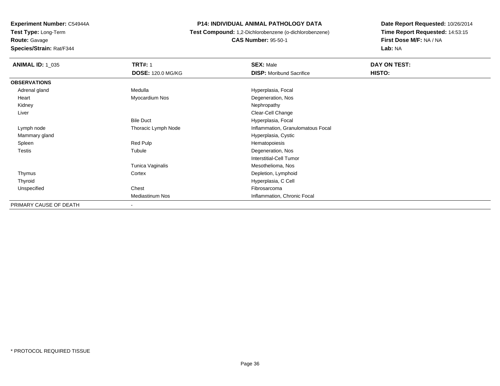**Route:** Gavage

**Species/Strain:** Rat/F344

#### **P14: INDIVIDUAL ANIMAL PATHOLOGY DATA**

 **Test Compound:** 1,2-Dichlorobenzene (o-dichlorobenzene)**CAS Number:** 95-50-1

| <b>ANIMAL ID: 1 035</b> | <b>TRT#: 1</b>           | <b>SEX: Male</b>                  | DAY ON TEST: |
|-------------------------|--------------------------|-----------------------------------|--------------|
|                         | <b>DOSE: 120.0 MG/KG</b> | <b>DISP:</b> Moribund Sacrifice   | HISTO:       |
| <b>OBSERVATIONS</b>     |                          |                                   |              |
| Adrenal gland           | Medulla                  | Hyperplasia, Focal                |              |
| Heart                   | Myocardium Nos           | Degeneration, Nos                 |              |
| Kidney                  |                          | Nephropathy                       |              |
| Liver                   |                          | Clear-Cell Change                 |              |
|                         | <b>Bile Duct</b>         | Hyperplasia, Focal                |              |
| Lymph node              | Thoracic Lymph Node      | Inflammation, Granulomatous Focal |              |
| Mammary gland           |                          | Hyperplasia, Cystic               |              |
| Spleen                  | Red Pulp                 | Hematopoiesis                     |              |
| <b>Testis</b>           | Tubule                   | Degeneration, Nos                 |              |
|                         |                          | Interstitial-Cell Tumor           |              |
|                         | Tunica Vaginalis         | Mesothelioma, Nos                 |              |
| Thymus                  | Cortex                   | Depletion, Lymphoid               |              |
| Thyroid                 |                          | Hyperplasia, C Cell               |              |
| Unspecified             | Chest                    | Fibrosarcoma                      |              |
|                         | <b>Mediastinum Nos</b>   | Inflammation, Chronic Focal       |              |
| PRIMARY CAUSE OF DEATH  | -                        |                                   |              |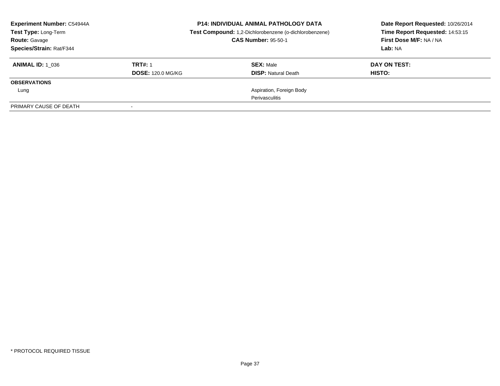| <b>Experiment Number: C54944A</b><br>Test Type: Long-Term<br><b>Route: Gavage</b><br>Species/Strain: Rat/F344 | <b>P14: INDIVIDUAL ANIMAL PATHOLOGY DATA</b><br>Test Compound: 1,2-Dichlorobenzene (o-dichlorobenzene)<br><b>CAS Number: 95-50-1</b> |                                                | Date Report Requested: 10/26/2014<br>Time Report Requested: 14:53:15<br>First Dose M/F: NA / NA<br>Lab: NA |
|---------------------------------------------------------------------------------------------------------------|--------------------------------------------------------------------------------------------------------------------------------------|------------------------------------------------|------------------------------------------------------------------------------------------------------------|
| <b>ANIMAL ID:</b> 1 036                                                                                       | <b>TRT#: 1</b><br><b>DOSE: 120.0 MG/KG</b>                                                                                           | <b>SEX: Male</b><br><b>DISP:</b> Natural Death | DAY ON TEST:<br>HISTO:                                                                                     |
| <b>OBSERVATIONS</b>                                                                                           |                                                                                                                                      |                                                |                                                                                                            |
| Lung                                                                                                          |                                                                                                                                      | Aspiration, Foreign Body                       |                                                                                                            |
|                                                                                                               |                                                                                                                                      | Perivasculitis                                 |                                                                                                            |
| PRIMARY CAUSE OF DEATH                                                                                        | $\overline{\phantom{a}}$                                                                                                             |                                                |                                                                                                            |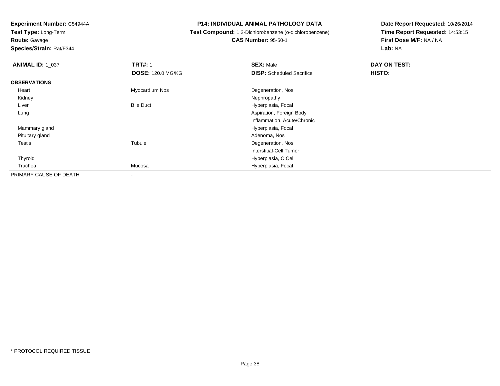**Test Type:** Long-Term**Route:** Gavage

**Species/Strain:** Rat/F344

## **P14: INDIVIDUAL ANIMAL PATHOLOGY DATA**

## **Test Compound:** 1,2-Dichlorobenzene (o-dichlorobenzene)**CAS Number:** 95-50-1

| <b>ANIMAL ID: 1_037</b> | <b>TRT#: 1</b>           | <b>SEX: Male</b>                 | DAY ON TEST: |  |
|-------------------------|--------------------------|----------------------------------|--------------|--|
|                         | <b>DOSE: 120.0 MG/KG</b> | <b>DISP:</b> Scheduled Sacrifice | HISTO:       |  |
| <b>OBSERVATIONS</b>     |                          |                                  |              |  |
| Heart                   | Myocardium Nos           | Degeneration, Nos                |              |  |
| Kidney                  |                          | Nephropathy                      |              |  |
| Liver                   | <b>Bile Duct</b>         | Hyperplasia, Focal               |              |  |
| Lung                    |                          | Aspiration, Foreign Body         |              |  |
|                         |                          | Inflammation, Acute/Chronic      |              |  |
| Mammary gland           |                          | Hyperplasia, Focal               |              |  |
| Pituitary gland         |                          | Adenoma, Nos                     |              |  |
| Testis                  | Tubule                   | Degeneration, Nos                |              |  |
|                         |                          | Interstitial-Cell Tumor          |              |  |
| Thyroid                 |                          | Hyperplasia, C Cell              |              |  |
| Trachea                 | Mucosa                   | Hyperplasia, Focal               |              |  |
| PRIMARY CAUSE OF DEATH  |                          |                                  |              |  |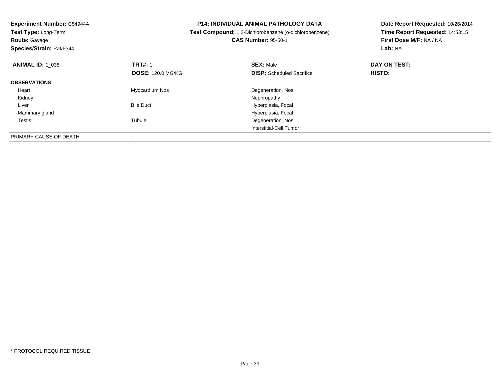| Experiment Number: C54944A<br>Test Type: Long-Term<br><b>Route: Gavage</b><br>Species/Strain: Rat/F344 |                                            | <b>P14: INDIVIDUAL ANIMAL PATHOLOGY DATA</b><br>Test Compound: 1,2-Dichlorobenzene (o-dichlorobenzene)<br><b>CAS Number: 95-50-1</b> | Date Report Requested: 10/26/2014<br>Time Report Requested: 14:53:15<br>First Dose M/F: NA / NA<br>Lab: NA |
|--------------------------------------------------------------------------------------------------------|--------------------------------------------|--------------------------------------------------------------------------------------------------------------------------------------|------------------------------------------------------------------------------------------------------------|
| <b>ANIMAL ID: 1 038</b>                                                                                | <b>TRT#: 1</b><br><b>DOSE: 120.0 MG/KG</b> | <b>SEX: Male</b><br><b>DISP:</b> Scheduled Sacrifice                                                                                 | DAY ON TEST:<br><b>HISTO:</b>                                                                              |
| <b>OBSERVATIONS</b>                                                                                    |                                            |                                                                                                                                      |                                                                                                            |
| Heart                                                                                                  | Myocardium Nos                             | Degeneration, Nos                                                                                                                    |                                                                                                            |
| Kidney                                                                                                 |                                            | Nephropathy                                                                                                                          |                                                                                                            |
| Liver                                                                                                  | <b>Bile Duct</b>                           | Hyperplasia, Focal                                                                                                                   |                                                                                                            |
| Mammary gland                                                                                          |                                            | Hyperplasia, Focal                                                                                                                   |                                                                                                            |
| Testis                                                                                                 | Tubule                                     | Degeneration, Nos                                                                                                                    |                                                                                                            |
|                                                                                                        |                                            | Interstitial-Cell Tumor                                                                                                              |                                                                                                            |
| PRIMARY CAUSE OF DEATH                                                                                 |                                            |                                                                                                                                      |                                                                                                            |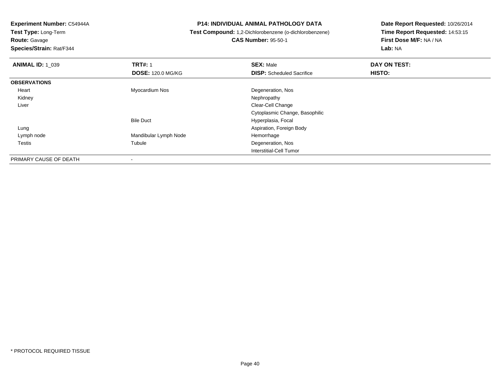**Route:** Gavage

**Species/Strain:** Rat/F344

## **P14: INDIVIDUAL ANIMAL PATHOLOGY DATA**

## **Test Compound:** 1,2-Dichlorobenzene (o-dichlorobenzene)**CAS Number:** 95-50-1

| <b>ANIMAL ID: 1 039</b> | <b>TRT#: 1</b>           | <b>SEX: Male</b>                 | DAY ON TEST: |  |
|-------------------------|--------------------------|----------------------------------|--------------|--|
|                         | <b>DOSE: 120.0 MG/KG</b> | <b>DISP:</b> Scheduled Sacrifice | HISTO:       |  |
| <b>OBSERVATIONS</b>     |                          |                                  |              |  |
| Heart                   | Myocardium Nos           | Degeneration, Nos                |              |  |
| Kidney                  |                          | Nephropathy                      |              |  |
| Liver                   |                          | Clear-Cell Change                |              |  |
|                         |                          | Cytoplasmic Change, Basophilic   |              |  |
|                         | <b>Bile Duct</b>         | Hyperplasia, Focal               |              |  |
| Lung                    |                          | Aspiration, Foreign Body         |              |  |
| Lymph node              | Mandibular Lymph Node    | Hemorrhage                       |              |  |
| <b>Testis</b>           | Tubule                   | Degeneration, Nos                |              |  |
|                         |                          | Interstitial-Cell Tumor          |              |  |
| PRIMARY CAUSE OF DEATH  | $\overline{\phantom{a}}$ |                                  |              |  |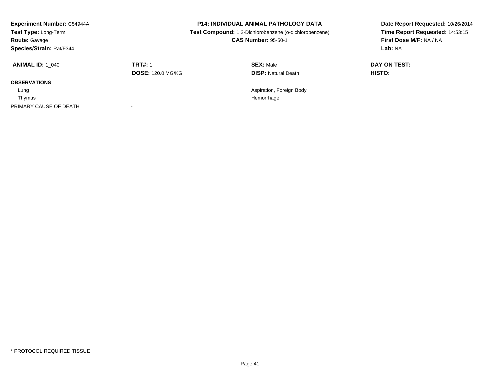| <b>Experiment Number: C54944A</b><br>Test Type: Long-Term<br><b>Route: Gavage</b><br>Species/Strain: Rat/F344 | <b>P14: INDIVIDUAL ANIMAL PATHOLOGY DATA</b><br>Test Compound: 1,2-Dichlorobenzene (o-dichlorobenzene)<br><b>CAS Number: 95-50-1</b> |                                                | Date Report Requested: 10/26/2014<br>Time Report Requested: 14:53:15<br>First Dose M/F: NA / NA<br>Lab: NA |
|---------------------------------------------------------------------------------------------------------------|--------------------------------------------------------------------------------------------------------------------------------------|------------------------------------------------|------------------------------------------------------------------------------------------------------------|
| <b>ANIMAL ID: 1 040</b>                                                                                       | <b>TRT#: 1</b><br><b>DOSE: 120.0 MG/KG</b>                                                                                           | <b>SEX: Male</b><br><b>DISP: Natural Death</b> | DAY ON TEST:<br>HISTO:                                                                                     |
| <b>OBSERVATIONS</b>                                                                                           |                                                                                                                                      |                                                |                                                                                                            |
| Lung                                                                                                          |                                                                                                                                      | Aspiration, Foreign Body                       |                                                                                                            |
| Thymus                                                                                                        | Hemorrhage                                                                                                                           |                                                |                                                                                                            |
| PRIMARY CAUSE OF DEATH                                                                                        |                                                                                                                                      |                                                |                                                                                                            |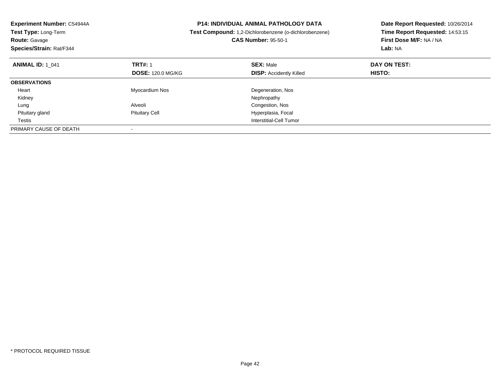| Experiment Number: C54944A<br>Test Type: Long-Term<br><b>Route: Gavage</b><br>Species/Strain: Rat/F344 |                          | <b>P14: INDIVIDUAL ANIMAL PATHOLOGY DATA</b><br>Date Report Requested: 10/26/2014<br>Time Report Requested: 14:53:15<br>Test Compound: 1,2-Dichlorobenzene (o-dichlorobenzene)<br><b>CAS Number: 95-50-1</b><br>First Dose M/F: NA / NA<br>Lab: NA |              |
|--------------------------------------------------------------------------------------------------------|--------------------------|----------------------------------------------------------------------------------------------------------------------------------------------------------------------------------------------------------------------------------------------------|--------------|
| <b>ANIMAL ID: 1 041</b>                                                                                | <b>TRT#: 1</b>           | <b>SEX: Male</b>                                                                                                                                                                                                                                   | DAY ON TEST: |
|                                                                                                        | <b>DOSE: 120.0 MG/KG</b> | <b>DISP:</b> Accidently Killed                                                                                                                                                                                                                     | HISTO:       |
| <b>OBSERVATIONS</b>                                                                                    |                          |                                                                                                                                                                                                                                                    |              |
| Heart                                                                                                  | Myocardium Nos           | Degeneration, Nos                                                                                                                                                                                                                                  |              |
| Kidney                                                                                                 |                          | Nephropathy                                                                                                                                                                                                                                        |              |
| Lung                                                                                                   | Alveoli                  | Congestion, Nos                                                                                                                                                                                                                                    |              |
| Pituitary gland                                                                                        | <b>Pituitary Cell</b>    | Hyperplasia, Focal                                                                                                                                                                                                                                 |              |
| Testis                                                                                                 |                          | Interstitial-Cell Tumor                                                                                                                                                                                                                            |              |
| PRIMARY CAUSE OF DEATH                                                                                 |                          |                                                                                                                                                                                                                                                    |              |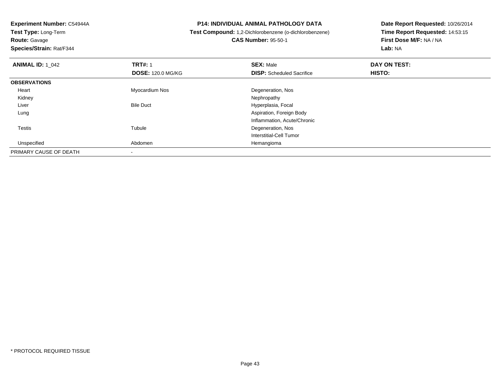**Route:** Gavage

**Species/Strain:** Rat/F344

## **P14: INDIVIDUAL ANIMAL PATHOLOGY DATA**

## **Test Compound:** 1,2-Dichlorobenzene (o-dichlorobenzene)**CAS Number:** 95-50-1

| <b>ANIMAL ID: 1_042</b> | <b>TRT#: 1</b><br><b>DOSE: 120.0 MG/KG</b> | <b>SEX: Male</b><br><b>DISP:</b> Scheduled Sacrifice | DAY ON TEST:<br>HISTO: |  |
|-------------------------|--------------------------------------------|------------------------------------------------------|------------------------|--|
| <b>OBSERVATIONS</b>     |                                            |                                                      |                        |  |
| Heart                   | Myocardium Nos                             | Degeneration, Nos                                    |                        |  |
| Kidney                  |                                            | Nephropathy                                          |                        |  |
| Liver                   | <b>Bile Duct</b>                           | Hyperplasia, Focal                                   |                        |  |
| Lung                    |                                            | Aspiration, Foreign Body                             |                        |  |
|                         |                                            | Inflammation, Acute/Chronic                          |                        |  |
| <b>Testis</b>           | Tubule                                     | Degeneration, Nos                                    |                        |  |
|                         |                                            | Interstitial-Cell Tumor                              |                        |  |
| Unspecified             | Abdomen                                    | Hemangioma                                           |                        |  |
| PRIMARY CAUSE OF DEATH  |                                            |                                                      |                        |  |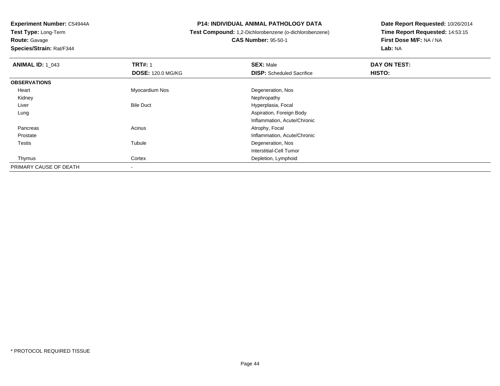**Experiment Number:** C54944A**Test Type:** Long-Term**Route:** Gavage

**Species/Strain:** Rat/F344

## **P14: INDIVIDUAL ANIMAL PATHOLOGY DATA**

# **Test Compound:** 1,2-Dichlorobenzene (o-dichlorobenzene)

**CAS Number:** 95-50-1

| <b>ANIMAL ID: 1 043</b> | <b>TRT#: 1</b>           | <b>SEX: Male</b>                 | DAY ON TEST: |  |
|-------------------------|--------------------------|----------------------------------|--------------|--|
|                         | <b>DOSE: 120.0 MG/KG</b> | <b>DISP:</b> Scheduled Sacrifice | HISTO:       |  |
| <b>OBSERVATIONS</b>     |                          |                                  |              |  |
| Heart                   | Myocardium Nos           | Degeneration, Nos                |              |  |
| Kidney                  |                          | Nephropathy                      |              |  |
| Liver                   | <b>Bile Duct</b>         | Hyperplasia, Focal               |              |  |
| Lung                    |                          | Aspiration, Foreign Body         |              |  |
|                         |                          | Inflammation, Acute/Chronic      |              |  |
| Pancreas                | Acinus                   | Atrophy, Focal                   |              |  |
| Prostate                |                          | Inflammation, Acute/Chronic      |              |  |
| Testis                  | Tubule                   | Degeneration, Nos                |              |  |
|                         |                          | Interstitial-Cell Tumor          |              |  |
| Thymus                  | Cortex                   | Depletion, Lymphoid              |              |  |
| PRIMARY CAUSE OF DEATH  |                          |                                  |              |  |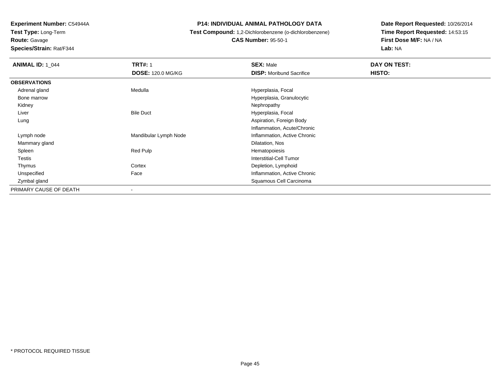**Route:** Gavage

**Species/Strain:** Rat/F344

## **P14: INDIVIDUAL ANIMAL PATHOLOGY DATA**

## **Test Compound:** 1,2-Dichlorobenzene (o-dichlorobenzene)**CAS Number:** 95-50-1

| <b>ANIMAL ID: 1 044</b> | <b>TRT#: 1</b>           | <b>SEX: Male</b>                | DAY ON TEST: |
|-------------------------|--------------------------|---------------------------------|--------------|
|                         | <b>DOSE: 120.0 MG/KG</b> | <b>DISP:</b> Moribund Sacrifice | HISTO:       |
| <b>OBSERVATIONS</b>     |                          |                                 |              |
| Adrenal gland           | Medulla                  | Hyperplasia, Focal              |              |
| Bone marrow             |                          | Hyperplasia, Granulocytic       |              |
| Kidney                  |                          | Nephropathy                     |              |
| Liver                   | <b>Bile Duct</b>         | Hyperplasia, Focal              |              |
| Lung                    |                          | Aspiration, Foreign Body        |              |
|                         |                          | Inflammation, Acute/Chronic     |              |
| Lymph node              | Mandibular Lymph Node    | Inflammation, Active Chronic    |              |
| Mammary gland           |                          | Dilatation, Nos                 |              |
| Spleen                  | Red Pulp                 | Hematopoiesis                   |              |
| Testis                  |                          | Interstitial-Cell Tumor         |              |
| Thymus                  | Cortex                   | Depletion, Lymphoid             |              |
| Unspecified             | Face                     | Inflammation, Active Chronic    |              |
| Zymbal gland            |                          | Squamous Cell Carcinoma         |              |
| PRIMARY CAUSE OF DEATH  | $\overline{\phantom{a}}$ |                                 |              |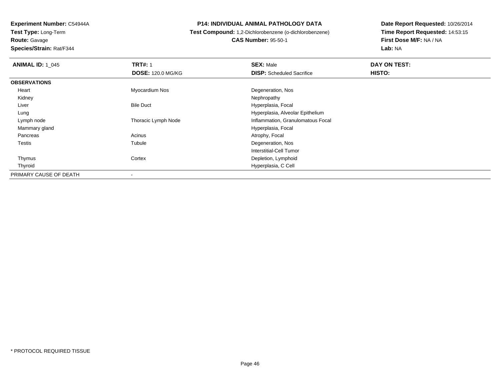**Experiment Number:** C54944A**Test Type:** Long-Term**Route:** Gavage

## **Species/Strain:** Rat/F344

## **P14: INDIVIDUAL ANIMAL PATHOLOGY DATA**

 **Test Compound:** 1,2-Dichlorobenzene (o-dichlorobenzene)**CAS Number:** 95-50-1

| <b>ANIMAL ID: 1 045</b> | <b>TRT#: 1</b>           | <b>SEX: Male</b>                  | DAY ON TEST: |
|-------------------------|--------------------------|-----------------------------------|--------------|
|                         | <b>DOSE: 120.0 MG/KG</b> | <b>DISP:</b> Scheduled Sacrifice  | HISTO:       |
| <b>OBSERVATIONS</b>     |                          |                                   |              |
| Heart                   | Myocardium Nos           | Degeneration, Nos                 |              |
| Kidney                  |                          | Nephropathy                       |              |
| Liver                   | <b>Bile Duct</b>         | Hyperplasia, Focal                |              |
| Lung                    |                          | Hyperplasia, Alveolar Epithelium  |              |
| Lymph node              | Thoracic Lymph Node      | Inflammation, Granulomatous Focal |              |
| Mammary gland           |                          | Hyperplasia, Focal                |              |
| Pancreas                | Acinus                   | Atrophy, Focal                    |              |
| Testis                  | Tubule                   | Degeneration, Nos                 |              |
|                         |                          | Interstitial-Cell Tumor           |              |
| Thymus                  | Cortex                   | Depletion, Lymphoid               |              |
| Thyroid                 |                          | Hyperplasia, C Cell               |              |
| PRIMARY CAUSE OF DEATH  | $\blacksquare$           |                                   |              |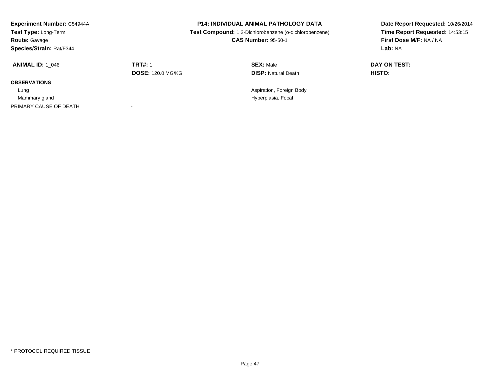| <b>Experiment Number: C54944A</b><br><b>Test Type: Long-Term</b><br><b>Route: Gavage</b> |                          | <b>P14: INDIVIDUAL ANIMAL PATHOLOGY DATA</b><br>Test Compound: 1,2-Dichlorobenzene (o-dichlorobenzene)<br><b>CAS Number: 95-50-1</b> | Date Report Requested: 10/26/2014<br>Time Report Requested: 14:53:15<br>First Dose M/F: NA / NA |
|------------------------------------------------------------------------------------------|--------------------------|--------------------------------------------------------------------------------------------------------------------------------------|-------------------------------------------------------------------------------------------------|
| Species/Strain: Rat/F344                                                                 |                          |                                                                                                                                      | Lab: NA                                                                                         |
| <b>ANIMAL ID:</b> 1 046                                                                  | <b>TRT#: 1</b>           | <b>SEX: Male</b>                                                                                                                     | DAY ON TEST:                                                                                    |
|                                                                                          | <b>DOSE: 120.0 MG/KG</b> | <b>DISP:</b> Natural Death                                                                                                           | HISTO:                                                                                          |
| <b>OBSERVATIONS</b>                                                                      |                          |                                                                                                                                      |                                                                                                 |
| Lung                                                                                     |                          | Aspiration, Foreign Body                                                                                                             |                                                                                                 |
| Mammary gland                                                                            |                          | Hyperplasia, Focal                                                                                                                   |                                                                                                 |
| PRIMARY CAUSE OF DEATH                                                                   |                          |                                                                                                                                      |                                                                                                 |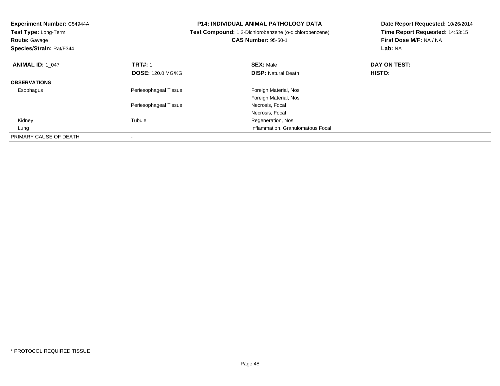| <b>Experiment Number: C54944A</b><br><b>Test Type: Long-Term</b><br><b>Route: Gavage</b><br>Species/Strain: Rat/F344 |                                   | <b>P14: INDIVIDUAL ANIMAL PATHOLOGY DATA</b><br>Test Compound: 1,2-Dichlorobenzene (o-dichlorobenzene)<br><b>CAS Number: 95-50-1</b> | Date Report Requested: 10/26/2014<br>Time Report Requested: 14:53:15<br>First Dose M/F: NA / NA<br>Lab: NA |
|----------------------------------------------------------------------------------------------------------------------|-----------------------------------|--------------------------------------------------------------------------------------------------------------------------------------|------------------------------------------------------------------------------------------------------------|
| <b>ANIMAL ID: 1 047</b>                                                                                              | <b>TRT#: 1</b>                    | <b>SEX: Male</b>                                                                                                                     | DAY ON TEST:                                                                                               |
|                                                                                                                      | <b>DOSE: 120.0 MG/KG</b>          | <b>DISP:</b> Natural Death                                                                                                           | HISTO:                                                                                                     |
| <b>OBSERVATIONS</b>                                                                                                  |                                   |                                                                                                                                      |                                                                                                            |
| Esophagus                                                                                                            | Periesophageal Tissue             | Foreign Material, Nos                                                                                                                |                                                                                                            |
|                                                                                                                      |                                   | Foreign Material, Nos                                                                                                                |                                                                                                            |
|                                                                                                                      | Periesophageal Tissue             | Necrosis, Focal                                                                                                                      |                                                                                                            |
|                                                                                                                      |                                   | Necrosis, Focal                                                                                                                      |                                                                                                            |
| Kidney                                                                                                               | Tubule                            | Regeneration, Nos                                                                                                                    |                                                                                                            |
| Lung                                                                                                                 | Inflammation, Granulomatous Focal |                                                                                                                                      |                                                                                                            |
| PRIMARY CAUSE OF DEATH                                                                                               |                                   |                                                                                                                                      |                                                                                                            |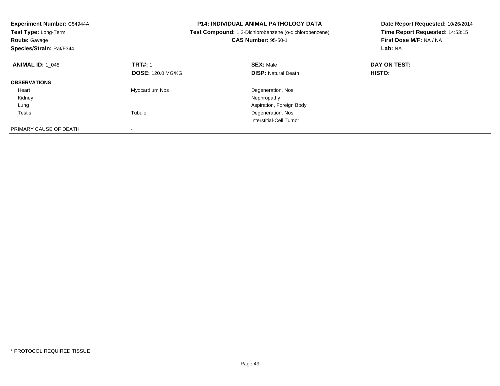| <b>Experiment Number: C54944A</b><br>Test Type: Long-Term<br><b>Route: Gavage</b><br><b>Species/Strain: Rat/F344</b> |                          | <b>P14: INDIVIDUAL ANIMAL PATHOLOGY DATA</b><br><b>Test Compound:</b> 1,2-Dichlorobenzene (o-dichlorobenzene)<br><b>CAS Number: 95-50-1</b> | Date Report Requested: 10/26/2014<br>Time Report Requested: 14:53:15<br>First Dose M/F: NA / NA<br>Lab: NA |
|----------------------------------------------------------------------------------------------------------------------|--------------------------|---------------------------------------------------------------------------------------------------------------------------------------------|------------------------------------------------------------------------------------------------------------|
| <b>ANIMAL ID: 1 048</b>                                                                                              | <b>TRT#: 1</b>           | <b>SEX: Male</b>                                                                                                                            | DAY ON TEST:                                                                                               |
|                                                                                                                      | <b>DOSE: 120.0 MG/KG</b> | <b>DISP:</b> Natural Death                                                                                                                  | HISTO:                                                                                                     |
| <b>OBSERVATIONS</b>                                                                                                  |                          |                                                                                                                                             |                                                                                                            |
| Heart                                                                                                                | Myocardium Nos           | Degeneration, Nos                                                                                                                           |                                                                                                            |
| Kidney                                                                                                               |                          | Nephropathy                                                                                                                                 |                                                                                                            |
| Lung                                                                                                                 |                          | Aspiration, Foreign Body                                                                                                                    |                                                                                                            |
| Testis                                                                                                               | Tubule                   | Degeneration, Nos                                                                                                                           |                                                                                                            |
|                                                                                                                      |                          | Interstitial-Cell Tumor                                                                                                                     |                                                                                                            |
| PRIMARY CAUSE OF DEATH                                                                                               |                          |                                                                                                                                             |                                                                                                            |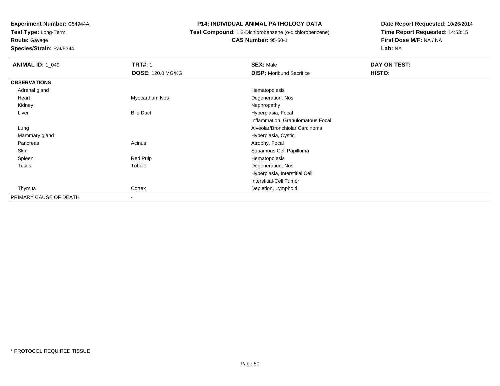**Test Type:** Long-Term

**Route:** Gavage

**Species/Strain:** Rat/F344

## **P14: INDIVIDUAL ANIMAL PATHOLOGY DATA**

# **Test Compound:** 1,2-Dichlorobenzene (o-dichlorobenzene)

**CAS Number:** 95-50-1

| <b>ANIMAL ID: 1 049</b> | <b>TRT#: 1</b>           | <b>SEX: Male</b>                  | DAY ON TEST: |  |
|-------------------------|--------------------------|-----------------------------------|--------------|--|
|                         | <b>DOSE: 120.0 MG/KG</b> | <b>DISP:</b> Moribund Sacrifice   | HISTO:       |  |
| <b>OBSERVATIONS</b>     |                          |                                   |              |  |
| Adrenal gland           |                          | Hematopoiesis                     |              |  |
| Heart                   | Myocardium Nos           | Degeneration, Nos                 |              |  |
| Kidney                  |                          | Nephropathy                       |              |  |
| Liver                   | <b>Bile Duct</b>         | Hyperplasia, Focal                |              |  |
|                         |                          | Inflammation, Granulomatous Focal |              |  |
| Lung                    |                          | Alveolar/Bronchiolar Carcinoma    |              |  |
| Mammary gland           |                          | Hyperplasia, Cystic               |              |  |
| Pancreas                | Acinus                   | Atrophy, Focal                    |              |  |
| Skin                    |                          | Squamous Cell Papilloma           |              |  |
| Spleen                  | Red Pulp                 | Hematopoiesis                     |              |  |
| Testis                  | Tubule                   | Degeneration, Nos                 |              |  |
|                         |                          | Hyperplasia, Interstitial Cell    |              |  |
|                         |                          | Interstitial-Cell Tumor           |              |  |
| Thymus                  | Cortex                   | Depletion, Lymphoid               |              |  |
| PRIMARY CAUSE OF DEATH  | $\overline{\phantom{0}}$ |                                   |              |  |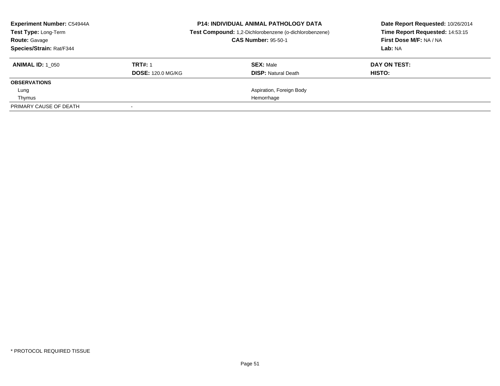| <b>Experiment Number: C54944A</b><br>Test Type: Long-Term<br><b>Route: Gavage</b><br>Species/Strain: Rat/F344 |                                            | <b>P14: INDIVIDUAL ANIMAL PATHOLOGY DATA</b><br>Test Compound: 1,2-Dichlorobenzene (o-dichlorobenzene)<br><b>CAS Number: 95-50-1</b> | Date Report Requested: 10/26/2014<br>Time Report Requested: 14:53:15<br>First Dose M/F: NA / NA<br>Lab: NA |
|---------------------------------------------------------------------------------------------------------------|--------------------------------------------|--------------------------------------------------------------------------------------------------------------------------------------|------------------------------------------------------------------------------------------------------------|
| <b>ANIMAL ID: 1 050</b>                                                                                       | <b>TRT#: 1</b><br><b>DOSE: 120.0 MG/KG</b> | <b>SEX: Male</b><br><b>DISP: Natural Death</b>                                                                                       | DAY ON TEST:<br>HISTO:                                                                                     |
| <b>OBSERVATIONS</b>                                                                                           |                                            |                                                                                                                                      |                                                                                                            |
| Lung                                                                                                          |                                            | Aspiration, Foreign Body                                                                                                             |                                                                                                            |
| Thymus                                                                                                        |                                            | Hemorrhage                                                                                                                           |                                                                                                            |
| PRIMARY CAUSE OF DEATH                                                                                        |                                            |                                                                                                                                      |                                                                                                            |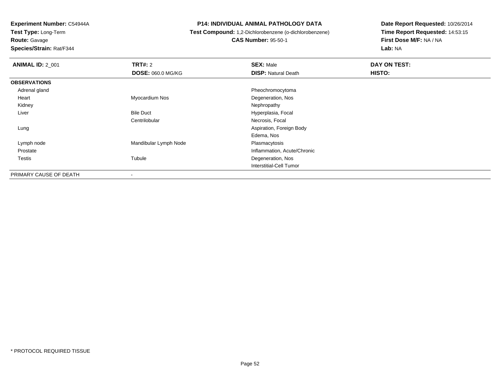**Test Type:** Long-Term**Route:** Gavage

**Species/Strain:** Rat/F344

## **P14: INDIVIDUAL ANIMAL PATHOLOGY DATA**

 **Test Compound:** 1,2-Dichlorobenzene (o-dichlorobenzene)**CAS Number:** 95-50-1

| <b>ANIMAL ID: 2_001</b> | <b>TRT#: 2</b>           | <b>SEX: Male</b>            | DAY ON TEST: |  |
|-------------------------|--------------------------|-----------------------------|--------------|--|
|                         | <b>DOSE: 060.0 MG/KG</b> | <b>DISP: Natural Death</b>  | HISTO:       |  |
| <b>OBSERVATIONS</b>     |                          |                             |              |  |
| Adrenal gland           |                          | Pheochromocytoma            |              |  |
| Heart                   | Myocardium Nos           | Degeneration, Nos           |              |  |
| Kidney                  |                          | Nephropathy                 |              |  |
| Liver                   | <b>Bile Duct</b>         | Hyperplasia, Focal          |              |  |
|                         | Centrilobular            | Necrosis, Focal             |              |  |
| Lung                    |                          | Aspiration, Foreign Body    |              |  |
|                         |                          | Edema, Nos                  |              |  |
| Lymph node              | Mandibular Lymph Node    | Plasmacytosis               |              |  |
| Prostate                |                          | Inflammation, Acute/Chronic |              |  |
| <b>Testis</b>           | Tubule                   | Degeneration, Nos           |              |  |
|                         |                          | Interstitial-Cell Tumor     |              |  |
| PRIMARY CAUSE OF DEATH  | $\overline{\phantom{a}}$ |                             |              |  |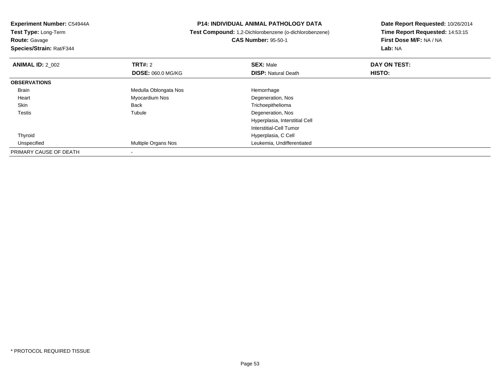**Experiment Number:** C54944A**Test Type:** Long-Term**Route:** Gavage **Species/Strain:** Rat/F344**P14: INDIVIDUAL ANIMAL PATHOLOGY DATA Test Compound:** 1,2-Dichlorobenzene (o-dichlorobenzene)**CAS Number:** 95-50-1**Date Report Requested:** 10/26/2014**Time Report Requested:** 14:53:15**First Dose M/F:** NA / NA**Lab:** NA**ANIMAL ID: 2 002 TRT#:** <sup>2</sup> **SEX:** Male **DAY ON TEST: DOSE:** 060.0 MG/KG**DISP:** Natural Death **HISTO: OBSERVATIONS** BrainMedulla Oblongata Nos **Hemorrhage**  Heart Myocardium Nos Degeneration, Nos SkinBack Trichoepithelioma<br>Tubule Tubule Degeneration, Nos Testiss and the contract of the contract of the contract of the contract of the contract of the contract of the contract of the contract of the contract of the contract of the contract of the contract of the contract of the cont Degeneration, Nos Hyperplasia, Interstitial CellInterstitial-Cell Tumor ThyroidHyperplasia, C Cell<br>Multiple Organs Nos<br>Leukemia, Undiffere UnspecifiedLeukemia, Undifferentiated PRIMARY CAUSE OF DEATH-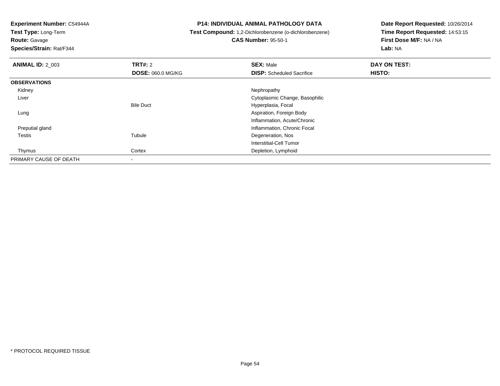**Test Type:** Long-Term

**Route:** Gavage

**Species/Strain:** Rat/F344

**P14: INDIVIDUAL ANIMAL PATHOLOGY DATA**

**Test Compound:** 1,2-Dichlorobenzene (o-dichlorobenzene)

**CAS Number:** 95-50-1

| <b>ANIMAL ID: 2 003</b> | <b>TRT#: 2</b>           | <b>SEX: Male</b>                 | DAY ON TEST: |  |
|-------------------------|--------------------------|----------------------------------|--------------|--|
|                         | <b>DOSE: 060.0 MG/KG</b> | <b>DISP:</b> Scheduled Sacrifice | HISTO:       |  |
| <b>OBSERVATIONS</b>     |                          |                                  |              |  |
| Kidney                  |                          | Nephropathy                      |              |  |
| Liver                   |                          | Cytoplasmic Change, Basophilic   |              |  |
|                         | <b>Bile Duct</b>         | Hyperplasia, Focal               |              |  |
| Lung                    |                          | Aspiration, Foreign Body         |              |  |
|                         |                          | Inflammation, Acute/Chronic      |              |  |
| Preputial gland         |                          | Inflammation, Chronic Focal      |              |  |
| <b>Testis</b>           | Tubule                   | Degeneration, Nos                |              |  |
|                         |                          | Interstitial-Cell Tumor          |              |  |
| Thymus                  | Cortex                   | Depletion, Lymphoid              |              |  |
| PRIMARY CAUSE OF DEATH  |                          |                                  |              |  |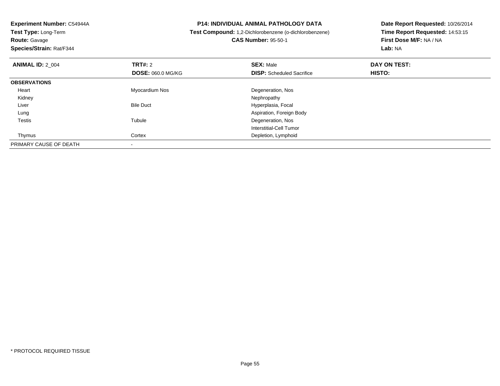**Experiment Number:** C54944A**Test Type:** Long-Term**Route:** Gavage **Species/Strain:** Rat/F344**P14: INDIVIDUAL ANIMAL PATHOLOGY DATA Test Compound:** 1,2-Dichlorobenzene (o-dichlorobenzene)**CAS Number:** 95-50-1**Date Report Requested:** 10/26/2014**Time Report Requested:** 14:53:15**First Dose M/F:** NA / NA**Lab:** NA**ANIMAL ID:** 2\_004**TRT#:** 2 **SEX:** Male **DAY ON TEST: DOSE:** 060.0 MG/KG**DISP:** Scheduled Sacrifice **HISTO: OBSERVATIONS** Heart Myocardium Nos Degeneration, Nos Kidneyy the control of the control of the control of the control of the control of the control of the control of the control of the control of the control of the control of the control of the control of the control of the contro LiverBile Duct **Hyperplasia**, Focal Lung Aspiration, Foreign Body Testiss and the contract of the contract of the contract of the contract of the contract of the contract of the contract of the contract of the contract of the contract of the contract of the contract of the contract of the cont Degeneration, Nos Interstitial-Cell Tumor ThymusCortex **Depletion**, Lymphoid PRIMARY CAUSE OF DEATH-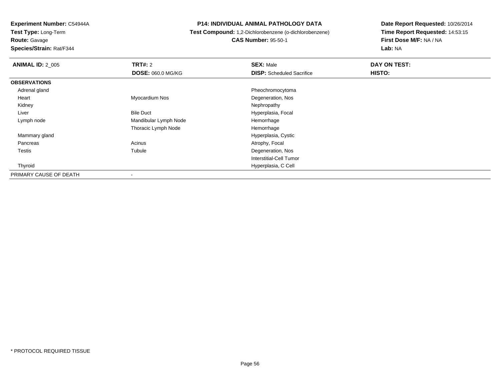**Route:** Gavage

**Species/Strain:** Rat/F344

## **P14: INDIVIDUAL ANIMAL PATHOLOGY DATA**

 **Test Compound:** 1,2-Dichlorobenzene (o-dichlorobenzene)**CAS Number:** 95-50-1

| <b>ANIMAL ID: 2_005</b> | TRT#: 2                  | <b>SEX: Male</b>                 | DAY ON TEST: |  |
|-------------------------|--------------------------|----------------------------------|--------------|--|
|                         | <b>DOSE: 060.0 MG/KG</b> | <b>DISP:</b> Scheduled Sacrifice | HISTO:       |  |
| <b>OBSERVATIONS</b>     |                          |                                  |              |  |
| Adrenal gland           |                          | Pheochromocytoma                 |              |  |
| Heart                   | Myocardium Nos           | Degeneration, Nos                |              |  |
| Kidney                  |                          | Nephropathy                      |              |  |
| Liver                   | <b>Bile Duct</b>         | Hyperplasia, Focal               |              |  |
| Lymph node              | Mandibular Lymph Node    | Hemorrhage                       |              |  |
|                         | Thoracic Lymph Node      | Hemorrhage                       |              |  |
| Mammary gland           |                          | Hyperplasia, Cystic              |              |  |
| Pancreas                | Acinus                   | Atrophy, Focal                   |              |  |
| Testis                  | Tubule                   | Degeneration, Nos                |              |  |
|                         |                          | Interstitial-Cell Tumor          |              |  |
| Thyroid                 |                          | Hyperplasia, C Cell              |              |  |
| PRIMARY CAUSE OF DEATH  | $\blacksquare$           |                                  |              |  |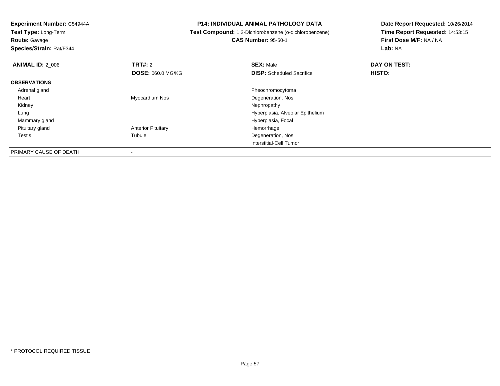-

**Route:** Gavage

**Species/Strain:** Rat/F344

#### **P14: INDIVIDUAL ANIMAL PATHOLOGY DATA**

**Test Compound:** 1,2-Dichlorobenzene (o-dichlorobenzene)

**CAS Number:** 95-50-1

| <b>ANIMAL ID: 2 006</b> | <b>TRT#: 2</b>            | <b>SEX: Male</b>                 | DAY ON TEST:  |  |
|-------------------------|---------------------------|----------------------------------|---------------|--|
|                         | <b>DOSE: 060.0 MG/KG</b>  | <b>DISP:</b> Scheduled Sacrifice | <b>HISTO:</b> |  |
| <b>OBSERVATIONS</b>     |                           |                                  |               |  |
| Adrenal gland           |                           | Pheochromocytoma                 |               |  |
| Heart                   | Myocardium Nos            | Degeneration, Nos                |               |  |
| Kidney                  |                           | Nephropathy                      |               |  |
| Lung                    |                           | Hyperplasia, Alveolar Epithelium |               |  |
| Mammary gland           |                           | Hyperplasia, Focal               |               |  |
| Pituitary gland         | <b>Anterior Pituitary</b> | Hemorrhage                       |               |  |
| <b>Testis</b>           | Tubule                    | Degeneration, Nos                |               |  |
|                         |                           | Interstitial-Cell Tumor          |               |  |
| PRIMARY CAUSE OF DEATH  |                           |                                  |               |  |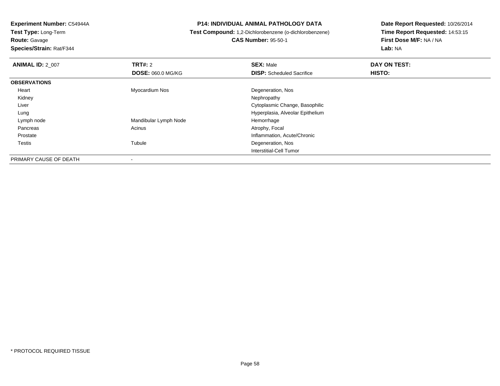**Route:** Gavage

**Species/Strain:** Rat/F344

## **P14: INDIVIDUAL ANIMAL PATHOLOGY DATA**

 **Test Compound:** 1,2-Dichlorobenzene (o-dichlorobenzene)**CAS Number:** 95-50-1

| <b>ANIMAL ID: 2 007</b> | TRT#: 2                  | <b>SEX: Male</b>                 | DAY ON TEST: |  |
|-------------------------|--------------------------|----------------------------------|--------------|--|
|                         | <b>DOSE: 060.0 MG/KG</b> | <b>DISP:</b> Scheduled Sacrifice | HISTO:       |  |
| <b>OBSERVATIONS</b>     |                          |                                  |              |  |
| Heart                   | Myocardium Nos           | Degeneration, Nos                |              |  |
| Kidney                  |                          | Nephropathy                      |              |  |
| Liver                   |                          | Cytoplasmic Change, Basophilic   |              |  |
| Lung                    |                          | Hyperplasia, Alveolar Epithelium |              |  |
| Lymph node              | Mandibular Lymph Node    | Hemorrhage                       |              |  |
| Pancreas                | Acinus                   | Atrophy, Focal                   |              |  |
| Prostate                |                          | Inflammation, Acute/Chronic      |              |  |
| Testis                  | Tubule                   | Degeneration, Nos                |              |  |
|                         |                          | Interstitial-Cell Tumor          |              |  |
| PRIMARY CAUSE OF DEATH  | $\overline{\phantom{a}}$ |                                  |              |  |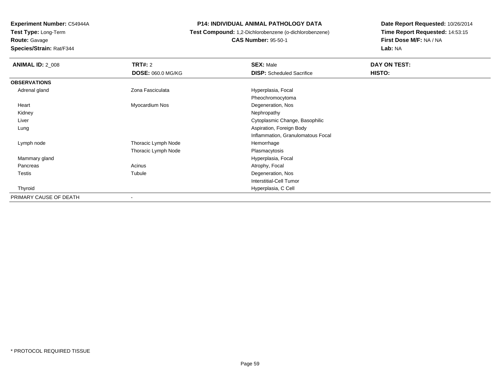**Test Type:** Long-Term**Route:** Gavage

**Species/Strain:** Rat/F344

## **P14: INDIVIDUAL ANIMAL PATHOLOGY DATA**

## **Test Compound:** 1,2-Dichlorobenzene (o-dichlorobenzene)**CAS Number:** 95-50-1

| <b>ANIMAL ID: 2 008</b> | TRT#: 2                  | <b>SEX: Male</b>                  | DAY ON TEST: |
|-------------------------|--------------------------|-----------------------------------|--------------|
|                         | <b>DOSE: 060.0 MG/KG</b> | <b>DISP:</b> Scheduled Sacrifice  | HISTO:       |
| <b>OBSERVATIONS</b>     |                          |                                   |              |
| Adrenal gland           | Zona Fasciculata         | Hyperplasia, Focal                |              |
|                         |                          | Pheochromocytoma                  |              |
| Heart                   | Myocardium Nos           | Degeneration, Nos                 |              |
| Kidney                  |                          | Nephropathy                       |              |
| Liver                   |                          | Cytoplasmic Change, Basophilic    |              |
| Lung                    |                          | Aspiration, Foreign Body          |              |
|                         |                          | Inflammation, Granulomatous Focal |              |
| Lymph node              | Thoracic Lymph Node      | Hemorrhage                        |              |
|                         | Thoracic Lymph Node      | Plasmacytosis                     |              |
| Mammary gland           |                          | Hyperplasia, Focal                |              |
| Pancreas                | Acinus                   | Atrophy, Focal                    |              |
| Testis                  | Tubule                   | Degeneration, Nos                 |              |
|                         |                          | <b>Interstitial-Cell Tumor</b>    |              |
| Thyroid                 |                          | Hyperplasia, C Cell               |              |
| PRIMARY CAUSE OF DEATH  | ۰                        |                                   |              |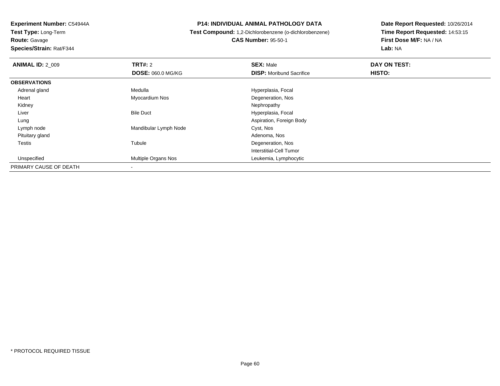**Experiment Number:** C54944A**Test Type:** Long-Term**Route:** Gavage

**Species/Strain:** Rat/F344

## **P14: INDIVIDUAL ANIMAL PATHOLOGY DATA**

## **Test Compound:** 1,2-Dichlorobenzene (o-dichlorobenzene)**CAS Number:** 95-50-1

| <b>ANIMAL ID: 2 009</b> | TRT#: 2                    | <b>SEX: Male</b>                | DAY ON TEST: |  |
|-------------------------|----------------------------|---------------------------------|--------------|--|
|                         | <b>DOSE: 060.0 MG/KG</b>   | <b>DISP:</b> Moribund Sacrifice | HISTO:       |  |
| <b>OBSERVATIONS</b>     |                            |                                 |              |  |
| Adrenal gland           | Medulla                    | Hyperplasia, Focal              |              |  |
| Heart                   | Myocardium Nos             | Degeneration, Nos               |              |  |
| Kidney                  |                            | Nephropathy                     |              |  |
| Liver                   | <b>Bile Duct</b>           | Hyperplasia, Focal              |              |  |
| Lung                    |                            | Aspiration, Foreign Body        |              |  |
| Lymph node              | Mandibular Lymph Node      | Cyst, Nos                       |              |  |
| Pituitary gland         |                            | Adenoma, Nos                    |              |  |
| <b>Testis</b>           | Tubule                     | Degeneration, Nos               |              |  |
|                         |                            | <b>Interstitial-Cell Tumor</b>  |              |  |
| Unspecified             | <b>Multiple Organs Nos</b> | Leukemia, Lymphocytic           |              |  |
| PRIMARY CAUSE OF DEATH  |                            |                                 |              |  |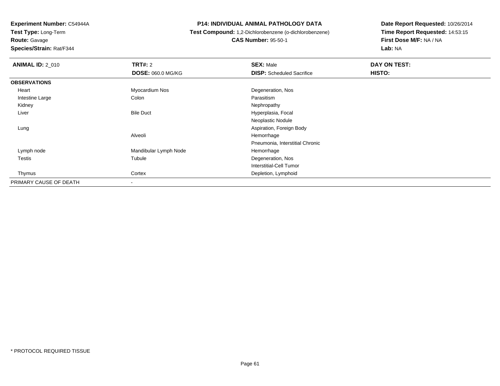**Route:** Gavage

**Species/Strain:** Rat/F344

## **P14: INDIVIDUAL ANIMAL PATHOLOGY DATA**

**Test Compound:** 1,2-Dichlorobenzene (o-dichlorobenzene)

**CAS Number:** 95-50-1

| <b>ANIMAL ID: 2 010</b> | <b>TRT#: 2</b>           | <b>SEX: Male</b>                 | DAY ON TEST: |  |
|-------------------------|--------------------------|----------------------------------|--------------|--|
|                         | <b>DOSE: 060.0 MG/KG</b> | <b>DISP:</b> Scheduled Sacrifice | HISTO:       |  |
| <b>OBSERVATIONS</b>     |                          |                                  |              |  |
| Heart                   | Myocardium Nos           | Degeneration, Nos                |              |  |
| Intestine Large         | Colon                    | Parasitism                       |              |  |
| Kidney                  |                          | Nephropathy                      |              |  |
| Liver                   | <b>Bile Duct</b>         | Hyperplasia, Focal               |              |  |
|                         |                          | Neoplastic Nodule                |              |  |
| Lung                    |                          | Aspiration, Foreign Body         |              |  |
|                         | Alveoli                  | Hemorrhage                       |              |  |
|                         |                          | Pneumonia, Interstitial Chronic  |              |  |
| Lymph node              | Mandibular Lymph Node    | Hemorrhage                       |              |  |
| <b>Testis</b>           | Tubule                   | Degeneration, Nos                |              |  |
|                         |                          | <b>Interstitial-Cell Tumor</b>   |              |  |
| Thymus                  | Cortex                   | Depletion, Lymphoid              |              |  |
| PRIMARY CAUSE OF DEATH  |                          |                                  |              |  |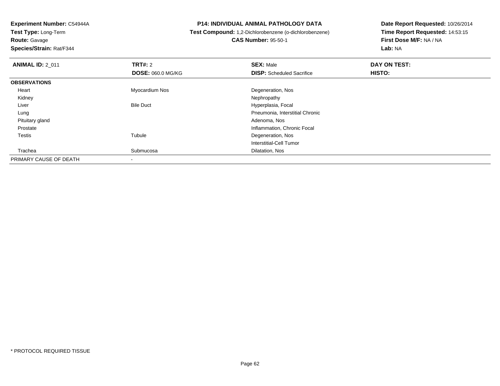**Experiment Number:** C54944A**Test Type:** Long-Term**Route:** Gavage

**Species/Strain:** Rat/F344

## **P14: INDIVIDUAL ANIMAL PATHOLOGY DATA**

## **Test Compound:** 1,2-Dichlorobenzene (o-dichlorobenzene)**CAS Number:** 95-50-1

| <b>ANIMAL ID: 2 011</b> | <b>TRT#: 2</b>           | <b>SEX: Male</b>                 | DAY ON TEST: |  |
|-------------------------|--------------------------|----------------------------------|--------------|--|
|                         | <b>DOSE: 060.0 MG/KG</b> | <b>DISP:</b> Scheduled Sacrifice | HISTO:       |  |
| <b>OBSERVATIONS</b>     |                          |                                  |              |  |
| Heart                   | Myocardium Nos           | Degeneration, Nos                |              |  |
| Kidney                  |                          | Nephropathy                      |              |  |
| Liver                   | <b>Bile Duct</b>         | Hyperplasia, Focal               |              |  |
| Lung                    |                          | Pneumonia, Interstitial Chronic  |              |  |
| Pituitary gland         |                          | Adenoma, Nos                     |              |  |
| Prostate                |                          | Inflammation, Chronic Focal      |              |  |
| Testis                  | Tubule                   | Degeneration, Nos                |              |  |
|                         |                          | Interstitial-Cell Tumor          |              |  |
| Trachea                 | Submucosa                | Dilatation, Nos                  |              |  |
| PRIMARY CAUSE OF DEATH  |                          |                                  |              |  |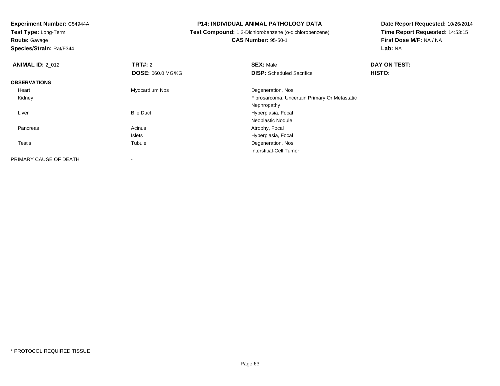**Route:** Gavage

**Species/Strain:** Rat/F344

## **P14: INDIVIDUAL ANIMAL PATHOLOGY DATA**

**Test Compound:** 1,2-Dichlorobenzene (o-dichlorobenzene)

**CAS Number:** 95-50-1

| <b>ANIMAL ID: 2_012</b> | <b>TRT#: 2</b>           | <b>SEX: Male</b>                              | DAY ON TEST: |  |
|-------------------------|--------------------------|-----------------------------------------------|--------------|--|
|                         | <b>DOSE: 060.0 MG/KG</b> | <b>DISP:</b> Scheduled Sacrifice              | HISTO:       |  |
| <b>OBSERVATIONS</b>     |                          |                                               |              |  |
| Heart                   | Myocardium Nos           | Degeneration, Nos                             |              |  |
| Kidney                  |                          | Fibrosarcoma, Uncertain Primary Or Metastatic |              |  |
|                         |                          | Nephropathy                                   |              |  |
| Liver                   | <b>Bile Duct</b>         | Hyperplasia, Focal                            |              |  |
|                         |                          | Neoplastic Nodule                             |              |  |
| Pancreas                | Acinus                   | Atrophy, Focal                                |              |  |
|                         | <b>Islets</b>            | Hyperplasia, Focal                            |              |  |
| Testis                  | Tubule                   | Degeneration, Nos                             |              |  |
|                         |                          | Interstitial-Cell Tumor                       |              |  |
| PRIMARY CAUSE OF DEATH  | $\,$                     |                                               |              |  |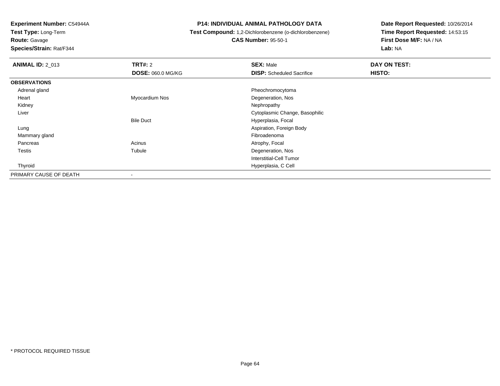**Test Type:** Long-Term**Route:** Gavage

**Species/Strain:** Rat/F344

## **P14: INDIVIDUAL ANIMAL PATHOLOGY DATA**

# **Test Compound:** 1,2-Dichlorobenzene (o-dichlorobenzene)

**CAS Number:** 95-50-1

| <b>ANIMAL ID: 2_013</b> | TRT#: 2                  | <b>SEX: Male</b>                 | DAY ON TEST: |
|-------------------------|--------------------------|----------------------------------|--------------|
|                         | <b>DOSE: 060.0 MG/KG</b> | <b>DISP:</b> Scheduled Sacrifice | HISTO:       |
| <b>OBSERVATIONS</b>     |                          |                                  |              |
| Adrenal gland           |                          | Pheochromocytoma                 |              |
| Heart                   | Myocardium Nos           | Degeneration, Nos                |              |
| Kidney                  |                          | Nephropathy                      |              |
| Liver                   |                          | Cytoplasmic Change, Basophilic   |              |
|                         | <b>Bile Duct</b>         | Hyperplasia, Focal               |              |
| Lung                    |                          | Aspiration, Foreign Body         |              |
| Mammary gland           |                          | Fibroadenoma                     |              |
| Pancreas                | Acinus                   | Atrophy, Focal                   |              |
| Testis                  | Tubule                   | Degeneration, Nos                |              |
|                         |                          | <b>Interstitial-Cell Tumor</b>   |              |
| Thyroid                 |                          | Hyperplasia, C Cell              |              |
| PRIMARY CAUSE OF DEATH  |                          |                                  |              |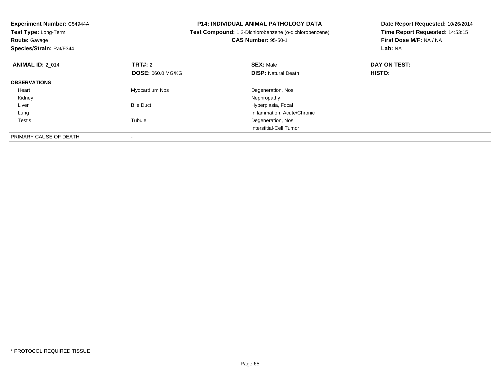| Experiment Number: C54944A |                          | <b>P14: INDIVIDUAL ANIMAL PATHOLOGY DATA</b>           | Date Report Requested: 10/26/2014 |  |
|----------------------------|--------------------------|--------------------------------------------------------|-----------------------------------|--|
| Test Type: Long-Term       |                          | Test Compound: 1,2-Dichlorobenzene (o-dichlorobenzene) | Time Report Requested: 14:53:15   |  |
| <b>Route: Gavage</b>       |                          | <b>CAS Number: 95-50-1</b>                             | First Dose M/F: NA / NA           |  |
| Species/Strain: Rat/F344   |                          |                                                        | Lab: NA                           |  |
| <b>ANIMAL ID: 2 014</b>    | <b>TRT#: 2</b>           | <b>SEX: Male</b>                                       | DAY ON TEST:                      |  |
|                            | <b>DOSE: 060.0 MG/KG</b> | <b>DISP: Natural Death</b>                             | <b>HISTO:</b>                     |  |
| <b>OBSERVATIONS</b>        |                          |                                                        |                                   |  |
| Heart                      | Myocardium Nos           | Degeneration, Nos                                      |                                   |  |
| Kidney                     |                          | Nephropathy                                            |                                   |  |
| Liver                      | <b>Bile Duct</b>         | Hyperplasia, Focal                                     |                                   |  |
| Lung                       |                          | Inflammation, Acute/Chronic                            |                                   |  |
| Testis                     | Tubule                   | Degeneration, Nos                                      |                                   |  |
|                            |                          | Interstitial-Cell Tumor                                |                                   |  |
| PRIMARY CAUSE OF DEATH     |                          |                                                        |                                   |  |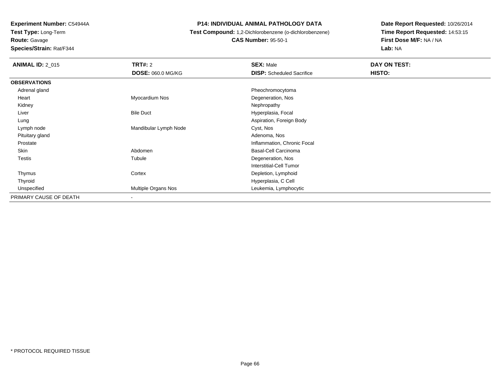**Route:** Gavage

**Species/Strain:** Rat/F344

## **P14: INDIVIDUAL ANIMAL PATHOLOGY DATA**

**Test Compound:** 1,2-Dichlorobenzene (o-dichlorobenzene)

**CAS Number:** 95-50-1

| <b>ANIMAL ID: 2_015</b> | <b>TRT#: 2</b>           | <b>SEX: Male</b>                 | DAY ON TEST: |  |
|-------------------------|--------------------------|----------------------------------|--------------|--|
|                         | <b>DOSE: 060.0 MG/KG</b> | <b>DISP:</b> Scheduled Sacrifice | HISTO:       |  |
| <b>OBSERVATIONS</b>     |                          |                                  |              |  |
| Adrenal gland           |                          | Pheochromocytoma                 |              |  |
| Heart                   | Myocardium Nos           | Degeneration, Nos                |              |  |
| Kidney                  |                          | Nephropathy                      |              |  |
| Liver                   | <b>Bile Duct</b>         | Hyperplasia, Focal               |              |  |
| Lung                    |                          | Aspiration, Foreign Body         |              |  |
| Lymph node              | Mandibular Lymph Node    | Cyst, Nos                        |              |  |
| Pituitary gland         |                          | Adenoma, Nos                     |              |  |
| Prostate                |                          | Inflammation, Chronic Focal      |              |  |
| Skin                    | Abdomen                  | Basal-Cell Carcinoma             |              |  |
| <b>Testis</b>           | Tubule                   | Degeneration, Nos                |              |  |
|                         |                          | <b>Interstitial-Cell Tumor</b>   |              |  |
| Thymus                  | Cortex                   | Depletion, Lymphoid              |              |  |
| Thyroid                 |                          | Hyperplasia, C Cell              |              |  |
| Unspecified             | Multiple Organs Nos      | Leukemia, Lymphocytic            |              |  |
| PRIMARY CAUSE OF DEATH  | $\overline{\phantom{a}}$ |                                  |              |  |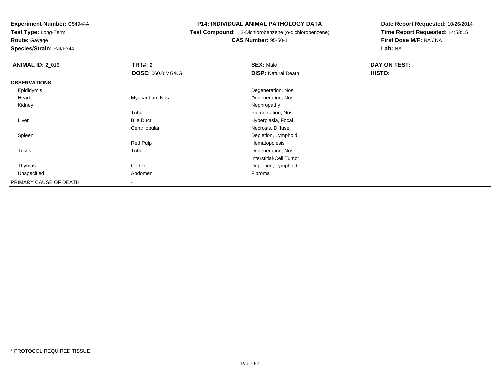**Test Type:** Long-Term

**Route:** Gavage

**Species/Strain:** Rat/F344

## **P14: INDIVIDUAL ANIMAL PATHOLOGY DATA**

**Test Compound:** 1,2-Dichlorobenzene (o-dichlorobenzene)

**CAS Number:** 95-50-1

| <b>ANIMAL ID: 2_016</b> | TRT#: 2                  | <b>SEX: Male</b>           | DAY ON TEST: |  |
|-------------------------|--------------------------|----------------------------|--------------|--|
|                         | <b>DOSE: 060.0 MG/KG</b> | <b>DISP: Natural Death</b> | HISTO:       |  |
| <b>OBSERVATIONS</b>     |                          |                            |              |  |
| Epididymis              |                          | Degeneration, Nos          |              |  |
| Heart                   | Myocardium Nos           | Degeneration, Nos          |              |  |
| Kidney                  |                          | Nephropathy                |              |  |
|                         | Tubule                   | Pigmentation, Nos          |              |  |
| Liver                   | <b>Bile Duct</b>         | Hyperplasia, Focal         |              |  |
|                         | Centrilobular            | Necrosis, Diffuse          |              |  |
| Spleen                  |                          | Depletion, Lymphoid        |              |  |
|                         | Red Pulp                 | Hematopoiesis              |              |  |
| Testis                  | Tubule                   | Degeneration, Nos          |              |  |
|                         |                          | Interstitial-Cell Tumor    |              |  |
| Thymus                  | Cortex                   | Depletion, Lymphoid        |              |  |
| Unspecified             | Abdomen                  | Fibroma                    |              |  |
| PRIMARY CAUSE OF DEATH  |                          |                            |              |  |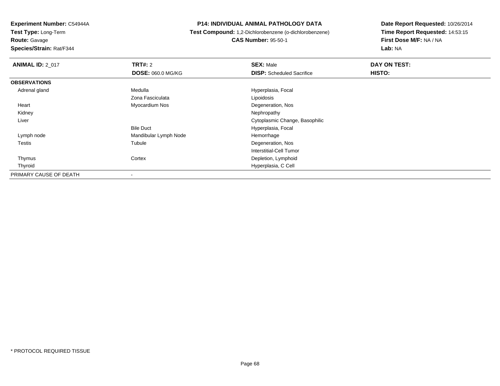**Test Type:** Long-Term

**Route:** Gavage

**Species/Strain:** Rat/F344

## **P14: INDIVIDUAL ANIMAL PATHOLOGY DATA**

 **Test Compound:** 1,2-Dichlorobenzene (o-dichlorobenzene)**CAS Number:** 95-50-1

| <b>ANIMAL ID: 2 017</b> | TRT#: 2               | <b>SEX: Male</b>                 | DAY ON TEST: |  |
|-------------------------|-----------------------|----------------------------------|--------------|--|
|                         | DOSE: 060.0 MG/KG     | <b>DISP:</b> Scheduled Sacrifice | HISTO:       |  |
| <b>OBSERVATIONS</b>     |                       |                                  |              |  |
| Adrenal gland           | Medulla               | Hyperplasia, Focal               |              |  |
|                         | Zona Fasciculata      | Lipoidosis                       |              |  |
| Heart                   | Myocardium Nos        | Degeneration, Nos                |              |  |
| Kidney                  |                       | Nephropathy                      |              |  |
| Liver                   |                       | Cytoplasmic Change, Basophilic   |              |  |
|                         | <b>Bile Duct</b>      | Hyperplasia, Focal               |              |  |
| Lymph node              | Mandibular Lymph Node | Hemorrhage                       |              |  |
| <b>Testis</b>           | Tubule                | Degeneration, Nos                |              |  |
|                         |                       | <b>Interstitial-Cell Tumor</b>   |              |  |
| Thymus                  | Cortex                | Depletion, Lymphoid              |              |  |
| Thyroid                 |                       | Hyperplasia, C Cell              |              |  |
| PRIMARY CAUSE OF DEATH  | $\,$                  |                                  |              |  |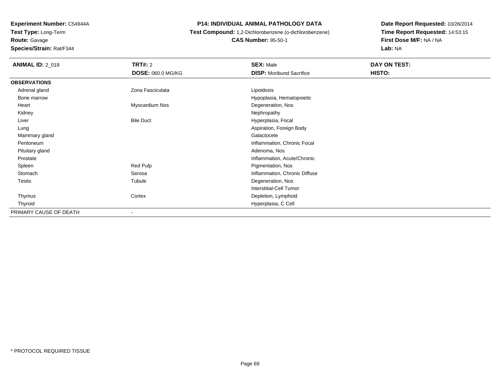**Experiment Number:** C54944A**Test Type:** Long-Term**Route:** Gavage

**Species/Strain:** Rat/F344

## **P14: INDIVIDUAL ANIMAL PATHOLOGY DATA**

## **Test Compound:** 1,2-Dichlorobenzene (o-dichlorobenzene)**CAS Number:** 95-50-1

| <b>ANIMAL ID: 2_018</b> | <b>TRT#: 2</b>           | <b>SEX: Male</b>                | DAY ON TEST: |  |
|-------------------------|--------------------------|---------------------------------|--------------|--|
|                         | <b>DOSE: 060.0 MG/KG</b> | <b>DISP:</b> Moribund Sacrifice | HISTO:       |  |
| <b>OBSERVATIONS</b>     |                          |                                 |              |  |
| Adrenal gland           | Zona Fasciculata         | Lipoidosis                      |              |  |
| Bone marrow             |                          | Hypoplasia, Hematopoietic       |              |  |
| Heart                   | Myocardium Nos           | Degeneration, Nos               |              |  |
| Kidney                  |                          | Nephropathy                     |              |  |
| Liver                   | <b>Bile Duct</b>         | Hyperplasia, Focal              |              |  |
| Lung                    |                          | Aspiration, Foreign Body        |              |  |
| Mammary gland           |                          | Galactocele                     |              |  |
| Peritoneum              |                          | Inflammation, Chronic Focal     |              |  |
| Pituitary gland         |                          | Adenoma, Nos                    |              |  |
| Prostate                |                          | Inflammation, Acute/Chronic     |              |  |
| Spleen                  | Red Pulp                 | Pigmentation, Nos               |              |  |
| Stomach                 | Serosa                   | Inflammation, Chronic Diffuse   |              |  |
| <b>Testis</b>           | Tubule                   | Degeneration, Nos               |              |  |
|                         |                          | Interstitial-Cell Tumor         |              |  |
| Thymus                  | Cortex                   | Depletion, Lymphoid             |              |  |
| Thyroid                 |                          | Hyperplasia, C Cell             |              |  |
| PRIMARY CAUSE OF DEATH  | ۰                        |                                 |              |  |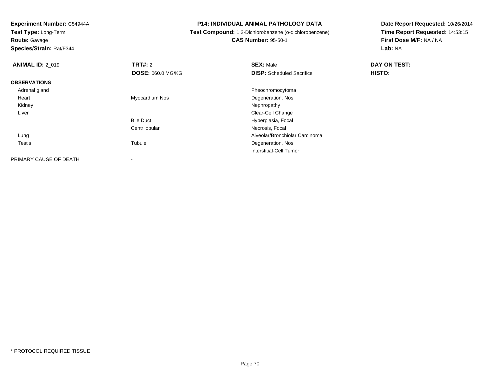**Test Type:** Long-Term

**Route:** Gavage

**Species/Strain:** Rat/F344

## **P14: INDIVIDUAL ANIMAL PATHOLOGY DATA**

 **Test Compound:** 1,2-Dichlorobenzene (o-dichlorobenzene)**CAS Number:** 95-50-1

| <b>ANIMAL ID: 2_019</b> | <b>TRT#: 2</b>           | <b>SEX: Male</b>                 | DAY ON TEST: |  |
|-------------------------|--------------------------|----------------------------------|--------------|--|
|                         | <b>DOSE: 060.0 MG/KG</b> | <b>DISP:</b> Scheduled Sacrifice | HISTO:       |  |
| <b>OBSERVATIONS</b>     |                          |                                  |              |  |
| Adrenal gland           |                          | Pheochromocytoma                 |              |  |
| Heart                   | Myocardium Nos           | Degeneration, Nos                |              |  |
| Kidney                  |                          | Nephropathy                      |              |  |
| Liver                   |                          | Clear-Cell Change                |              |  |
|                         | <b>Bile Duct</b>         | Hyperplasia, Focal               |              |  |
|                         | Centrilobular            | Necrosis, Focal                  |              |  |
| Lung                    |                          | Alveolar/Bronchiolar Carcinoma   |              |  |
| <b>Testis</b>           | Tubule                   | Degeneration, Nos                |              |  |
|                         |                          | <b>Interstitial-Cell Tumor</b>   |              |  |
| PRIMARY CAUSE OF DEATH  |                          |                                  |              |  |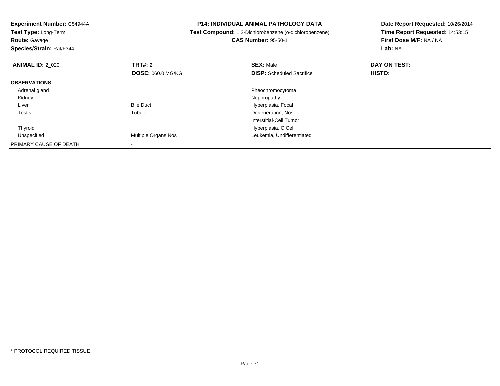| Experiment Number: C54944A<br><b>Test Type: Long-Term</b><br><b>Route: Gavage</b><br>Species/Strain: Rat/F344 |                            | <b>P14: INDIVIDUAL ANIMAL PATHOLOGY DATA</b><br>Test Compound: 1,2-Dichlorobenzene (o-dichlorobenzene)<br><b>CAS Number: 95-50-1</b> | Date Report Requested: 10/26/2014<br>Time Report Requested: 14:53:15<br>First Dose M/F: NA / NA<br>Lab: NA |  |
|---------------------------------------------------------------------------------------------------------------|----------------------------|--------------------------------------------------------------------------------------------------------------------------------------|------------------------------------------------------------------------------------------------------------|--|
| <b>ANIMAL ID: 2 020</b>                                                                                       | <b>TRT#:</b> 2             | <b>SEX: Male</b>                                                                                                                     | DAY ON TEST:                                                                                               |  |
|                                                                                                               | <b>DOSE: 060.0 MG/KG</b>   | <b>DISP:</b> Scheduled Sacrifice                                                                                                     | <b>HISTO:</b>                                                                                              |  |
| <b>OBSERVATIONS</b>                                                                                           |                            |                                                                                                                                      |                                                                                                            |  |
| Adrenal gland                                                                                                 |                            | Pheochromocytoma                                                                                                                     |                                                                                                            |  |
| Kidney                                                                                                        |                            | Nephropathy                                                                                                                          |                                                                                                            |  |
| Liver                                                                                                         | <b>Bile Duct</b>           | Hyperplasia, Focal                                                                                                                   |                                                                                                            |  |
| Testis                                                                                                        | Tubule                     | Degeneration, Nos                                                                                                                    |                                                                                                            |  |
|                                                                                                               |                            | <b>Interstitial-Cell Tumor</b>                                                                                                       |                                                                                                            |  |
| Thyroid                                                                                                       |                            | Hyperplasia, C Cell                                                                                                                  |                                                                                                            |  |
| Unspecified                                                                                                   | <b>Multiple Organs Nos</b> | Leukemia, Undifferentiated                                                                                                           |                                                                                                            |  |
| PRIMARY CAUSE OF DEATH                                                                                        |                            |                                                                                                                                      |                                                                                                            |  |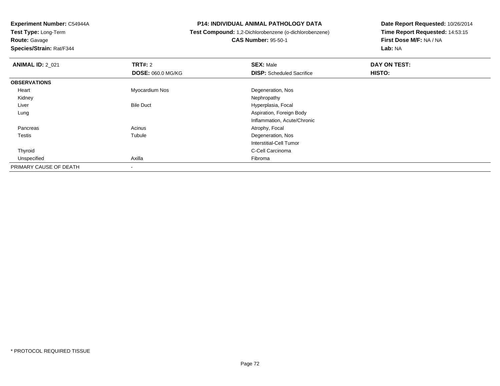**Route:** Gavage

**Species/Strain:** Rat/F344

## **P14: INDIVIDUAL ANIMAL PATHOLOGY DATA**

 **Test Compound:** 1,2-Dichlorobenzene (o-dichlorobenzene)**CAS Number:** 95-50-1

| <b>ANIMAL ID: 2_021</b> | <b>TRT#: 2</b>           | <b>SEX: Male</b>                 | DAY ON TEST: |  |
|-------------------------|--------------------------|----------------------------------|--------------|--|
|                         | <b>DOSE: 060.0 MG/KG</b> | <b>DISP:</b> Scheduled Sacrifice | HISTO:       |  |
| <b>OBSERVATIONS</b>     |                          |                                  |              |  |
| Heart                   | Myocardium Nos           | Degeneration, Nos                |              |  |
| Kidney                  |                          | Nephropathy                      |              |  |
| Liver                   | <b>Bile Duct</b>         | Hyperplasia, Focal               |              |  |
| Lung                    |                          | Aspiration, Foreign Body         |              |  |
|                         |                          | Inflammation, Acute/Chronic      |              |  |
| Pancreas                | Acinus                   | Atrophy, Focal                   |              |  |
| <b>Testis</b>           | Tubule                   | Degeneration, Nos                |              |  |
|                         |                          | Interstitial-Cell Tumor          |              |  |
| Thyroid                 |                          | C-Cell Carcinoma                 |              |  |
| Unspecified             | Axilla                   | Fibroma                          |              |  |
| PRIMARY CAUSE OF DEATH  |                          |                                  |              |  |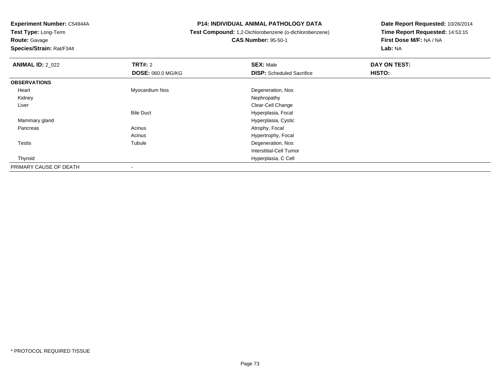**Test Type:** Long-Term**Route:** Gavage

**Species/Strain:** Rat/F344

#### **P14: INDIVIDUAL ANIMAL PATHOLOGY DATA**

# **Test Compound:** 1,2-Dichlorobenzene (o-dichlorobenzene)**CAS Number:** 95-50-1

| <b>ANIMAL ID: 2_022</b> | <b>TRT#: 2</b>           | <b>SEX: Male</b>                 | DAY ON TEST: |  |
|-------------------------|--------------------------|----------------------------------|--------------|--|
|                         | <b>DOSE: 060.0 MG/KG</b> | <b>DISP:</b> Scheduled Sacrifice | HISTO:       |  |
| <b>OBSERVATIONS</b>     |                          |                                  |              |  |
| Heart                   | Myocardium Nos           | Degeneration, Nos                |              |  |
| Kidney                  |                          | Nephropathy                      |              |  |
| Liver                   |                          | Clear-Cell Change                |              |  |
|                         | <b>Bile Duct</b>         | Hyperplasia, Focal               |              |  |
| Mammary gland           |                          | Hyperplasia, Cystic              |              |  |
| Pancreas                | Acinus                   | Atrophy, Focal                   |              |  |
|                         | Acinus                   | Hypertrophy, Focal               |              |  |
| Testis                  | Tubule                   | Degeneration, Nos                |              |  |
|                         |                          | Interstitial-Cell Tumor          |              |  |
| Thyroid                 |                          | Hyperplasia, C Cell              |              |  |
| PRIMARY CAUSE OF DEATH  |                          |                                  |              |  |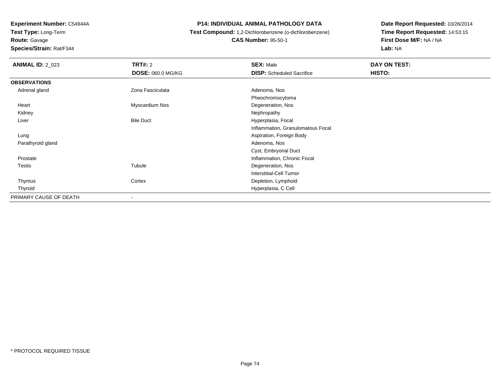**Test Type:** Long-Term**Route:** Gavage

**Species/Strain:** Rat/F344

#### **P14: INDIVIDUAL ANIMAL PATHOLOGY DATA**

# **Test Compound:** 1,2-Dichlorobenzene (o-dichlorobenzene)**CAS Number:** 95-50-1

| <b>ANIMAL ID: 2_023</b> | <b>TRT#:</b> 2           | <b>SEX: Male</b>                  | DAY ON TEST: |  |
|-------------------------|--------------------------|-----------------------------------|--------------|--|
|                         | <b>DOSE: 060.0 MG/KG</b> | <b>DISP:</b> Scheduled Sacrifice  | HISTO:       |  |
| <b>OBSERVATIONS</b>     |                          |                                   |              |  |
| Adrenal gland           | Zona Fasciculata         | Adenoma, Nos                      |              |  |
|                         |                          | Pheochromocytoma                  |              |  |
| Heart                   | Myocardium Nos           | Degeneration, Nos                 |              |  |
| Kidney                  |                          | Nephropathy                       |              |  |
| Liver                   | <b>Bile Duct</b>         | Hyperplasia, Focal                |              |  |
|                         |                          | Inflammation, Granulomatous Focal |              |  |
| Lung                    |                          | Aspiration, Foreign Body          |              |  |
| Parathyroid gland       |                          | Adenoma, Nos                      |              |  |
|                         |                          | Cyst, Embryonal Duct              |              |  |
| Prostate                |                          | Inflammation, Chronic Focal       |              |  |
| <b>Testis</b>           | Tubule                   | Degeneration, Nos                 |              |  |
|                         |                          | Interstitial-Cell Tumor           |              |  |
| Thymus                  | Cortex                   | Depletion, Lymphoid               |              |  |
| Thyroid                 |                          | Hyperplasia, C Cell               |              |  |
| PRIMARY CAUSE OF DEATH  | ۰                        |                                   |              |  |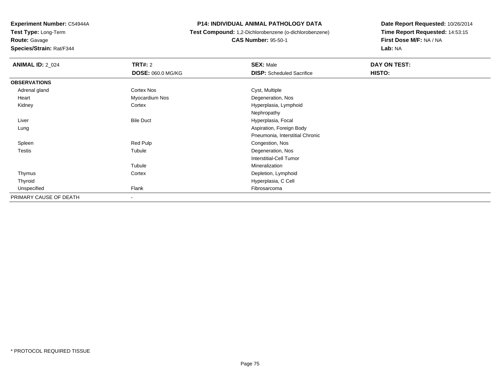**Route:** Gavage

**Species/Strain:** Rat/F344

#### **P14: INDIVIDUAL ANIMAL PATHOLOGY DATA**

# **Test Compound:** 1,2-Dichlorobenzene (o-dichlorobenzene)**CAS Number:** 95-50-1

| <b>ANIMAL ID: 2_024</b> | TRT#: 2                  | <b>SEX: Male</b>                 | DAY ON TEST: |
|-------------------------|--------------------------|----------------------------------|--------------|
|                         | <b>DOSE: 060.0 MG/KG</b> | <b>DISP:</b> Scheduled Sacrifice | HISTO:       |
| <b>OBSERVATIONS</b>     |                          |                                  |              |
| Adrenal gland           | Cortex Nos               | Cyst, Multiple                   |              |
| Heart                   | Myocardium Nos           | Degeneration, Nos                |              |
| Kidney                  | Cortex                   | Hyperplasia, Lymphoid            |              |
|                         |                          | Nephropathy                      |              |
| Liver                   | <b>Bile Duct</b>         | Hyperplasia, Focal               |              |
| Lung                    |                          | Aspiration, Foreign Body         |              |
|                         |                          | Pneumonia, Interstitial Chronic  |              |
| Spleen                  | Red Pulp                 | Congestion, Nos                  |              |
| Testis                  | Tubule                   | Degeneration, Nos                |              |
|                         |                          | <b>Interstitial-Cell Tumor</b>   |              |
|                         | Tubule                   | Mineralization                   |              |
| Thymus                  | Cortex                   | Depletion, Lymphoid              |              |
| Thyroid                 |                          | Hyperplasia, C Cell              |              |
| Unspecified             | Flank                    | Fibrosarcoma                     |              |
| PRIMARY CAUSE OF DEATH  | $\blacksquare$           |                                  |              |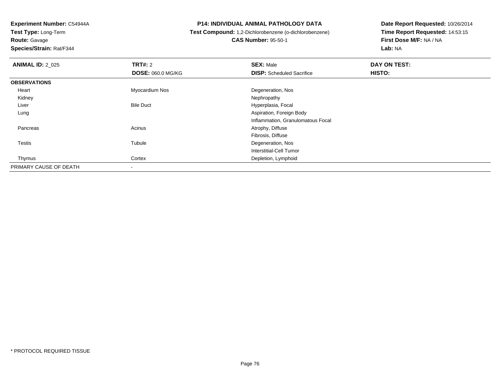# **Route:** Gavage

**Species/Strain:** Rat/F344

#### **P14: INDIVIDUAL ANIMAL PATHOLOGY DATA**

# **Test Compound:** 1,2-Dichlorobenzene (o-dichlorobenzene)

**CAS Number:** 95-50-1

| <b>ANIMAL ID: 2 025</b> | <b>TRT#: 2</b>           | <b>SEX: Male</b>                  | DAY ON TEST: |
|-------------------------|--------------------------|-----------------------------------|--------------|
|                         | <b>DOSE: 060.0 MG/KG</b> | <b>DISP:</b> Scheduled Sacrifice  | HISTO:       |
| <b>OBSERVATIONS</b>     |                          |                                   |              |
| Heart                   | Myocardium Nos           | Degeneration, Nos                 |              |
| Kidney                  |                          | Nephropathy                       |              |
| Liver                   | <b>Bile Duct</b>         | Hyperplasia, Focal                |              |
| Lung                    |                          | Aspiration, Foreign Body          |              |
|                         |                          | Inflammation, Granulomatous Focal |              |
| Pancreas                | Acinus                   | Atrophy, Diffuse                  |              |
|                         |                          | Fibrosis, Diffuse                 |              |
| Testis                  | Tubule                   | Degeneration, Nos                 |              |
|                         |                          | <b>Interstitial-Cell Tumor</b>    |              |
| Thymus                  | Cortex                   | Depletion, Lymphoid               |              |
| PRIMARY CAUSE OF DEATH  | $\overline{\phantom{a}}$ |                                   |              |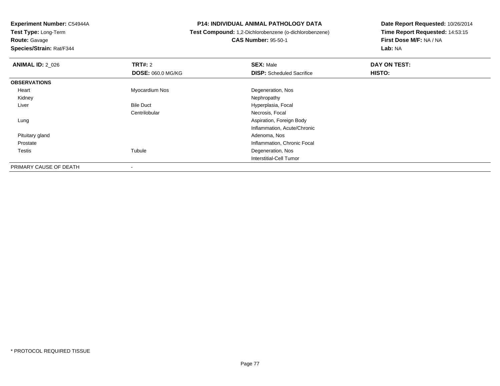**Route:** Gavage

**Species/Strain:** Rat/F344

#### **P14: INDIVIDUAL ANIMAL PATHOLOGY DATA**

 **Test Compound:** 1,2-Dichlorobenzene (o-dichlorobenzene)**CAS Number:** 95-50-1

| <b>ANIMAL ID: 2_026</b> | <b>TRT#: 2</b>           | <b>SEX: Male</b>                 | DAY ON TEST: |  |
|-------------------------|--------------------------|----------------------------------|--------------|--|
|                         | <b>DOSE: 060.0 MG/KG</b> | <b>DISP:</b> Scheduled Sacrifice | HISTO:       |  |
| <b>OBSERVATIONS</b>     |                          |                                  |              |  |
| Heart                   | Myocardium Nos           | Degeneration, Nos                |              |  |
| Kidney                  |                          | Nephropathy                      |              |  |
| Liver                   | <b>Bile Duct</b>         | Hyperplasia, Focal               |              |  |
|                         | Centrilobular            | Necrosis, Focal                  |              |  |
| Lung                    |                          | Aspiration, Foreign Body         |              |  |
|                         |                          | Inflammation, Acute/Chronic      |              |  |
| Pituitary gland         |                          | Adenoma, Nos                     |              |  |
| Prostate                |                          | Inflammation, Chronic Focal      |              |  |
| Testis                  | Tubule                   | Degeneration, Nos                |              |  |
|                         |                          | Interstitial-Cell Tumor          |              |  |
| PRIMARY CAUSE OF DEATH  | $\,$                     |                                  |              |  |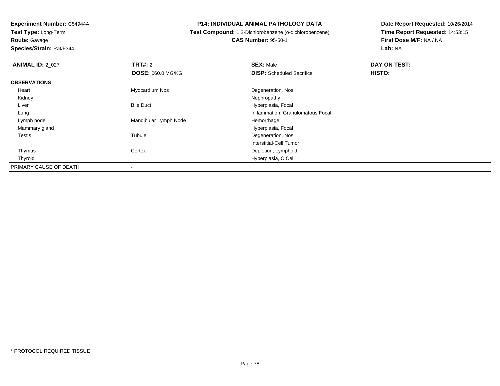**Experiment Number:** C54944A**Test Type:** Long-Term**Route:** Gavage

**Species/Strain:** Rat/F344

# **P14: INDIVIDUAL ANIMAL PATHOLOGY DATA**

 **Test Compound:** 1,2-Dichlorobenzene (o-dichlorobenzene)**CAS Number:** 95-50-1

| <b>ANIMAL ID: 2 027</b> | TRT#: 2                  | <b>SEX: Male</b>                  | DAY ON TEST: |
|-------------------------|--------------------------|-----------------------------------|--------------|
|                         | <b>DOSE: 060.0 MG/KG</b> | <b>DISP:</b> Scheduled Sacrifice  | HISTO:       |
| <b>OBSERVATIONS</b>     |                          |                                   |              |
| Heart                   | Myocardium Nos           | Degeneration, Nos                 |              |
| Kidney                  |                          | Nephropathy                       |              |
| Liver                   | <b>Bile Duct</b>         | Hyperplasia, Focal                |              |
| Lung                    |                          | Inflammation, Granulomatous Focal |              |
| Lymph node              | Mandibular Lymph Node    | Hemorrhage                        |              |
| Mammary gland           |                          | Hyperplasia, Focal                |              |
| Testis                  | Tubule                   | Degeneration, Nos                 |              |
|                         |                          | Interstitial-Cell Tumor           |              |
| Thymus                  | Cortex                   | Depletion, Lymphoid               |              |
| Thyroid                 |                          | Hyperplasia, C Cell               |              |
| PRIMARY CAUSE OF DEATH  |                          |                                   |              |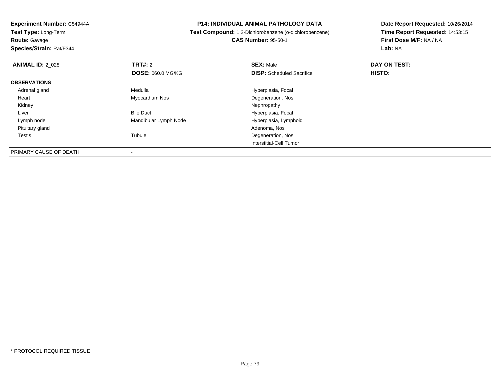-

**Route:** Gavage

**Species/Strain:** Rat/F344

#### **P14: INDIVIDUAL ANIMAL PATHOLOGY DATA**

 **Test Compound:** 1,2-Dichlorobenzene (o-dichlorobenzene) **CAS Number:** 95-50-1

| <b>ANIMAL ID: 2 028</b> | <b>TRT#: 2</b>           | <b>SEX: Male</b>                 | DAY ON TEST:  |  |
|-------------------------|--------------------------|----------------------------------|---------------|--|
|                         | <b>DOSE: 060.0 MG/KG</b> | <b>DISP:</b> Scheduled Sacrifice | <b>HISTO:</b> |  |
| <b>OBSERVATIONS</b>     |                          |                                  |               |  |
| Adrenal gland           | Medulla                  | Hyperplasia, Focal               |               |  |
| Heart                   | Myocardium Nos           | Degeneration, Nos                |               |  |
| Kidney                  |                          | Nephropathy                      |               |  |
| Liver                   | <b>Bile Duct</b>         | Hyperplasia, Focal               |               |  |
| Lymph node              | Mandibular Lymph Node    | Hyperplasia, Lymphoid            |               |  |
| Pituitary gland         |                          | Adenoma, Nos                     |               |  |
| <b>Testis</b>           | Tubule                   | Degeneration, Nos                |               |  |
|                         |                          | Interstitial-Cell Tumor          |               |  |
| PRIMARY CAUSE OF DEATH  |                          |                                  |               |  |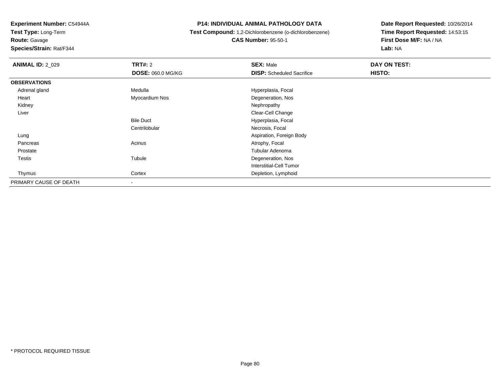**Test Type:** Long-Term

**Route:** Gavage

**Species/Strain:** Rat/F344

#### **P14: INDIVIDUAL ANIMAL PATHOLOGY DATA**

 **Test Compound:** 1,2-Dichlorobenzene (o-dichlorobenzene)**CAS Number:** 95-50-1

| <b>ANIMAL ID: 2_029</b> | TRT#: 2                  | <b>SEX: Male</b>                 | DAY ON TEST: |  |
|-------------------------|--------------------------|----------------------------------|--------------|--|
|                         | <b>DOSE: 060.0 MG/KG</b> | <b>DISP:</b> Scheduled Sacrifice | HISTO:       |  |
| <b>OBSERVATIONS</b>     |                          |                                  |              |  |
| Adrenal gland           | Medulla                  | Hyperplasia, Focal               |              |  |
| Heart                   | Myocardium Nos           | Degeneration, Nos                |              |  |
| Kidney                  |                          | Nephropathy                      |              |  |
| Liver                   |                          | Clear-Cell Change                |              |  |
|                         | <b>Bile Duct</b>         | Hyperplasia, Focal               |              |  |
|                         | Centrilobular            | Necrosis, Focal                  |              |  |
| Lung                    |                          | Aspiration, Foreign Body         |              |  |
| Pancreas                | Acinus                   | Atrophy, Focal                   |              |  |
| Prostate                |                          | Tubular Adenoma                  |              |  |
| <b>Testis</b>           | Tubule                   | Degeneration, Nos                |              |  |
|                         |                          | <b>Interstitial-Cell Tumor</b>   |              |  |
| Thymus                  | Cortex                   | Depletion, Lymphoid              |              |  |
| PRIMARY CAUSE OF DEATH  |                          |                                  |              |  |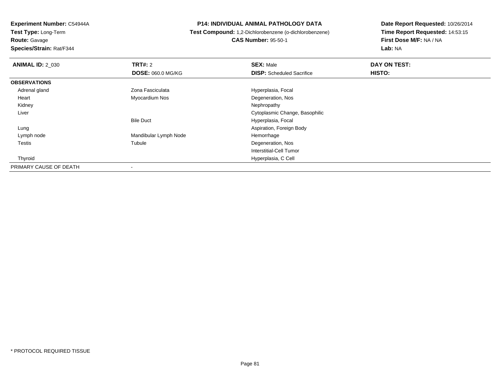**Route:** Gavage

**Species/Strain:** Rat/F344

#### **P14: INDIVIDUAL ANIMAL PATHOLOGY DATA**

 **Test Compound:** 1,2-Dichlorobenzene (o-dichlorobenzene)**CAS Number:** 95-50-1

| <b>ANIMAL ID: 2 030</b> | TRT#: 2                  | <b>SEX: Male</b>                 | DAY ON TEST: |  |
|-------------------------|--------------------------|----------------------------------|--------------|--|
|                         | <b>DOSE: 060.0 MG/KG</b> | <b>DISP:</b> Scheduled Sacrifice | HISTO:       |  |
| <b>OBSERVATIONS</b>     |                          |                                  |              |  |
| Adrenal gland           | Zona Fasciculata         | Hyperplasia, Focal               |              |  |
| Heart                   | Myocardium Nos           | Degeneration, Nos                |              |  |
| Kidney                  |                          | Nephropathy                      |              |  |
| Liver                   |                          | Cytoplasmic Change, Basophilic   |              |  |
|                         | <b>Bile Duct</b>         | Hyperplasia, Focal               |              |  |
| Lung                    |                          | Aspiration, Foreign Body         |              |  |
| Lymph node              | Mandibular Lymph Node    | Hemorrhage                       |              |  |
| Testis                  | Tubule                   | Degeneration, Nos                |              |  |
|                         |                          | Interstitial-Cell Tumor          |              |  |
| Thyroid                 |                          | Hyperplasia, C Cell              |              |  |
| PRIMARY CAUSE OF DEATH  | ۰                        |                                  |              |  |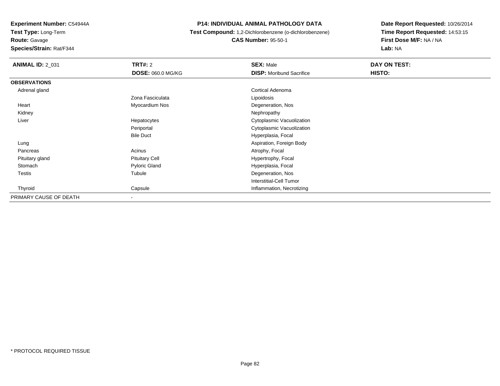**Test Type:** Long-Term

**Route:** Gavage

**Species/Strain:** Rat/F344

#### **P14: INDIVIDUAL ANIMAL PATHOLOGY DATA**

 **Test Compound:** 1,2-Dichlorobenzene (o-dichlorobenzene)**CAS Number:** 95-50-1

| <b>ANIMAL ID: 2_031</b> | TRT#: 2                  | <b>SEX: Male</b>                | DAY ON TEST: |
|-------------------------|--------------------------|---------------------------------|--------------|
|                         | <b>DOSE: 060.0 MG/KG</b> | <b>DISP:</b> Moribund Sacrifice | HISTO:       |
| <b>OBSERVATIONS</b>     |                          |                                 |              |
| Adrenal gland           |                          | <b>Cortical Adenoma</b>         |              |
|                         | Zona Fasciculata         | Lipoidosis                      |              |
| Heart                   | Myocardium Nos           | Degeneration, Nos               |              |
| Kidney                  |                          | Nephropathy                     |              |
| Liver                   | Hepatocytes              | Cytoplasmic Vacuolization       |              |
|                         | Periportal               | Cytoplasmic Vacuolization       |              |
|                         | <b>Bile Duct</b>         | Hyperplasia, Focal              |              |
| Lung                    |                          | Aspiration, Foreign Body        |              |
| Pancreas                | Acinus                   | Atrophy, Focal                  |              |
| Pituitary gland         | <b>Pituitary Cell</b>    | Hypertrophy, Focal              |              |
| Stomach                 | <b>Pyloric Gland</b>     | Hyperplasia, Focal              |              |
| Testis                  | Tubule                   | Degeneration, Nos               |              |
|                         |                          | <b>Interstitial-Cell Tumor</b>  |              |
| Thyroid                 | Capsule                  | Inflammation, Necrotizing       |              |
| PRIMARY CAUSE OF DEATH  | ۰.                       |                                 |              |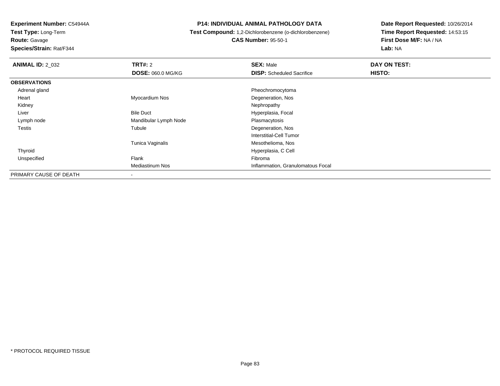**Route:** Gavage

**Species/Strain:** Rat/F344

#### **P14: INDIVIDUAL ANIMAL PATHOLOGY DATA**

 **Test Compound:** 1,2-Dichlorobenzene (o-dichlorobenzene)**CAS Number:** 95-50-1

| <b>ANIMAL ID: 2_032</b> | <b>TRT#: 2</b>           | <b>SEX: Male</b>                  | DAY ON TEST: |  |
|-------------------------|--------------------------|-----------------------------------|--------------|--|
|                         | <b>DOSE: 060.0 MG/KG</b> | <b>DISP:</b> Scheduled Sacrifice  | HISTO:       |  |
| <b>OBSERVATIONS</b>     |                          |                                   |              |  |
| Adrenal gland           |                          | Pheochromocytoma                  |              |  |
| Heart                   | Myocardium Nos           | Degeneration, Nos                 |              |  |
| Kidney                  |                          | Nephropathy                       |              |  |
| Liver                   | <b>Bile Duct</b>         | Hyperplasia, Focal                |              |  |
| Lymph node              | Mandibular Lymph Node    | Plasmacytosis                     |              |  |
| <b>Testis</b>           | Tubule                   | Degeneration, Nos                 |              |  |
|                         |                          | Interstitial-Cell Tumor           |              |  |
|                         | Tunica Vaginalis         | Mesothelioma, Nos                 |              |  |
| Thyroid                 |                          | Hyperplasia, C Cell               |              |  |
| Unspecified             | Flank                    | Fibroma                           |              |  |
|                         | <b>Mediastinum Nos</b>   | Inflammation, Granulomatous Focal |              |  |
| PRIMARY CAUSE OF DEATH  |                          |                                   |              |  |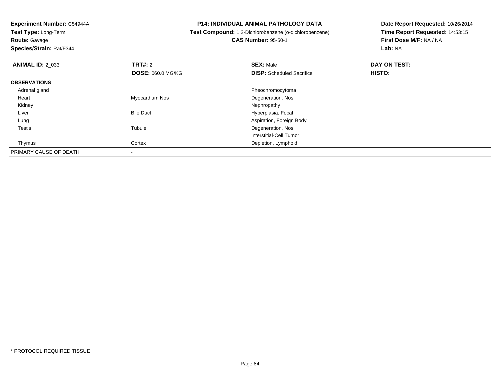**Route:** Gavage

**Species/Strain:** Rat/F344

#### **P14: INDIVIDUAL ANIMAL PATHOLOGY DATA**

**Test Compound:** 1,2-Dichlorobenzene (o-dichlorobenzene)

**CAS Number:** 95-50-1

| <b>ANIMAL ID: 2 033</b> | TRT#: 2                  | <b>SEX: Male</b>                 | DAY ON TEST:  |  |
|-------------------------|--------------------------|----------------------------------|---------------|--|
|                         | <b>DOSE: 060.0 MG/KG</b> | <b>DISP:</b> Scheduled Sacrifice | <b>HISTO:</b> |  |
| <b>OBSERVATIONS</b>     |                          |                                  |               |  |
| Adrenal gland           |                          | Pheochromocytoma                 |               |  |
| Heart                   | Myocardium Nos           | Degeneration, Nos                |               |  |
| Kidney                  |                          | Nephropathy                      |               |  |
| Liver                   | <b>Bile Duct</b>         | Hyperplasia, Focal               |               |  |
| Lung                    |                          | Aspiration, Foreign Body         |               |  |
| <b>Testis</b>           | Tubule                   | Degeneration, Nos                |               |  |
|                         |                          | Interstitial-Cell Tumor          |               |  |
| Thymus                  | Cortex                   | Depletion, Lymphoid              |               |  |
| PRIMARY CAUSE OF DEATH  |                          |                                  |               |  |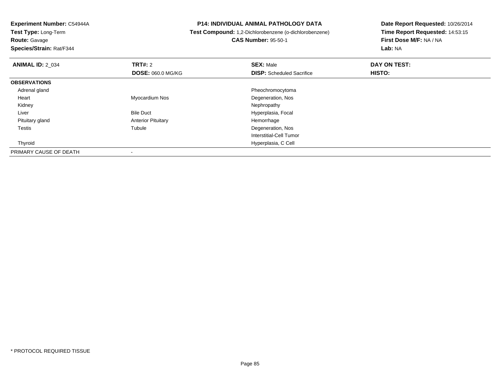**Test Type:** Long-Term**Route:** Gavage

**Species/Strain:** Rat/F344

#### **P14: INDIVIDUAL ANIMAL PATHOLOGY DATA**

**Test Compound:** 1,2-Dichlorobenzene (o-dichlorobenzene)

**CAS Number:** 95-50-1

| <b>ANIMAL ID: 2 034</b> | TRT#: 2                   | <b>SEX: Male</b>                 | DAY ON TEST: |  |
|-------------------------|---------------------------|----------------------------------|--------------|--|
|                         | <b>DOSE: 060.0 MG/KG</b>  | <b>DISP:</b> Scheduled Sacrifice | HISTO:       |  |
| <b>OBSERVATIONS</b>     |                           |                                  |              |  |
| Adrenal gland           |                           | Pheochromocytoma                 |              |  |
| Heart                   | Myocardium Nos            | Degeneration, Nos                |              |  |
| Kidney                  |                           | Nephropathy                      |              |  |
| Liver                   | <b>Bile Duct</b>          | Hyperplasia, Focal               |              |  |
| Pituitary gland         | <b>Anterior Pituitary</b> | Hemorrhage                       |              |  |
| <b>Testis</b>           | Tubule                    | Degeneration, Nos                |              |  |
|                         |                           | Interstitial-Cell Tumor          |              |  |
| Thyroid                 |                           | Hyperplasia, C Cell              |              |  |
| PRIMARY CAUSE OF DEATH  |                           |                                  |              |  |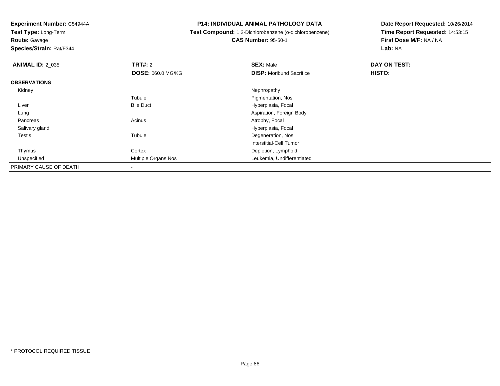**Test Type:** Long-Term**Route:** Gavage

**Species/Strain:** Rat/F344

#### **P14: INDIVIDUAL ANIMAL PATHOLOGY DATA**

# **Test Compound:** 1,2-Dichlorobenzene (o-dichlorobenzene)**CAS Number:** 95-50-1

| <b>ANIMAL ID: 2_035</b> | <b>TRT#: 2</b>           | <b>SEX: Male</b>                | DAY ON TEST: |  |
|-------------------------|--------------------------|---------------------------------|--------------|--|
|                         | <b>DOSE: 060.0 MG/KG</b> | <b>DISP:</b> Moribund Sacrifice | HISTO:       |  |
| <b>OBSERVATIONS</b>     |                          |                                 |              |  |
| Kidney                  |                          | Nephropathy                     |              |  |
|                         | Tubule                   | Pigmentation, Nos               |              |  |
| Liver                   | <b>Bile Duct</b>         | Hyperplasia, Focal              |              |  |
| Lung                    |                          | Aspiration, Foreign Body        |              |  |
| Pancreas                | Acinus                   | Atrophy, Focal                  |              |  |
| Salivary gland          |                          | Hyperplasia, Focal              |              |  |
| <b>Testis</b>           | Tubule                   | Degeneration, Nos               |              |  |
|                         |                          | Interstitial-Cell Tumor         |              |  |
| Thymus                  | Cortex                   | Depletion, Lymphoid             |              |  |
| Unspecified             | Multiple Organs Nos      | Leukemia, Undifferentiated      |              |  |
| PRIMARY CAUSE OF DEATH  |                          |                                 |              |  |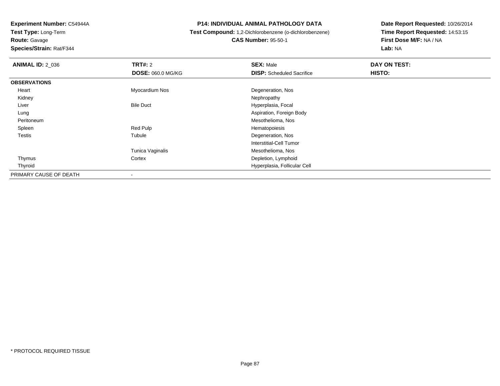**Experiment Number:** C54944A**Test Type:** Long-Term**Route:** Gavage

**Species/Strain:** Rat/F344

#### **P14: INDIVIDUAL ANIMAL PATHOLOGY DATA**

# **Test Compound:** 1,2-Dichlorobenzene (o-dichlorobenzene)**CAS Number:** 95-50-1

| <b>ANIMAL ID: 2_036</b> | <b>TRT#: 2</b>           | <b>SEX: Male</b>                 | DAY ON TEST: |  |
|-------------------------|--------------------------|----------------------------------|--------------|--|
|                         | <b>DOSE: 060.0 MG/KG</b> | <b>DISP:</b> Scheduled Sacrifice | HISTO:       |  |
| <b>OBSERVATIONS</b>     |                          |                                  |              |  |
| Heart                   | Myocardium Nos           | Degeneration, Nos                |              |  |
| Kidney                  |                          | Nephropathy                      |              |  |
| Liver                   | <b>Bile Duct</b>         | Hyperplasia, Focal               |              |  |
| Lung                    |                          | Aspiration, Foreign Body         |              |  |
| Peritoneum              |                          | Mesothelioma, Nos                |              |  |
| Spleen                  | Red Pulp                 | Hematopoiesis                    |              |  |
| Testis                  | Tubule                   | Degeneration, Nos                |              |  |
|                         |                          | Interstitial-Cell Tumor          |              |  |
|                         | Tunica Vaginalis         | Mesothelioma, Nos                |              |  |
| Thymus                  | Cortex                   | Depletion, Lymphoid              |              |  |
| Thyroid                 |                          | Hyperplasia, Follicular Cell     |              |  |
| PRIMARY CAUSE OF DEATH  |                          |                                  |              |  |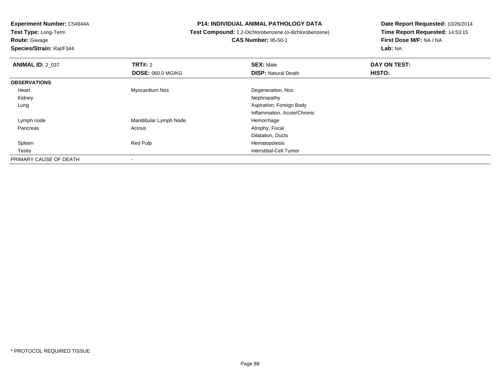**Test Type:** Long-Term**Route:** Gavage

**Species/Strain:** Rat/F344

#### **P14: INDIVIDUAL ANIMAL PATHOLOGY DATA**

 **Test Compound:** 1,2-Dichlorobenzene (o-dichlorobenzene)**CAS Number:** 95-50-1

| <b>ANIMAL ID: 2_037</b> | TRT#: 2                  | <b>SEX: Male</b>            | DAY ON TEST: |  |
|-------------------------|--------------------------|-----------------------------|--------------|--|
|                         | <b>DOSE: 060.0 MG/KG</b> | <b>DISP: Natural Death</b>  | HISTO:       |  |
| <b>OBSERVATIONS</b>     |                          |                             |              |  |
| Heart                   | Myocardium Nos           | Degeneration, Nos           |              |  |
| Kidney                  |                          | Nephropathy                 |              |  |
| Lung                    |                          | Aspiration, Foreign Body    |              |  |
|                         |                          | Inflammation, Acute/Chronic |              |  |
| Lymph node              | Mandibular Lymph Node    | Hemorrhage                  |              |  |
| Pancreas                | Acinus                   | Atrophy, Focal              |              |  |
|                         |                          | Dilatation, Ducts           |              |  |
| Spleen                  | Red Pulp                 | Hematopoiesis               |              |  |
| Testis                  |                          | Interstitial-Cell Tumor     |              |  |
| PRIMARY CAUSE OF DEATH  |                          |                             |              |  |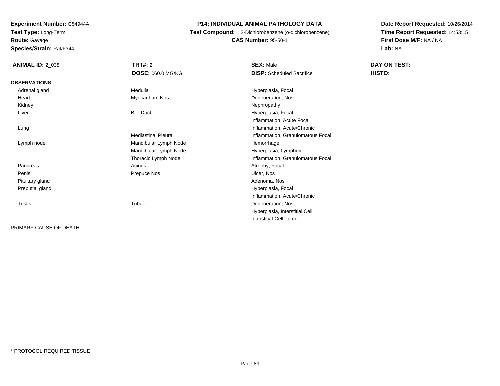**Route:** Gavage

**Species/Strain:** Rat/F344

#### **P14: INDIVIDUAL ANIMAL PATHOLOGY DATA**

 **Test Compound:** 1,2-Dichlorobenzene (o-dichlorobenzene)**CAS Number:** 95-50-1

| <b>ANIMAL ID: 2_038</b> | <b>TRT#: 2</b>            | <b>SEX: Male</b>                  | DAY ON TEST: |  |
|-------------------------|---------------------------|-----------------------------------|--------------|--|
|                         | DOSE: 060.0 MG/KG         | <b>DISP:</b> Scheduled Sacrifice  | HISTO:       |  |
| <b>OBSERVATIONS</b>     |                           |                                   |              |  |
| Adrenal gland           | Medulla                   | Hyperplasia, Focal                |              |  |
| Heart                   | Myocardium Nos            | Degeneration, Nos                 |              |  |
| Kidney                  |                           | Nephropathy                       |              |  |
| Liver                   | <b>Bile Duct</b>          | Hyperplasia, Focal                |              |  |
|                         |                           | Inflammation, Acute Focal         |              |  |
| Lung                    |                           | Inflammation, Acute/Chronic       |              |  |
|                         | <b>Mediastinal Pleura</b> | Inflammation, Granulomatous Focal |              |  |
| Lymph node              | Mandibular Lymph Node     | Hemorrhage                        |              |  |
|                         | Mandibular Lymph Node     | Hyperplasia, Lymphoid             |              |  |
|                         | Thoracic Lymph Node       | Inflammation, Granulomatous Focal |              |  |
| Pancreas                | Acinus                    | Atrophy, Focal                    |              |  |
| Penis                   | Prepuce Nos               | Ulcer, Nos                        |              |  |
| Pituitary gland         |                           | Adenoma, Nos                      |              |  |
| Preputial gland         |                           | Hyperplasia, Focal                |              |  |
|                         |                           | Inflammation, Acute/Chronic       |              |  |
| Testis                  | Tubule                    | Degeneration, Nos                 |              |  |
|                         |                           | Hyperplasia, Interstitial Cell    |              |  |
|                         |                           | Interstitial-Cell Tumor           |              |  |
| PRIMARY CAUSE OF DEATH  | $\overline{\phantom{a}}$  |                                   |              |  |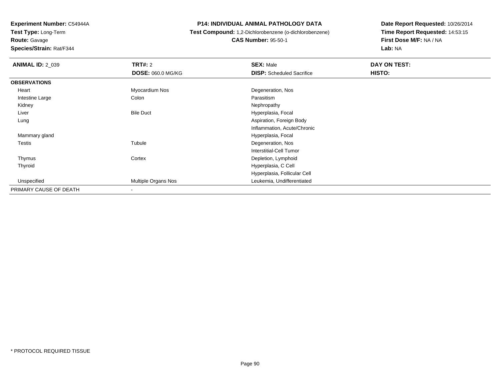**Route:** Gavage

**Species/Strain:** Rat/F344

#### **P14: INDIVIDUAL ANIMAL PATHOLOGY DATA**

**Test Compound:** 1,2-Dichlorobenzene (o-dichlorobenzene)

**CAS Number:** 95-50-1

| <b>ANIMAL ID: 2_039</b> | <b>TRT#: 2</b>           | <b>SEX: Male</b>                 | DAY ON TEST: |  |
|-------------------------|--------------------------|----------------------------------|--------------|--|
|                         | <b>DOSE: 060.0 MG/KG</b> | <b>DISP:</b> Scheduled Sacrifice | HISTO:       |  |
| <b>OBSERVATIONS</b>     |                          |                                  |              |  |
| Heart                   | Myocardium Nos           | Degeneration, Nos                |              |  |
| Intestine Large         | Colon                    | Parasitism                       |              |  |
| Kidney                  |                          | Nephropathy                      |              |  |
| Liver                   | <b>Bile Duct</b>         | Hyperplasia, Focal               |              |  |
| Lung                    |                          | Aspiration, Foreign Body         |              |  |
|                         |                          | Inflammation, Acute/Chronic      |              |  |
| Mammary gland           |                          | Hyperplasia, Focal               |              |  |
| Testis                  | Tubule                   | Degeneration, Nos                |              |  |
|                         |                          | Interstitial-Cell Tumor          |              |  |
| Thymus                  | Cortex                   | Depletion, Lymphoid              |              |  |
| Thyroid                 |                          | Hyperplasia, C Cell              |              |  |
|                         |                          | Hyperplasia, Follicular Cell     |              |  |
| Unspecified             | Multiple Organs Nos      | Leukemia, Undifferentiated       |              |  |
| PRIMARY CAUSE OF DEATH  | $\overline{\phantom{a}}$ |                                  |              |  |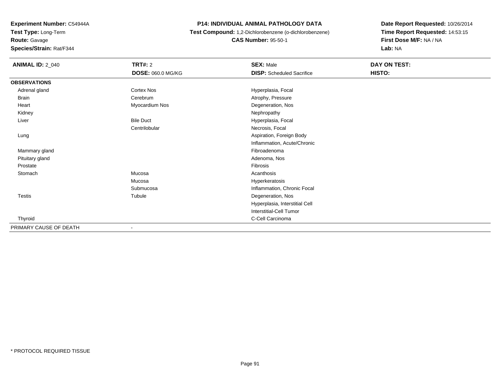**Route:** Gavage

**Species/Strain:** Rat/F344

#### **P14: INDIVIDUAL ANIMAL PATHOLOGY DATA**

 **Test Compound:** 1,2-Dichlorobenzene (o-dichlorobenzene)**CAS Number:** 95-50-1

| <b>ANIMAL ID: 2_040</b> | <b>TRT#: 2</b>           | <b>SEX: Male</b>                 | DAY ON TEST: |  |
|-------------------------|--------------------------|----------------------------------|--------------|--|
|                         | DOSE: 060.0 MG/KG        | <b>DISP:</b> Scheduled Sacrifice | HISTO:       |  |
| <b>OBSERVATIONS</b>     |                          |                                  |              |  |
| Adrenal gland           | Cortex Nos               | Hyperplasia, Focal               |              |  |
| <b>Brain</b>            | Cerebrum                 | Atrophy, Pressure                |              |  |
| Heart                   | Myocardium Nos           | Degeneration, Nos                |              |  |
| Kidney                  |                          | Nephropathy                      |              |  |
| Liver                   | <b>Bile Duct</b>         | Hyperplasia, Focal               |              |  |
|                         | Centrilobular            | Necrosis, Focal                  |              |  |
| Lung                    |                          | Aspiration, Foreign Body         |              |  |
|                         |                          | Inflammation, Acute/Chronic      |              |  |
| Mammary gland           |                          | Fibroadenoma                     |              |  |
| Pituitary gland         |                          | Adenoma, Nos                     |              |  |
| Prostate                |                          | Fibrosis                         |              |  |
| Stomach                 | Mucosa                   | Acanthosis                       |              |  |
|                         | Mucosa                   | Hyperkeratosis                   |              |  |
|                         | Submucosa                | Inflammation, Chronic Focal      |              |  |
| Testis                  | Tubule                   | Degeneration, Nos                |              |  |
|                         |                          | Hyperplasia, Interstitial Cell   |              |  |
|                         |                          | Interstitial-Cell Tumor          |              |  |
| Thyroid                 |                          | C-Cell Carcinoma                 |              |  |
| PRIMARY CAUSE OF DEATH  | $\overline{\phantom{0}}$ |                                  |              |  |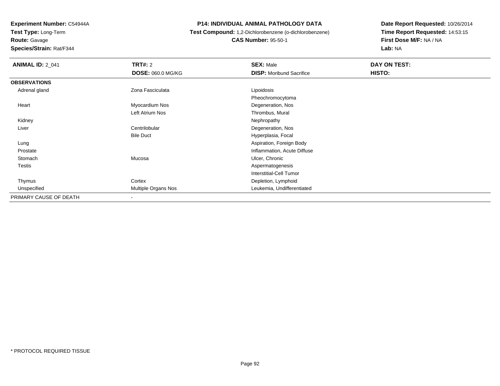**Test Type:** Long-Term

**Route:** Gavage

**Species/Strain:** Rat/F344

#### **P14: INDIVIDUAL ANIMAL PATHOLOGY DATA**

# **Test Compound:** 1,2-Dichlorobenzene (o-dichlorobenzene)**CAS Number:** 95-50-1

| <b>ANIMAL ID: 2_041</b> | TRT#: 2                  | <b>SEX: Male</b>                | DAY ON TEST: |
|-------------------------|--------------------------|---------------------------------|--------------|
|                         | <b>DOSE: 060.0 MG/KG</b> | <b>DISP:</b> Moribund Sacrifice | HISTO:       |
| <b>OBSERVATIONS</b>     |                          |                                 |              |
| Adrenal gland           | Zona Fasciculata         | Lipoidosis                      |              |
|                         |                          | Pheochromocytoma                |              |
| Heart                   | Myocardium Nos           | Degeneration, Nos               |              |
|                         | Left Atrium Nos          | Thrombus, Mural                 |              |
| Kidney                  |                          | Nephropathy                     |              |
| Liver                   | Centrilobular            | Degeneration, Nos               |              |
|                         | <b>Bile Duct</b>         | Hyperplasia, Focal              |              |
| Lung                    |                          | Aspiration, Foreign Body        |              |
| Prostate                |                          | Inflammation, Acute Diffuse     |              |
| Stomach                 | Mucosa                   | Ulcer, Chronic                  |              |
| <b>Testis</b>           |                          | Aspermatogenesis                |              |
|                         |                          | <b>Interstitial-Cell Tumor</b>  |              |
| Thymus                  | Cortex                   | Depletion, Lymphoid             |              |
| Unspecified             | Multiple Organs Nos      | Leukemia, Undifferentiated      |              |
| PRIMARY CAUSE OF DEATH  | $\overline{\phantom{a}}$ |                                 |              |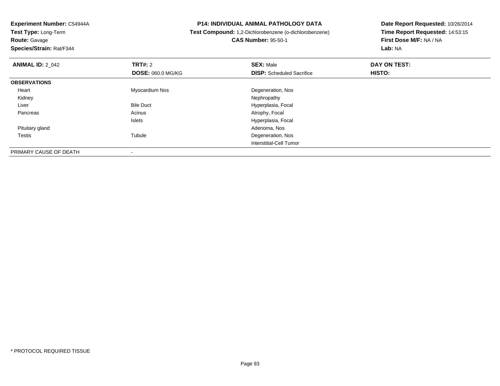**Route:** Gavage

**Species/Strain:** Rat/F344

#### **P14: INDIVIDUAL ANIMAL PATHOLOGY DATA**

 **Test Compound:** 1,2-Dichlorobenzene (o-dichlorobenzene)**CAS Number:** 95-50-1

| <b>ANIMAL ID: 2 042</b> | TRT#: 2                  | <b>SEX: Male</b>                 | DAY ON TEST: |  |
|-------------------------|--------------------------|----------------------------------|--------------|--|
|                         | <b>DOSE: 060.0 MG/KG</b> | <b>DISP:</b> Scheduled Sacrifice | HISTO:       |  |
| <b>OBSERVATIONS</b>     |                          |                                  |              |  |
| Heart                   | Myocardium Nos           | Degeneration, Nos                |              |  |
| Kidney                  |                          | Nephropathy                      |              |  |
| Liver                   | <b>Bile Duct</b>         | Hyperplasia, Focal               |              |  |
| Pancreas                | Acinus                   | Atrophy, Focal                   |              |  |
|                         | Islets                   | Hyperplasia, Focal               |              |  |
| Pituitary gland         |                          | Adenoma, Nos                     |              |  |
| Testis                  | Tubule                   | Degeneration, Nos                |              |  |
|                         |                          | Interstitial-Cell Tumor          |              |  |
| PRIMARY CAUSE OF DEATH  |                          |                                  |              |  |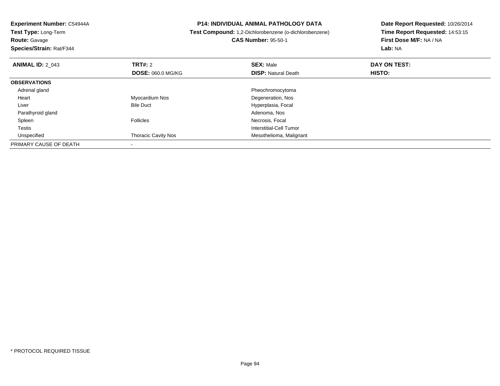**Experiment Number:** C54944A**Test Type:** Long-Term**Route:** Gavage **Species/Strain:** Rat/F344**P14: INDIVIDUAL ANIMAL PATHOLOGY DATA Test Compound:** 1,2-Dichlorobenzene (o-dichlorobenzene)**CAS Number:** 95-50-1**Date Report Requested:** 10/26/2014**Time Report Requested:** 14:53:15**First Dose M/F:** NA / NA**Lab:** NA**ANIMAL ID:** 2\_043**TRT#:** 2 **SEX:** Male **DAY ON TEST: DOSE:** 060.0 MG/KG**DISP:** Natural Death **HISTO: OBSERVATIONS** Adrenal gland Pheochromocytoma Heart Myocardium Nos Degeneration, Nos LiverBile Duct **Hyperplasia**, Focal Parathyroid gland Adenoma, Nos Spleenn is a constant of the Follicles of the Follicles of the Second Mecrosis, Focal and The Second Second Second S Testis Interstitial-Cell Tumor UnspecifiedThoracic Cavity Nos **Mesothelioma**, Malignant PRIMARY CAUSE OF DEATH-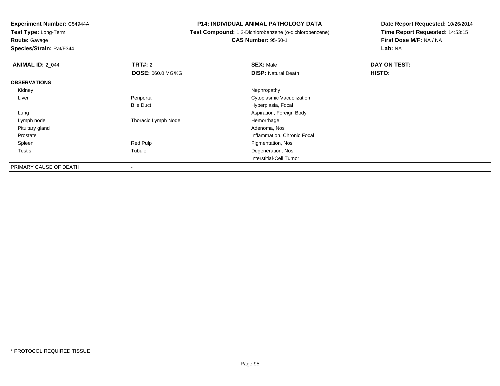**Test Type:** Long-Term**Route:** Gavage

**Species/Strain:** Rat/F344

#### **P14: INDIVIDUAL ANIMAL PATHOLOGY DATA**

# **Test Compound:** 1,2-Dichlorobenzene (o-dichlorobenzene)**CAS Number:** 95-50-1

| <b>ANIMAL ID: 2 044</b> | TRT#: 2                  | <b>SEX: Male</b>            | DAY ON TEST: |  |
|-------------------------|--------------------------|-----------------------------|--------------|--|
|                         | <b>DOSE: 060.0 MG/KG</b> | <b>DISP: Natural Death</b>  | HISTO:       |  |
| <b>OBSERVATIONS</b>     |                          |                             |              |  |
| Kidney                  |                          | Nephropathy                 |              |  |
| Liver                   | Periportal               | Cytoplasmic Vacuolization   |              |  |
|                         | <b>Bile Duct</b>         | Hyperplasia, Focal          |              |  |
| Lung                    |                          | Aspiration, Foreign Body    |              |  |
| Lymph node              | Thoracic Lymph Node      | Hemorrhage                  |              |  |
| Pituitary gland         |                          | Adenoma, Nos                |              |  |
| Prostate                |                          | Inflammation, Chronic Focal |              |  |
| Spleen                  | Red Pulp                 | Pigmentation, Nos           |              |  |
| Testis                  | Tubule                   | Degeneration, Nos           |              |  |
|                         |                          | Interstitial-Cell Tumor     |              |  |
| PRIMARY CAUSE OF DEATH  | $\overline{\phantom{a}}$ |                             |              |  |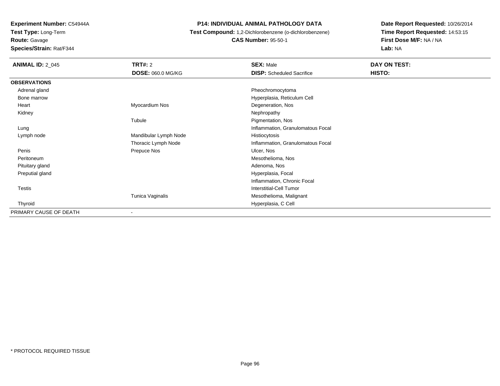**Route:** Gavage

**Species/Strain:** Rat/F344

#### **P14: INDIVIDUAL ANIMAL PATHOLOGY DATA**

**Test Compound:** 1,2-Dichlorobenzene (o-dichlorobenzene)

**CAS Number:** 95-50-1

| <b>ANIMAL ID: 2 045</b> | <b>TRT#: 2</b>           | <b>SEX: Male</b>                  | DAY ON TEST: |
|-------------------------|--------------------------|-----------------------------------|--------------|
|                         | <b>DOSE: 060.0 MG/KG</b> | <b>DISP:</b> Scheduled Sacrifice  | HISTO:       |
| <b>OBSERVATIONS</b>     |                          |                                   |              |
| Adrenal gland           |                          | Pheochromocytoma                  |              |
| Bone marrow             |                          | Hyperplasia, Reticulum Cell       |              |
| Heart                   | Myocardium Nos           | Degeneration, Nos                 |              |
| Kidney                  |                          | Nephropathy                       |              |
|                         | Tubule                   | Pigmentation, Nos                 |              |
| Lung                    |                          | Inflammation, Granulomatous Focal |              |
| Lymph node              | Mandibular Lymph Node    | Histiocytosis                     |              |
|                         | Thoracic Lymph Node      | Inflammation, Granulomatous Focal |              |
| Penis                   | Prepuce Nos              | Ulcer, Nos                        |              |
| Peritoneum              |                          | Mesothelioma, Nos                 |              |
| Pituitary gland         |                          | Adenoma, Nos                      |              |
| Preputial gland         |                          | Hyperplasia, Focal                |              |
|                         |                          | Inflammation, Chronic Focal       |              |
| Testis                  |                          | Interstitial-Cell Tumor           |              |
|                         | Tunica Vaginalis         | Mesothelioma, Malignant           |              |
| Thyroid                 |                          | Hyperplasia, C Cell               |              |
| PRIMARY CAUSE OF DEATH  |                          |                                   |              |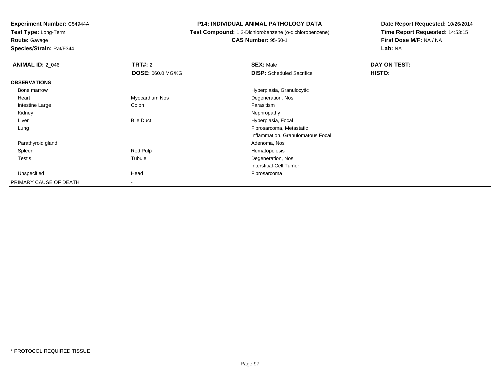**Route:** Gavage

**Species/Strain:** Rat/F344

#### **P14: INDIVIDUAL ANIMAL PATHOLOGY DATA**

**Test Compound:** 1,2-Dichlorobenzene (o-dichlorobenzene)

**CAS Number:** 95-50-1

| <b>ANIMAL ID: 2 046</b> | <b>TRT#:</b> 2           | <b>SEX: Male</b>                  | DAY ON TEST: |  |
|-------------------------|--------------------------|-----------------------------------|--------------|--|
|                         | <b>DOSE: 060.0 MG/KG</b> | <b>DISP:</b> Scheduled Sacrifice  | HISTO:       |  |
| <b>OBSERVATIONS</b>     |                          |                                   |              |  |
| Bone marrow             |                          | Hyperplasia, Granulocytic         |              |  |
| Heart                   | Myocardium Nos           | Degeneration, Nos                 |              |  |
| Intestine Large         | Colon                    | Parasitism                        |              |  |
| Kidney                  |                          | Nephropathy                       |              |  |
| Liver                   | <b>Bile Duct</b>         | Hyperplasia, Focal                |              |  |
| Lung                    |                          | Fibrosarcoma, Metastatic          |              |  |
|                         |                          | Inflammation, Granulomatous Focal |              |  |
| Parathyroid gland       |                          | Adenoma, Nos                      |              |  |
| Spleen                  | Red Pulp                 | Hematopoiesis                     |              |  |
| <b>Testis</b>           | Tubule                   | Degeneration, Nos                 |              |  |
|                         |                          | <b>Interstitial-Cell Tumor</b>    |              |  |
| Unspecified             | Head                     | Fibrosarcoma                      |              |  |
| PRIMARY CAUSE OF DEATH  |                          |                                   |              |  |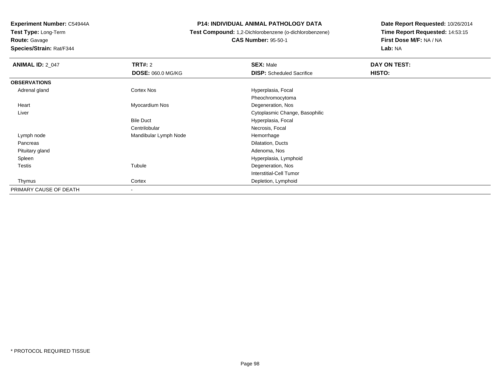**Test Type:** Long-Term

**Route:** Gavage

**Species/Strain:** Rat/F344

#### **P14: INDIVIDUAL ANIMAL PATHOLOGY DATA**

 **Test Compound:** 1,2-Dichlorobenzene (o-dichlorobenzene)**CAS Number:** 95-50-1

| <b>ANIMAL ID: 2_047</b> | TRT#: 2               | <b>SEX: Male</b>                 | DAY ON TEST: |  |
|-------------------------|-----------------------|----------------------------------|--------------|--|
|                         | DOSE: 060.0 MG/KG     | <b>DISP:</b> Scheduled Sacrifice | HISTO:       |  |
| <b>OBSERVATIONS</b>     |                       |                                  |              |  |
| Adrenal gland           | Cortex Nos            | Hyperplasia, Focal               |              |  |
|                         |                       | Pheochromocytoma                 |              |  |
| Heart                   | Myocardium Nos        | Degeneration, Nos                |              |  |
| Liver                   |                       | Cytoplasmic Change, Basophilic   |              |  |
|                         | <b>Bile Duct</b>      | Hyperplasia, Focal               |              |  |
|                         | Centrilobular         | Necrosis, Focal                  |              |  |
| Lymph node              | Mandibular Lymph Node | Hemorrhage                       |              |  |
| Pancreas                |                       | Dilatation, Ducts                |              |  |
| Pituitary gland         |                       | Adenoma, Nos                     |              |  |
| Spleen                  |                       | Hyperplasia, Lymphoid            |              |  |
| Testis                  | Tubule                | Degeneration, Nos                |              |  |
|                         |                       | <b>Interstitial-Cell Tumor</b>   |              |  |
| Thymus                  | Cortex                | Depletion, Lymphoid              |              |  |
| PRIMARY CAUSE OF DEATH  |                       |                                  |              |  |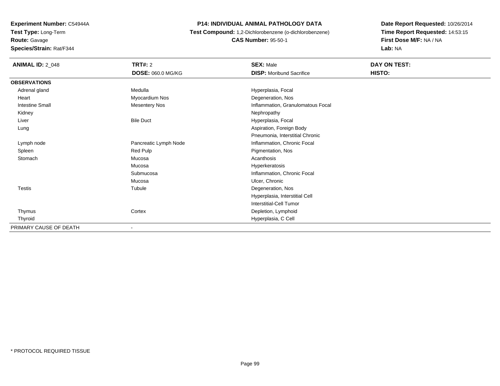**Experiment Number:** C54944A**Test Type:** Long-Term**Route:** Gavage

# **Species/Strain:** Rat/F344

#### **P14: INDIVIDUAL ANIMAL PATHOLOGY DATA**

 **Test Compound:** 1,2-Dichlorobenzene (o-dichlorobenzene)**CAS Number:** 95-50-1

| <b>ANIMAL ID: 2_048</b> | <b>TRT#: 2</b>           | <b>SEX: Male</b>                  | DAY ON TEST: |  |
|-------------------------|--------------------------|-----------------------------------|--------------|--|
|                         | <b>DOSE: 060.0 MG/KG</b> | <b>DISP:</b> Moribund Sacrifice   | HISTO:       |  |
| <b>OBSERVATIONS</b>     |                          |                                   |              |  |
| Adrenal gland           | Medulla                  | Hyperplasia, Focal                |              |  |
| Heart                   | Myocardium Nos           | Degeneration, Nos                 |              |  |
| <b>Intestine Small</b>  | <b>Mesentery Nos</b>     | Inflammation, Granulomatous Focal |              |  |
| Kidney                  |                          | Nephropathy                       |              |  |
| Liver                   | <b>Bile Duct</b>         | Hyperplasia, Focal                |              |  |
| Lung                    |                          | Aspiration, Foreign Body          |              |  |
|                         |                          | Pneumonia, Interstitial Chronic   |              |  |
| Lymph node              | Pancreatic Lymph Node    | Inflammation, Chronic Focal       |              |  |
| Spleen                  | Red Pulp                 | Pigmentation, Nos                 |              |  |
| Stomach                 | Mucosa                   | Acanthosis                        |              |  |
|                         | Mucosa                   | Hyperkeratosis                    |              |  |
|                         | Submucosa                | Inflammation, Chronic Focal       |              |  |
|                         | Mucosa                   | Ulcer, Chronic                    |              |  |
| Testis                  | Tubule                   | Degeneration, Nos                 |              |  |
|                         |                          | Hyperplasia, Interstitial Cell    |              |  |
|                         |                          | <b>Interstitial-Cell Tumor</b>    |              |  |
| Thymus                  | Cortex                   | Depletion, Lymphoid               |              |  |
| Thyroid                 |                          | Hyperplasia, C Cell               |              |  |
| PRIMARY CAUSE OF DEATH  | ٠                        |                                   |              |  |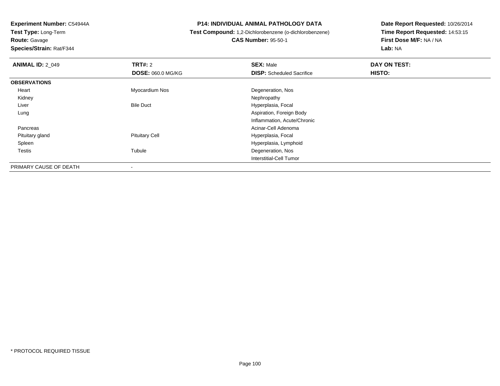**Route:** Gavage

**Species/Strain:** Rat/F344

#### **P14: INDIVIDUAL ANIMAL PATHOLOGY DATA**

# **Test Compound:** 1,2-Dichlorobenzene (o-dichlorobenzene)**CAS Number:** 95-50-1

| <b>ANIMAL ID: 2 049</b> | TRT#: 2                  | <b>SEX: Male</b>                 | DAY ON TEST: |  |
|-------------------------|--------------------------|----------------------------------|--------------|--|
|                         | <b>DOSE: 060.0 MG/KG</b> | <b>DISP:</b> Scheduled Sacrifice | HISTO:       |  |
| <b>OBSERVATIONS</b>     |                          |                                  |              |  |
| Heart                   | Myocardium Nos           | Degeneration, Nos                |              |  |
| Kidney                  |                          | Nephropathy                      |              |  |
| Liver                   | <b>Bile Duct</b>         | Hyperplasia, Focal               |              |  |
| Lung                    |                          | Aspiration, Foreign Body         |              |  |
|                         |                          | Inflammation, Acute/Chronic      |              |  |
| Pancreas                |                          | Acinar-Cell Adenoma              |              |  |
| Pituitary gland         | <b>Pituitary Cell</b>    | Hyperplasia, Focal               |              |  |
| Spleen                  |                          | Hyperplasia, Lymphoid            |              |  |
| Testis                  | Tubule                   | Degeneration, Nos                |              |  |
|                         |                          | Interstitial-Cell Tumor          |              |  |
| PRIMARY CAUSE OF DEATH  | $\overline{\phantom{a}}$ |                                  |              |  |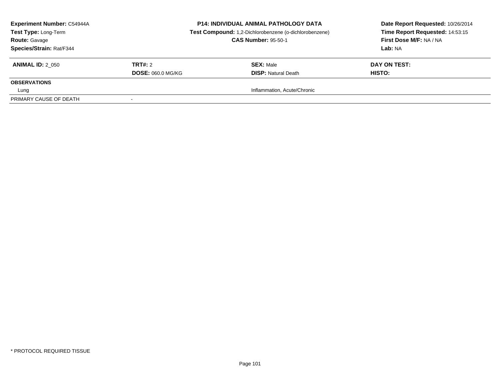| <b>Experiment Number: C54944A</b><br>Test Type: Long-Term<br><b>Route: Gavage</b><br>Species/Strain: Rat/F344 |                                            | <b>P14: INDIVIDUAL ANIMAL PATHOLOGY DATA</b><br>Test Compound: 1,2-Dichlorobenzene (o-dichlorobenzene)<br><b>CAS Number: 95-50-1</b> | Date Report Requested: 10/26/2014<br>Time Report Requested: 14:53:15<br>First Dose M/F: NA / NA<br>Lab: NA |
|---------------------------------------------------------------------------------------------------------------|--------------------------------------------|--------------------------------------------------------------------------------------------------------------------------------------|------------------------------------------------------------------------------------------------------------|
| <b>ANIMAL ID: 2 050</b>                                                                                       | <b>TRT#: 2</b><br><b>DOSE: 060.0 MG/KG</b> | <b>SEX: Male</b><br><b>DISP:</b> Natural Death                                                                                       | DAY ON TEST:<br><b>HISTO:</b>                                                                              |
| <b>OBSERVATIONS</b>                                                                                           |                                            |                                                                                                                                      |                                                                                                            |
| Lung                                                                                                          |                                            | Inflammation, Acute/Chronic                                                                                                          |                                                                                                            |
| PRIMARY CAUSE OF DEATH                                                                                        |                                            |                                                                                                                                      |                                                                                                            |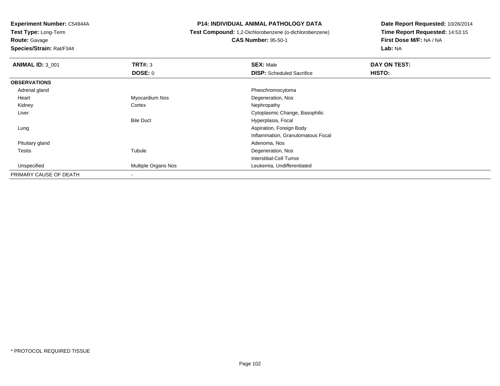**Test Type:** Long-Term

**Route:** Gavage

**Species/Strain:** Rat/F344

#### **P14: INDIVIDUAL ANIMAL PATHOLOGY DATA**

**Test Compound:** 1,2-Dichlorobenzene (o-dichlorobenzene)

**CAS Number:** 95-50-1

| <b>ANIMAL ID: 3_001</b> | TRT#: 3                    | <b>SEX: Male</b>                  | DAY ON TEST: |  |
|-------------------------|----------------------------|-----------------------------------|--------------|--|
|                         | DOSE: 0                    | <b>DISP:</b> Scheduled Sacrifice  | HISTO:       |  |
| <b>OBSERVATIONS</b>     |                            |                                   |              |  |
| Adrenal gland           |                            | Pheochromocytoma                  |              |  |
| Heart                   | Myocardium Nos             | Degeneration, Nos                 |              |  |
| Kidney                  | Cortex                     | Nephropathy                       |              |  |
| Liver                   |                            | Cytoplasmic Change, Basophilic    |              |  |
|                         | <b>Bile Duct</b>           | Hyperplasia, Focal                |              |  |
| Lung                    |                            | Aspiration, Foreign Body          |              |  |
|                         |                            | Inflammation, Granulomatous Focal |              |  |
| Pituitary gland         |                            | Adenoma, Nos                      |              |  |
| Testis                  | Tubule                     | Degeneration, Nos                 |              |  |
|                         |                            | Interstitial-Cell Tumor           |              |  |
| Unspecified             | <b>Multiple Organs Nos</b> | Leukemia, Undifferentiated        |              |  |
| PRIMARY CAUSE OF DEATH  |                            |                                   |              |  |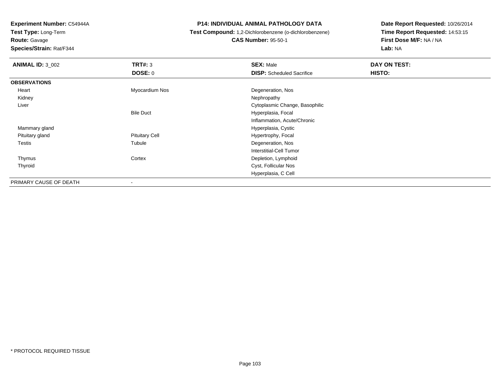**Test Type:** Long-Term

**Route:** Gavage

**Species/Strain:** Rat/F344

#### **P14: INDIVIDUAL ANIMAL PATHOLOGY DATA**

**Test Compound:** 1,2-Dichlorobenzene (o-dichlorobenzene)

**CAS Number:** 95-50-1

| <b>ANIMAL ID: 3 002</b> | TRT#: 3               | <b>SEX: Male</b>                 | DAY ON TEST: |
|-------------------------|-----------------------|----------------------------------|--------------|
|                         | <b>DOSE: 0</b>        | <b>DISP:</b> Scheduled Sacrifice | HISTO:       |
| <b>OBSERVATIONS</b>     |                       |                                  |              |
| Heart                   | Myocardium Nos        | Degeneration, Nos                |              |
| Kidney                  |                       | Nephropathy                      |              |
| Liver                   |                       | Cytoplasmic Change, Basophilic   |              |
|                         | <b>Bile Duct</b>      | Hyperplasia, Focal               |              |
|                         |                       | Inflammation, Acute/Chronic      |              |
| Mammary gland           |                       | Hyperplasia, Cystic              |              |
| Pituitary gland         | <b>Pituitary Cell</b> | Hypertrophy, Focal               |              |
| <b>Testis</b>           | Tubule                | Degeneration, Nos                |              |
|                         |                       | Interstitial-Cell Tumor          |              |
| Thymus                  | Cortex                | Depletion, Lymphoid              |              |
| Thyroid                 |                       | Cyst, Follicular Nos             |              |
|                         |                       | Hyperplasia, C Cell              |              |
| PRIMARY CAUSE OF DEATH  |                       |                                  |              |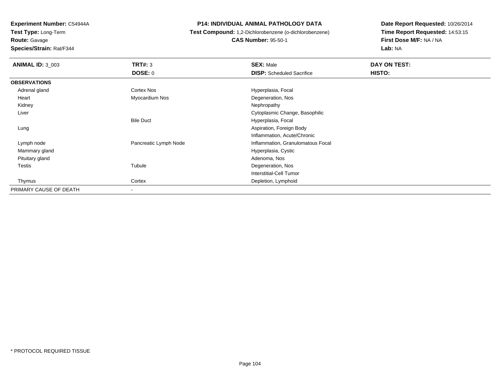**Test Type:** Long-Term

**Route:** Gavage

**Species/Strain:** Rat/F344

**P14: INDIVIDUAL ANIMAL PATHOLOGY DATA**

 **Test Compound:** 1,2-Dichlorobenzene (o-dichlorobenzene)**CAS Number:** 95-50-1

| <b>ANIMAL ID: 3_003</b> | TRT#: 3               | <b>SEX: Male</b>                  | DAY ON TEST: |  |
|-------------------------|-----------------------|-----------------------------------|--------------|--|
|                         | DOSE: 0               | <b>DISP:</b> Scheduled Sacrifice  | HISTO:       |  |
| <b>OBSERVATIONS</b>     |                       |                                   |              |  |
| Adrenal gland           | <b>Cortex Nos</b>     | Hyperplasia, Focal                |              |  |
| Heart                   | Myocardium Nos        | Degeneration, Nos                 |              |  |
| Kidney                  |                       | Nephropathy                       |              |  |
| Liver                   |                       | Cytoplasmic Change, Basophilic    |              |  |
|                         | <b>Bile Duct</b>      | Hyperplasia, Focal                |              |  |
| Lung                    |                       | Aspiration, Foreign Body          |              |  |
|                         |                       | Inflammation, Acute/Chronic       |              |  |
| Lymph node              | Pancreatic Lymph Node | Inflammation, Granulomatous Focal |              |  |
| Mammary gland           |                       | Hyperplasia, Cystic               |              |  |
| Pituitary gland         |                       | Adenoma, Nos                      |              |  |
| <b>Testis</b>           | Tubule                | Degeneration, Nos                 |              |  |
|                         |                       | <b>Interstitial-Cell Tumor</b>    |              |  |
| Thymus                  | Cortex                | Depletion, Lymphoid               |              |  |
| PRIMARY CAUSE OF DEATH  |                       |                                   |              |  |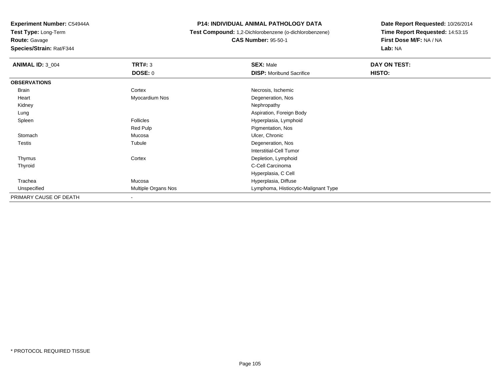**Test Type:** Long-Term

**Route:** Gavage

**Species/Strain:** Rat/F344

#### **P14: INDIVIDUAL ANIMAL PATHOLOGY DATA**

**Test Compound:** 1,2-Dichlorobenzene (o-dichlorobenzene)

**CAS Number:** 95-50-1

| <b>ANIMAL ID: 3_004</b> | TRT#: 3             | <b>SEX: Male</b>                     | DAY ON TEST: |
|-------------------------|---------------------|--------------------------------------|--------------|
|                         | <b>DOSE: 0</b>      | <b>DISP:</b> Moribund Sacrifice      | HISTO:       |
| <b>OBSERVATIONS</b>     |                     |                                      |              |
| Brain                   | Cortex              | Necrosis, Ischemic                   |              |
| Heart                   | Myocardium Nos      | Degeneration, Nos                    |              |
| Kidney                  |                     | Nephropathy                          |              |
| Lung                    |                     | Aspiration, Foreign Body             |              |
| Spleen                  | Follicles           | Hyperplasia, Lymphoid                |              |
|                         | Red Pulp            | Pigmentation, Nos                    |              |
| Stomach                 | Mucosa              | Ulcer, Chronic                       |              |
| <b>Testis</b>           | Tubule              | Degeneration, Nos                    |              |
|                         |                     | <b>Interstitial-Cell Tumor</b>       |              |
| Thymus                  | Cortex              | Depletion, Lymphoid                  |              |
| Thyroid                 |                     | C-Cell Carcinoma                     |              |
|                         |                     | Hyperplasia, C Cell                  |              |
| Trachea                 | Mucosa              | Hyperplasia, Diffuse                 |              |
| Unspecified             | Multiple Organs Nos | Lymphoma, Histiocytic-Malignant Type |              |
| PRIMARY CAUSE OF DEATH  | $\blacksquare$      |                                      |              |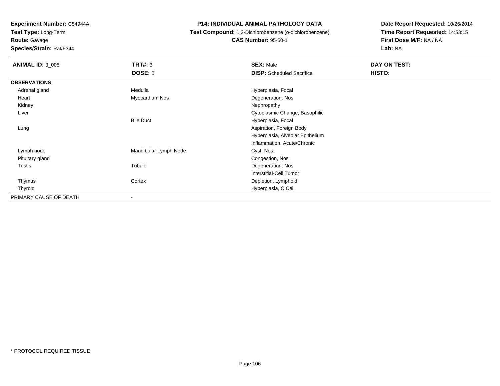**Test Type:** Long-Term

**Route:** Gavage

**Species/Strain:** Rat/F344

#### **P14: INDIVIDUAL ANIMAL PATHOLOGY DATA**

 **Test Compound:** 1,2-Dichlorobenzene (o-dichlorobenzene)**CAS Number:** 95-50-1

| <b>ANIMAL ID: 3_005</b> | <b>TRT#: 3</b>        | <b>SEX: Male</b>                 | DAY ON TEST: |  |
|-------------------------|-----------------------|----------------------------------|--------------|--|
|                         | <b>DOSE: 0</b>        | <b>DISP:</b> Scheduled Sacrifice | HISTO:       |  |
| <b>OBSERVATIONS</b>     |                       |                                  |              |  |
| Adrenal gland           | Medulla               | Hyperplasia, Focal               |              |  |
| Heart                   | Myocardium Nos        | Degeneration, Nos                |              |  |
| Kidney                  |                       | Nephropathy                      |              |  |
| Liver                   |                       | Cytoplasmic Change, Basophilic   |              |  |
|                         | <b>Bile Duct</b>      | Hyperplasia, Focal               |              |  |
| Lung                    |                       | Aspiration, Foreign Body         |              |  |
|                         |                       | Hyperplasia, Alveolar Epithelium |              |  |
|                         |                       | Inflammation, Acute/Chronic      |              |  |
| Lymph node              | Mandibular Lymph Node | Cyst, Nos                        |              |  |
| Pituitary gland         |                       | Congestion, Nos                  |              |  |
| <b>Testis</b>           | Tubule                | Degeneration, Nos                |              |  |
|                         |                       | <b>Interstitial-Cell Tumor</b>   |              |  |
| Thymus                  | Cortex                | Depletion, Lymphoid              |              |  |
| Thyroid                 |                       | Hyperplasia, C Cell              |              |  |
| PRIMARY CAUSE OF DEATH  |                       |                                  |              |  |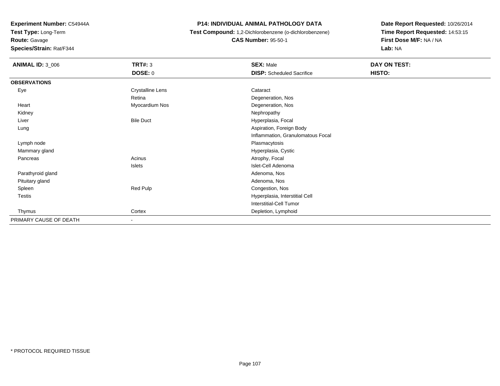**Test Type:** Long-Term

**Route:** Gavage

**Species/Strain:** Rat/F344

#### **P14: INDIVIDUAL ANIMAL PATHOLOGY DATA**

 **Test Compound:** 1,2-Dichlorobenzene (o-dichlorobenzene)**CAS Number:** 95-50-1

| <b>ANIMAL ID: 3_006</b> | <b>TRT#: 3</b>           | <b>SEX: Male</b>                  | DAY ON TEST: |
|-------------------------|--------------------------|-----------------------------------|--------------|
|                         | <b>DOSE: 0</b>           | <b>DISP:</b> Scheduled Sacrifice  | HISTO:       |
| <b>OBSERVATIONS</b>     |                          |                                   |              |
| Eye                     | <b>Crystalline Lens</b>  | Cataract                          |              |
|                         | Retina                   | Degeneration, Nos                 |              |
| Heart                   | Myocardium Nos           | Degeneration, Nos                 |              |
| Kidney                  |                          | Nephropathy                       |              |
| Liver                   | <b>Bile Duct</b>         | Hyperplasia, Focal                |              |
| Lung                    |                          | Aspiration, Foreign Body          |              |
|                         |                          | Inflammation, Granulomatous Focal |              |
| Lymph node              |                          | Plasmacytosis                     |              |
| Mammary gland           |                          | Hyperplasia, Cystic               |              |
| Pancreas                | Acinus                   | Atrophy, Focal                    |              |
|                         | Islets                   | Islet-Cell Adenoma                |              |
| Parathyroid gland       |                          | Adenoma, Nos                      |              |
| Pituitary gland         |                          | Adenoma, Nos                      |              |
| Spleen                  | Red Pulp                 | Congestion, Nos                   |              |
| Testis                  |                          | Hyperplasia, Interstitial Cell    |              |
|                         |                          | <b>Interstitial-Cell Tumor</b>    |              |
| Thymus                  | Cortex                   | Depletion, Lymphoid               |              |
| PRIMARY CAUSE OF DEATH  | $\overline{\phantom{0}}$ |                                   |              |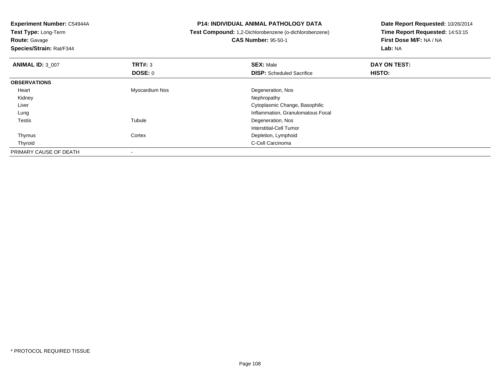**Test Type:** Long-Term**Route:** Gavage

**Species/Strain:** Rat/F344

#### **P14: INDIVIDUAL ANIMAL PATHOLOGY DATA**

**Test Compound:** 1,2-Dichlorobenzene (o-dichlorobenzene)

**CAS Number:** 95-50-1

| <b>ANIMAL ID: 3_007</b> | TRT#: 3        | <b>SEX: Male</b>                  | DAY ON TEST: |  |
|-------------------------|----------------|-----------------------------------|--------------|--|
|                         | DOSE: 0        | <b>DISP:</b> Scheduled Sacrifice  | HISTO:       |  |
| <b>OBSERVATIONS</b>     |                |                                   |              |  |
| Heart                   | Myocardium Nos | Degeneration, Nos                 |              |  |
| Kidney                  |                | Nephropathy                       |              |  |
| Liver                   |                | Cytoplasmic Change, Basophilic    |              |  |
| Lung                    |                | Inflammation, Granulomatous Focal |              |  |
| Testis                  | Tubule         | Degeneration, Nos                 |              |  |
|                         |                | Interstitial-Cell Tumor           |              |  |
| Thymus                  | Cortex         | Depletion, Lymphoid               |              |  |
| Thyroid                 |                | C-Cell Carcinoma                  |              |  |
| PRIMARY CAUSE OF DEATH  |                |                                   |              |  |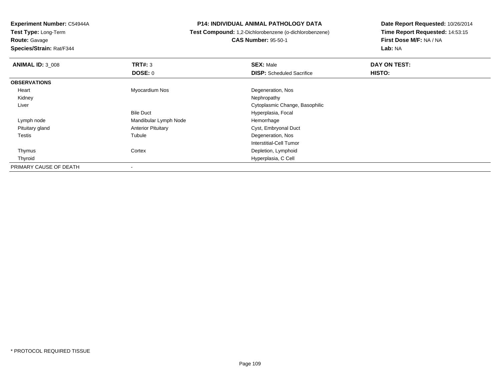**Test Type:** Long-Term

**Route:** Gavage

**Species/Strain:** Rat/F344

**P14: INDIVIDUAL ANIMAL PATHOLOGY DATA**

 **Test Compound:** 1,2-Dichlorobenzene (o-dichlorobenzene)**CAS Number:** 95-50-1

| <b>ANIMAL ID: 3_008</b> | TRT#: 3                   | <b>SEX: Male</b>                 | DAY ON TEST: |  |
|-------------------------|---------------------------|----------------------------------|--------------|--|
|                         | DOSE: 0                   | <b>DISP:</b> Scheduled Sacrifice | HISTO:       |  |
| <b>OBSERVATIONS</b>     |                           |                                  |              |  |
| Heart                   | Myocardium Nos            | Degeneration, Nos                |              |  |
| Kidney                  |                           | Nephropathy                      |              |  |
| Liver                   |                           | Cytoplasmic Change, Basophilic   |              |  |
|                         | <b>Bile Duct</b>          | Hyperplasia, Focal               |              |  |
| Lymph node              | Mandibular Lymph Node     | Hemorrhage                       |              |  |
| Pituitary gland         | <b>Anterior Pituitary</b> | Cyst, Embryonal Duct             |              |  |
| Testis                  | Tubule                    | Degeneration, Nos                |              |  |
|                         |                           | Interstitial-Cell Tumor          |              |  |
| Thymus                  | Cortex                    | Depletion, Lymphoid              |              |  |
| Thyroid                 |                           | Hyperplasia, C Cell              |              |  |
| PRIMARY CAUSE OF DEATH  | -                         |                                  |              |  |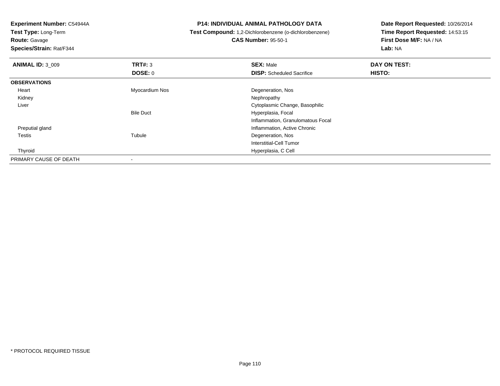**Test Type:** Long-Term**Route:** Gavage

**Species/Strain:** Rat/F344

**P14: INDIVIDUAL ANIMAL PATHOLOGY DATA**

**Test Compound:** 1,2-Dichlorobenzene (o-dichlorobenzene)

**CAS Number:** 95-50-1

| <b>ANIMAL ID: 3 009</b> | TRT#: 3          | <b>SEX: Male</b>                  | DAY ON TEST: |  |
|-------------------------|------------------|-----------------------------------|--------------|--|
|                         | DOSE: 0          | <b>DISP:</b> Scheduled Sacrifice  | HISTO:       |  |
| <b>OBSERVATIONS</b>     |                  |                                   |              |  |
| Heart                   | Myocardium Nos   | Degeneration, Nos                 |              |  |
| Kidney                  |                  | Nephropathy                       |              |  |
| Liver                   |                  | Cytoplasmic Change, Basophilic    |              |  |
|                         | <b>Bile Duct</b> | Hyperplasia, Focal                |              |  |
|                         |                  | Inflammation, Granulomatous Focal |              |  |
| Preputial gland         |                  | Inflammation, Active Chronic      |              |  |
| Testis                  | Tubule           | Degeneration, Nos                 |              |  |
|                         |                  | Interstitial-Cell Tumor           |              |  |
| Thyroid                 |                  | Hyperplasia, C Cell               |              |  |
| PRIMARY CAUSE OF DEATH  |                  |                                   |              |  |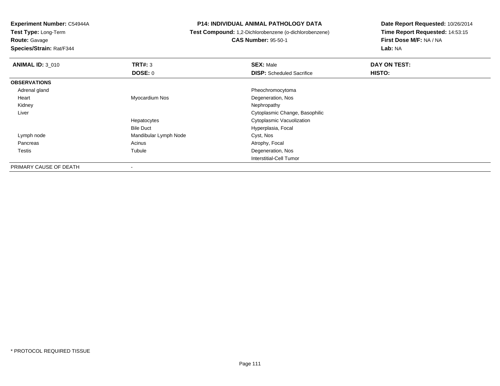**Test Type:** Long-Term

**Route:** Gavage

**Species/Strain:** Rat/F344

### **P14: INDIVIDUAL ANIMAL PATHOLOGY DATA**

**Test Compound:** 1,2-Dichlorobenzene (o-dichlorobenzene)

**CAS Number:** 95-50-1

**Date Report Requested:** 10/26/2014**Time Report Requested:** 14:53:15**First Dose M/F:** NA / NA**Lab:** NA

| <b>ANIMAL ID: 3_010</b> | TRT#: 3               | <b>SEX: Male</b>                 | DAY ON TEST: |  |
|-------------------------|-----------------------|----------------------------------|--------------|--|
|                         | DOSE: 0               | <b>DISP:</b> Scheduled Sacrifice | HISTO:       |  |
| <b>OBSERVATIONS</b>     |                       |                                  |              |  |
| Adrenal gland           |                       | Pheochromocytoma                 |              |  |
| Heart                   | Myocardium Nos        | Degeneration, Nos                |              |  |
| Kidney                  |                       | Nephropathy                      |              |  |
| Liver                   |                       | Cytoplasmic Change, Basophilic   |              |  |
|                         | Hepatocytes           | Cytoplasmic Vacuolization        |              |  |
|                         | <b>Bile Duct</b>      | Hyperplasia, Focal               |              |  |
| Lymph node              | Mandibular Lymph Node | Cyst, Nos                        |              |  |
| Pancreas                | Acinus                | Atrophy, Focal                   |              |  |
| Testis                  | Tubule                | Degeneration, Nos                |              |  |
|                         |                       | Interstitial-Cell Tumor          |              |  |
| DOIMADV CALICE OF DEATH |                       |                                  |              |  |

PRIMARY CAUSE OF DEATH-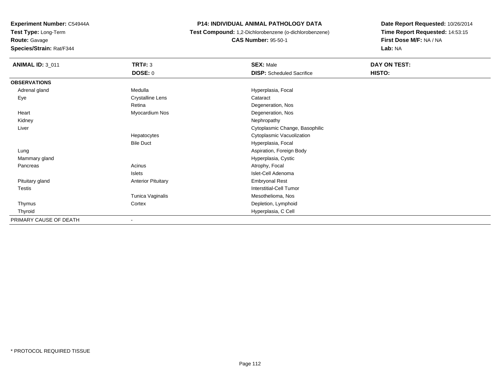**Test Type:** Long-Term

**Route:** Gavage

**Species/Strain:** Rat/F344

**P14: INDIVIDUAL ANIMAL PATHOLOGY DATA**

 **Test Compound:** 1,2-Dichlorobenzene (o-dichlorobenzene)**CAS Number:** 95-50-1

| <b>ANIMAL ID: 3_011</b> | TRT#: 3                   | <b>SEX: Male</b>                 | DAY ON TEST: |
|-------------------------|---------------------------|----------------------------------|--------------|
|                         | <b>DOSE: 0</b>            | <b>DISP:</b> Scheduled Sacrifice | HISTO:       |
| <b>OBSERVATIONS</b>     |                           |                                  |              |
| Adrenal gland           | Medulla                   | Hyperplasia, Focal               |              |
| Eye                     | <b>Crystalline Lens</b>   | Cataract                         |              |
|                         | Retina                    | Degeneration, Nos                |              |
| Heart                   | Myocardium Nos            | Degeneration, Nos                |              |
| Kidney                  |                           | Nephropathy                      |              |
| Liver                   |                           | Cytoplasmic Change, Basophilic   |              |
|                         | Hepatocytes               | Cytoplasmic Vacuolization        |              |
|                         | <b>Bile Duct</b>          | Hyperplasia, Focal               |              |
| Lung                    |                           | Aspiration, Foreign Body         |              |
| Mammary gland           |                           | Hyperplasia, Cystic              |              |
| Pancreas                | Acinus                    | Atrophy, Focal                   |              |
|                         | Islets                    | Islet-Cell Adenoma               |              |
| Pituitary gland         | <b>Anterior Pituitary</b> | <b>Embryonal Rest</b>            |              |
| Testis                  |                           | Interstitial-Cell Tumor          |              |
|                         | Tunica Vaginalis          | Mesothelioma, Nos                |              |
| Thymus                  | Cortex                    | Depletion, Lymphoid              |              |
| Thyroid                 |                           | Hyperplasia, C Cell              |              |
| PRIMARY CAUSE OF DEATH  | ۰                         |                                  |              |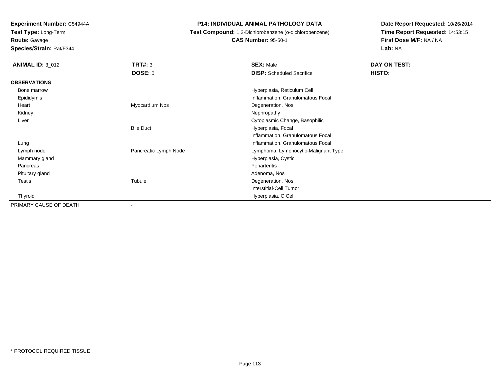**Test Type:** Long-Term

**Route:** Gavage

**Species/Strain:** Rat/F344

**P14: INDIVIDUAL ANIMAL PATHOLOGY DATA**

**Test Compound:** 1,2-Dichlorobenzene (o-dichlorobenzene)

**CAS Number:** 95-50-1

| <b>ANIMAL ID: 3_012</b> | TRT#: 3               | <b>SEX: Male</b>                     | DAY ON TEST: |  |
|-------------------------|-----------------------|--------------------------------------|--------------|--|
|                         | DOSE: 0               | <b>DISP:</b> Scheduled Sacrifice     | HISTO:       |  |
| <b>OBSERVATIONS</b>     |                       |                                      |              |  |
| Bone marrow             |                       | Hyperplasia, Reticulum Cell          |              |  |
| Epididymis              |                       | Inflammation, Granulomatous Focal    |              |  |
| Heart                   | Myocardium Nos        | Degeneration, Nos                    |              |  |
| Kidney                  |                       | Nephropathy                          |              |  |
| Liver                   |                       | Cytoplasmic Change, Basophilic       |              |  |
|                         | <b>Bile Duct</b>      | Hyperplasia, Focal                   |              |  |
|                         |                       | Inflammation, Granulomatous Focal    |              |  |
| Lung                    |                       | Inflammation, Granulomatous Focal    |              |  |
| Lymph node              | Pancreatic Lymph Node | Lymphoma, Lymphocytic-Malignant Type |              |  |
| Mammary gland           |                       | Hyperplasia, Cystic                  |              |  |
| Pancreas                |                       | Periarteritis                        |              |  |
| Pituitary gland         |                       | Adenoma, Nos                         |              |  |
| Testis                  | Tubule                | Degeneration, Nos                    |              |  |
|                         |                       | Interstitial-Cell Tumor              |              |  |
| Thyroid                 |                       | Hyperplasia, C Cell                  |              |  |
| PRIMARY CAUSE OF DEATH  |                       |                                      |              |  |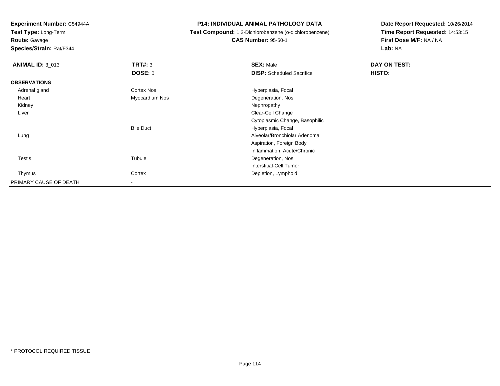**Test Type:** Long-Term

**Route:** Gavage

**Species/Strain:** Rat/F344

**P14: INDIVIDUAL ANIMAL PATHOLOGY DATA**

**Test Compound:** 1,2-Dichlorobenzene (o-dichlorobenzene)

**CAS Number:** 95-50-1

| <b>ANIMAL ID: 3_013</b> | TRT#: 3           | <b>SEX: Male</b>                 | DAY ON TEST: |  |
|-------------------------|-------------------|----------------------------------|--------------|--|
|                         | DOSE: 0           | <b>DISP:</b> Scheduled Sacrifice | HISTO:       |  |
| <b>OBSERVATIONS</b>     |                   |                                  |              |  |
| Adrenal gland           | <b>Cortex Nos</b> | Hyperplasia, Focal               |              |  |
| Heart                   | Myocardium Nos    | Degeneration, Nos                |              |  |
| Kidney                  |                   | Nephropathy                      |              |  |
| Liver                   |                   | Clear-Cell Change                |              |  |
|                         |                   | Cytoplasmic Change, Basophilic   |              |  |
|                         | <b>Bile Duct</b>  | Hyperplasia, Focal               |              |  |
| Lung                    |                   | Alveolar/Bronchiolar Adenoma     |              |  |
|                         |                   | Aspiration, Foreign Body         |              |  |
|                         |                   | Inflammation, Acute/Chronic      |              |  |
| <b>Testis</b>           | Tubule            | Degeneration, Nos                |              |  |
|                         |                   | <b>Interstitial-Cell Tumor</b>   |              |  |
| Thymus                  | Cortex            | Depletion, Lymphoid              |              |  |
| PRIMARY CAUSE OF DEATH  |                   |                                  |              |  |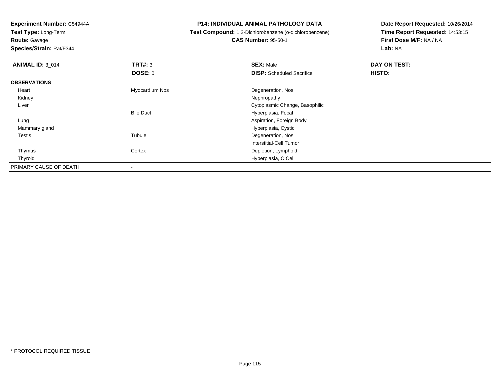**Test Type:** Long-Term

**Route:** Gavage

**Species/Strain:** Rat/F344

### **P14: INDIVIDUAL ANIMAL PATHOLOGY DATA**

**Test Compound:** 1,2-Dichlorobenzene (o-dichlorobenzene)

**CAS Number:** 95-50-1

| <b>ANIMAL ID: 3 014</b> | TRT#: 3          | <b>SEX: Male</b>                 | DAY ON TEST: |  |
|-------------------------|------------------|----------------------------------|--------------|--|
|                         | <b>DOSE: 0</b>   | <b>DISP:</b> Scheduled Sacrifice | HISTO:       |  |
| <b>OBSERVATIONS</b>     |                  |                                  |              |  |
| Heart                   | Myocardium Nos   | Degeneration, Nos                |              |  |
| Kidney                  |                  | Nephropathy                      |              |  |
| Liver                   |                  | Cytoplasmic Change, Basophilic   |              |  |
|                         | <b>Bile Duct</b> | Hyperplasia, Focal               |              |  |
| Lung                    |                  | Aspiration, Foreign Body         |              |  |
| Mammary gland           |                  | Hyperplasia, Cystic              |              |  |
| Testis                  | Tubule           | Degeneration, Nos                |              |  |
|                         |                  | Interstitial-Cell Tumor          |              |  |
| Thymus                  | Cortex           | Depletion, Lymphoid              |              |  |
| Thyroid                 |                  | Hyperplasia, C Cell              |              |  |
| PRIMARY CAUSE OF DEATH  |                  |                                  |              |  |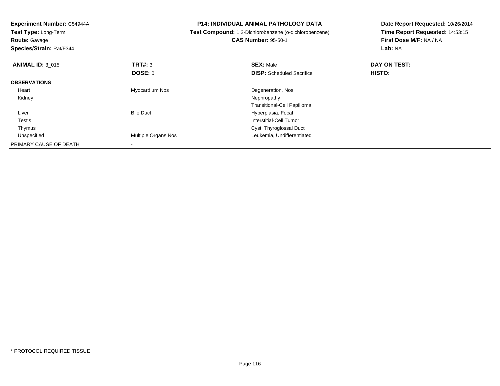| Experiment Number: C54944A<br>Test Type: Long-Term<br><b>Route: Gavage</b><br>Species/Strain: Rat/F344 |                     | <b>P14: INDIVIDUAL ANIMAL PATHOLOGY DATA</b><br>Test Compound: 1,2-Dichlorobenzene (o-dichlorobenzene)<br><b>CAS Number: 95-50-1</b> | Date Report Requested: 10/26/2014<br>Time Report Requested: 14:53:15<br>First Dose M/F: NA / NA<br><b>Lab: NA</b> |
|--------------------------------------------------------------------------------------------------------|---------------------|--------------------------------------------------------------------------------------------------------------------------------------|-------------------------------------------------------------------------------------------------------------------|
| <b>ANIMAL ID: 3 015</b>                                                                                | TRT#: 3             | <b>SEX: Male</b>                                                                                                                     | DAY ON TEST:                                                                                                      |
|                                                                                                        | <b>DOSE: 0</b>      | <b>DISP:</b> Scheduled Sacrifice                                                                                                     | <b>HISTO:</b>                                                                                                     |
| <b>OBSERVATIONS</b>                                                                                    |                     |                                                                                                                                      |                                                                                                                   |
| Heart                                                                                                  | Myocardium Nos      | Degeneration, Nos                                                                                                                    |                                                                                                                   |
| Kidney                                                                                                 |                     | Nephropathy                                                                                                                          |                                                                                                                   |
|                                                                                                        |                     | Transitional-Cell Papilloma                                                                                                          |                                                                                                                   |
| Liver                                                                                                  | <b>Bile Duct</b>    | Hyperplasia, Focal                                                                                                                   |                                                                                                                   |
| Testis                                                                                                 |                     | Interstitial-Cell Tumor                                                                                                              |                                                                                                                   |
| Thymus                                                                                                 |                     | Cyst, Thyroglossal Duct                                                                                                              |                                                                                                                   |
| Unspecified                                                                                            | Multiple Organs Nos | Leukemia, Undifferentiated                                                                                                           |                                                                                                                   |
| PRIMARY CAUSE OF DEATH                                                                                 |                     |                                                                                                                                      |                                                                                                                   |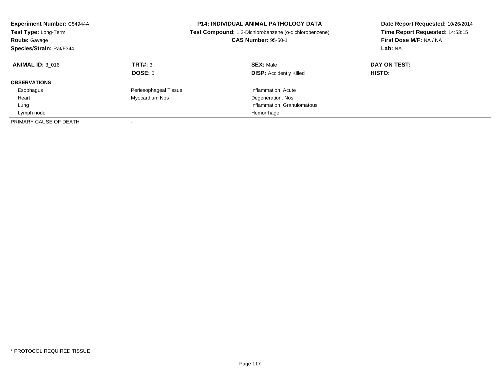| Experiment Number: C54944A<br>Test Type: Long-Term<br><b>Route: Gavage</b><br>Species/Strain: Rat/F344 |                       | <b>P14: INDIVIDUAL ANIMAL PATHOLOGY DATA</b><br>Test Compound: 1,2-Dichlorobenzene (o-dichlorobenzene)<br><b>CAS Number: 95-50-1</b> | Date Report Requested: 10/26/2014<br>Time Report Requested: 14:53:15<br>First Dose M/F: NA / NA<br>Lab: NA |
|--------------------------------------------------------------------------------------------------------|-----------------------|--------------------------------------------------------------------------------------------------------------------------------------|------------------------------------------------------------------------------------------------------------|
| <b>ANIMAL ID: 3 016</b>                                                                                | TRT#: 3<br>DOSE: 0    | <b>SEX: Male</b><br><b>DISP:</b> Accidently Killed                                                                                   | DAY ON TEST:<br><b>HISTO:</b>                                                                              |
| <b>OBSERVATIONS</b>                                                                                    |                       |                                                                                                                                      |                                                                                                            |
| Esophagus                                                                                              | Periesophageal Tissue | Inflammation, Acute                                                                                                                  |                                                                                                            |
| Heart                                                                                                  | Myocardium Nos        | Degeneration, Nos                                                                                                                    |                                                                                                            |
| Lung                                                                                                   |                       | Inflammation, Granulomatous                                                                                                          |                                                                                                            |
| Lymph node                                                                                             |                       | Hemorrhage                                                                                                                           |                                                                                                            |
| PRIMARY CAUSE OF DEATH                                                                                 |                       |                                                                                                                                      |                                                                                                            |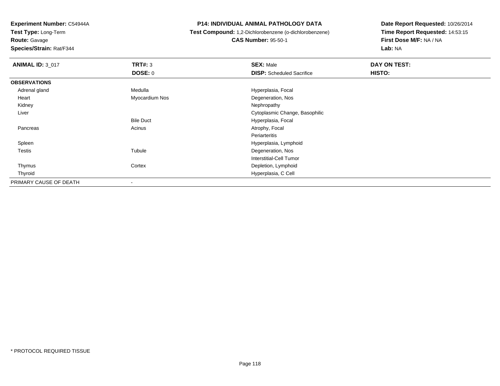**Test Type:** Long-Term

**Route:** Gavage

**Species/Strain:** Rat/F344

### **P14: INDIVIDUAL ANIMAL PATHOLOGY DATA**

**Test Compound:** 1,2-Dichlorobenzene (o-dichlorobenzene)

**CAS Number:** 95-50-1

| <b>ANIMAL ID: 3_017</b> | TRT#: 3          | <b>SEX: Male</b>                 | <b>DAY ON TEST:</b> |
|-------------------------|------------------|----------------------------------|---------------------|
|                         | <b>DOSE: 0</b>   | <b>DISP:</b> Scheduled Sacrifice | HISTO:              |
| <b>OBSERVATIONS</b>     |                  |                                  |                     |
| Adrenal gland           | Medulla          | Hyperplasia, Focal               |                     |
| Heart                   | Myocardium Nos   | Degeneration, Nos                |                     |
| Kidney                  |                  | Nephropathy                      |                     |
| Liver                   |                  | Cytoplasmic Change, Basophilic   |                     |
|                         | <b>Bile Duct</b> | Hyperplasia, Focal               |                     |
| Pancreas                | Acinus           | Atrophy, Focal                   |                     |
|                         |                  | Periarteritis                    |                     |
| Spleen                  |                  | Hyperplasia, Lymphoid            |                     |
| <b>Testis</b>           | Tubule           | Degeneration, Nos                |                     |
|                         |                  | Interstitial-Cell Tumor          |                     |
| Thymus                  | Cortex           | Depletion, Lymphoid              |                     |
| Thyroid                 |                  | Hyperplasia, C Cell              |                     |
| PRIMARY CAUSE OF DEATH  |                  |                                  |                     |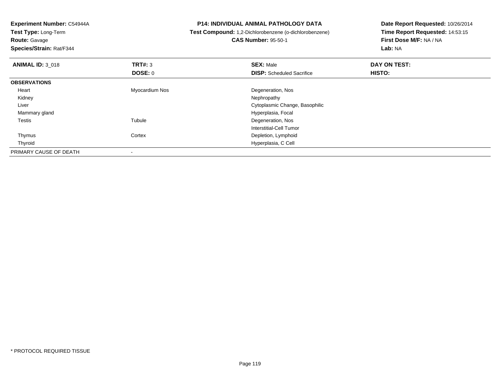**Experiment Number:** C54944A**Test Type:** Long-Term**Route:** Gavage **Species/Strain:** Rat/F344**P14: INDIVIDUAL ANIMAL PATHOLOGY DATA Test Compound:** 1,2-Dichlorobenzene (o-dichlorobenzene)**CAS Number:** 95-50-1**Date Report Requested:** 10/26/2014**Time Report Requested:** 14:53:15**First Dose M/F:** NA / NA**Lab:** NA**ANIMAL ID:** 3\_018**REX:** Male **DAY ON TEST: SEX:** Male **SEX:** Male **DOSE:** 0**DISP:** Scheduled Sacrifice **HISTO: OBSERVATIONS** Heart Myocardium Nos Degeneration, Nos Kidneyy the control of the control of the control of the control of the control of the control of the control of the control of the control of the control of the control of the control of the control of the control of the contro Liver Cytoplasmic Change, Basophilic Mammary gland Hyperplasia, Focal Testiss and the contract of the contract of the contract of the contract of the contract of the contract of the contract of the contract of the contract of the contract of the contract of the contract of the contract of the cont Degeneration, Nos Interstitial-Cell Tumor ThymusCortex **Depletion**, Lymphoid

Hyperplasia, C Cell

Thyroid

PRIMARY CAUSE OF DEATH

-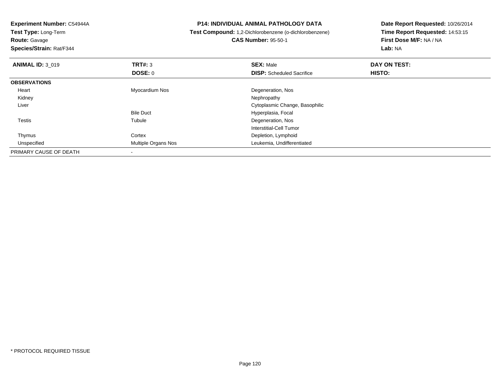**Experiment Number:** C54944A**Test Type:** Long-Term**Route:** Gavage **Species/Strain:** Rat/F344**P14: INDIVIDUAL ANIMAL PATHOLOGY DATA Test Compound:** 1,2-Dichlorobenzene (o-dichlorobenzene)**CAS Number:** 95-50-1**Date Report Requested:** 10/26/2014**Time Report Requested:** 14:53:15**First Dose M/F:** NA / NA**Lab:** NA**ANIMAL ID: 3 019 9 SEX:** Male **DAY ON TEST: DAY ON TEST: DOSE:** 0**DISP:** Scheduled Sacrifice **HISTO: OBSERVATIONS** Heart Myocardium Nos Degeneration, Nos Kidneyy the control of the control of the control of the control of the control of the control of the control of the control of the control of the control of the control of the control of the control of the control of the contro Liver Cytoplasmic Change, BasophilicBile Duct Hyperplasia, Focal Testiss and the contract of the contract of the contract of the contract of the contract of the contract of the contract of the contract of the contract of the contract of the contract of the contract of the contract of the cont Tubule **Degeneration**, Nos Interstitial-Cell Tumor ThymusCortex **Depletion**, Lymphoid d **Multiple Organs Nos** Leukemia, Undifferentiated UnspecifiedPRIMARY CAUSE OF DEATH

-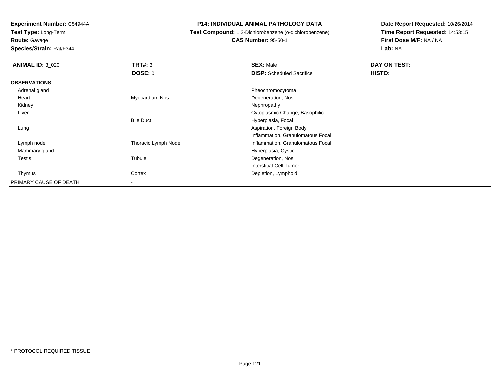**Test Type:** Long-Term

**Route:** Gavage

**Species/Strain:** Rat/F344

### **P14: INDIVIDUAL ANIMAL PATHOLOGY DATA**

**Test Compound:** 1,2-Dichlorobenzene (o-dichlorobenzene)

**CAS Number:** 95-50-1

| <b>ANIMAL ID: 3 020</b> | TRT#: 3                  | <b>SEX: Male</b>                  | DAY ON TEST: |
|-------------------------|--------------------------|-----------------------------------|--------------|
|                         | <b>DOSE: 0</b>           | <b>DISP:</b> Scheduled Sacrifice  | HISTO:       |
| <b>OBSERVATIONS</b>     |                          |                                   |              |
| Adrenal gland           |                          | Pheochromocytoma                  |              |
| Heart                   | Myocardium Nos           | Degeneration, Nos                 |              |
| Kidney                  |                          | Nephropathy                       |              |
| Liver                   |                          | Cytoplasmic Change, Basophilic    |              |
|                         | <b>Bile Duct</b>         | Hyperplasia, Focal                |              |
| Lung                    |                          | Aspiration, Foreign Body          |              |
|                         |                          | Inflammation, Granulomatous Focal |              |
| Lymph node              | Thoracic Lymph Node      | Inflammation, Granulomatous Focal |              |
| Mammary gland           |                          | Hyperplasia, Cystic               |              |
| Testis                  | Tubule                   | Degeneration, Nos                 |              |
|                         |                          | Interstitial-Cell Tumor           |              |
| Thymus                  | Cortex                   | Depletion, Lymphoid               |              |
| PRIMARY CAUSE OF DEATH  | $\overline{\phantom{a}}$ |                                   |              |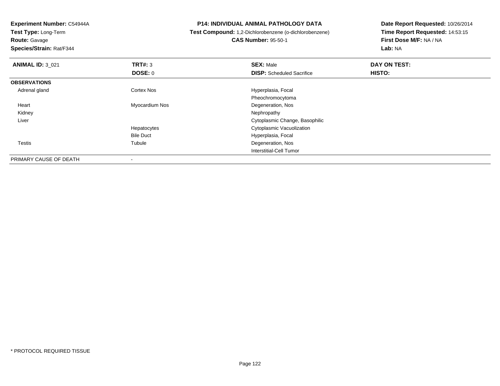**Test Type:** Long-Term

**Route:** Gavage

**Species/Strain:** Rat/F344

### **P14: INDIVIDUAL ANIMAL PATHOLOGY DATA**

**Test Compound:** 1,2-Dichlorobenzene (o-dichlorobenzene)

**CAS Number:** 95-50-1

| <b>ANIMAL ID: 3 021</b> | TRT#: 3           | <b>SEX: Male</b>                 | DAY ON TEST: |  |
|-------------------------|-------------------|----------------------------------|--------------|--|
|                         | <b>DOSE: 0</b>    | <b>DISP:</b> Scheduled Sacrifice | HISTO:       |  |
| <b>OBSERVATIONS</b>     |                   |                                  |              |  |
| Adrenal gland           | <b>Cortex Nos</b> | Hyperplasia, Focal               |              |  |
|                         |                   | Pheochromocytoma                 |              |  |
| Heart                   | Myocardium Nos    | Degeneration, Nos                |              |  |
| Kidney                  |                   | Nephropathy                      |              |  |
| Liver                   |                   | Cytoplasmic Change, Basophilic   |              |  |
|                         | Hepatocytes       | Cytoplasmic Vacuolization        |              |  |
|                         | <b>Bile Duct</b>  | Hyperplasia, Focal               |              |  |
| Testis                  | Tubule            | Degeneration, Nos                |              |  |
|                         |                   | Interstitial-Cell Tumor          |              |  |
| PRIMARY CAUSE OF DEATH  |                   |                                  |              |  |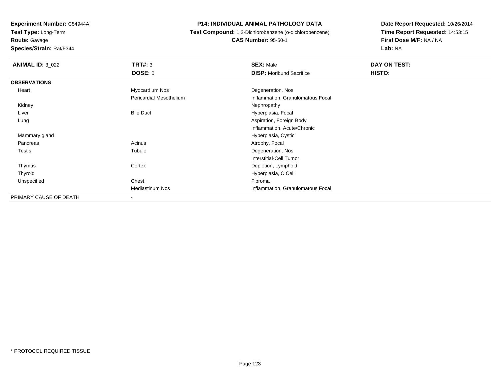**Test Type:** Long-Term

**Route:** Gavage

**Species/Strain:** Rat/F344

### **P14: INDIVIDUAL ANIMAL PATHOLOGY DATA**

**Test Compound:** 1,2-Dichlorobenzene (o-dichlorobenzene)

**CAS Number:** 95-50-1

| <b>ANIMAL ID: 3_022</b> | <b>TRT#: 3</b>                 | <b>SEX: Male</b>                  | DAY ON TEST: |  |
|-------------------------|--------------------------------|-----------------------------------|--------------|--|
|                         | <b>DOSE: 0</b>                 | <b>DISP:</b> Moribund Sacrifice   | HISTO:       |  |
| <b>OBSERVATIONS</b>     |                                |                                   |              |  |
| Heart                   | Myocardium Nos                 | Degeneration, Nos                 |              |  |
|                         | <b>Pericardial Mesothelium</b> | Inflammation, Granulomatous Focal |              |  |
| Kidney                  |                                | Nephropathy                       |              |  |
| Liver                   | <b>Bile Duct</b>               | Hyperplasia, Focal                |              |  |
| Lung                    |                                | Aspiration, Foreign Body          |              |  |
|                         |                                | Inflammation, Acute/Chronic       |              |  |
| Mammary gland           |                                | Hyperplasia, Cystic               |              |  |
| Pancreas                | Acinus                         | Atrophy, Focal                    |              |  |
| Testis                  | Tubule                         | Degeneration, Nos                 |              |  |
|                         |                                | Interstitial-Cell Tumor           |              |  |
| Thymus                  | Cortex                         | Depletion, Lymphoid               |              |  |
| Thyroid                 |                                | Hyperplasia, C Cell               |              |  |
| Unspecified             | Chest                          | Fibroma                           |              |  |
|                         | <b>Mediastinum Nos</b>         | Inflammation, Granulomatous Focal |              |  |
| PRIMARY CAUSE OF DEATH  | -                              |                                   |              |  |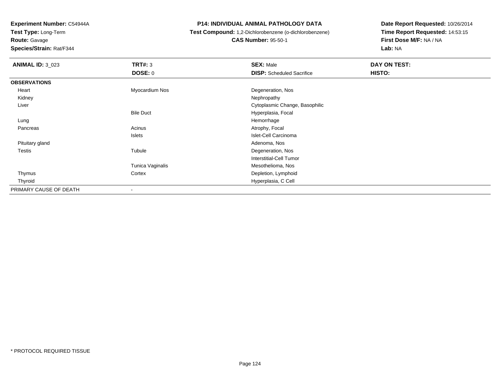**Test Type:** Long-Term

**Route:** Gavage

**Species/Strain:** Rat/F344

### **P14: INDIVIDUAL ANIMAL PATHOLOGY DATA**

**Test Compound:** 1,2-Dichlorobenzene (o-dichlorobenzene)

**CAS Number:** 95-50-1

| <b>ANIMAL ID: 3_023</b> | TRT#: 3          | <b>SEX: Male</b>                 | DAY ON TEST: |
|-------------------------|------------------|----------------------------------|--------------|
|                         | <b>DOSE: 0</b>   | <b>DISP:</b> Scheduled Sacrifice | HISTO:       |
| <b>OBSERVATIONS</b>     |                  |                                  |              |
| Heart                   | Myocardium Nos   | Degeneration, Nos                |              |
| Kidney                  |                  | Nephropathy                      |              |
| Liver                   |                  | Cytoplasmic Change, Basophilic   |              |
|                         | <b>Bile Duct</b> | Hyperplasia, Focal               |              |
| Lung                    |                  | Hemorrhage                       |              |
| Pancreas                | Acinus           | Atrophy, Focal                   |              |
|                         | Islets           | Islet-Cell Carcinoma             |              |
| Pituitary gland         |                  | Adenoma, Nos                     |              |
| Testis                  | Tubule           | Degeneration, Nos                |              |
|                         |                  | <b>Interstitial-Cell Tumor</b>   |              |
|                         | Tunica Vaginalis | Mesothelioma, Nos                |              |
| Thymus                  | Cortex           | Depletion, Lymphoid              |              |
| Thyroid                 |                  | Hyperplasia, C Cell              |              |
| PRIMARY CAUSE OF DEATH  |                  |                                  |              |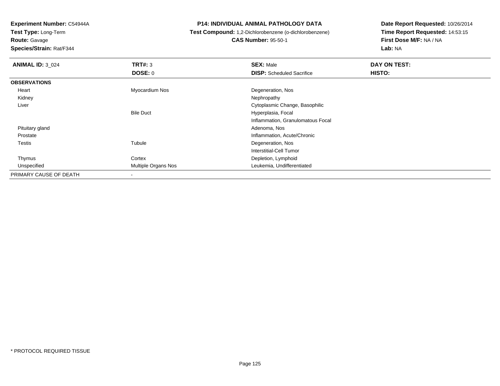**Test Type:** Long-Term

**Route:** Gavage

**Species/Strain:** Rat/F344

### **P14: INDIVIDUAL ANIMAL PATHOLOGY DATA**

**Test Compound:** 1,2-Dichlorobenzene (o-dichlorobenzene)

**CAS Number:** 95-50-1

| <b>ANIMAL ID: 3_024</b> | TRT#: 3                    | <b>SEX: Male</b>                  | DAY ON TEST: |  |
|-------------------------|----------------------------|-----------------------------------|--------------|--|
|                         | DOSE: 0                    | <b>DISP:</b> Scheduled Sacrifice  | HISTO:       |  |
| <b>OBSERVATIONS</b>     |                            |                                   |              |  |
| Heart                   | Myocardium Nos             | Degeneration, Nos                 |              |  |
| Kidney                  |                            | Nephropathy                       |              |  |
| Liver                   |                            | Cytoplasmic Change, Basophilic    |              |  |
|                         | <b>Bile Duct</b>           | Hyperplasia, Focal                |              |  |
|                         |                            | Inflammation, Granulomatous Focal |              |  |
| Pituitary gland         |                            | Adenoma, Nos                      |              |  |
| Prostate                |                            | Inflammation, Acute/Chronic       |              |  |
| Testis                  | Tubule                     | Degeneration, Nos                 |              |  |
|                         |                            | <b>Interstitial-Cell Tumor</b>    |              |  |
| Thymus                  | Cortex                     | Depletion, Lymphoid               |              |  |
| Unspecified             | <b>Multiple Organs Nos</b> | Leukemia, Undifferentiated        |              |  |
| PRIMARY CAUSE OF DEATH  |                            |                                   |              |  |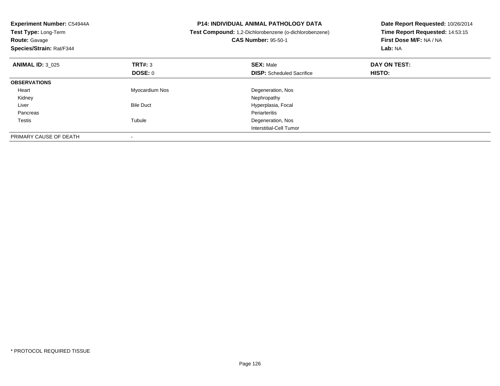| Experiment Number: C54944A<br>Test Type: Long-Term<br><b>Route: Gavage</b><br>Species/Strain: Rat/F344 |                  | <b>P14: INDIVIDUAL ANIMAL PATHOLOGY DATA</b><br>Test Compound: 1,2-Dichlorobenzene (o-dichlorobenzene)<br><b>CAS Number: 95-50-1</b> | Date Report Requested: 10/26/2014<br>Time Report Requested: 14:53:15<br><b>First Dose M/F: NA / NA</b><br>Lab: NA |
|--------------------------------------------------------------------------------------------------------|------------------|--------------------------------------------------------------------------------------------------------------------------------------|-------------------------------------------------------------------------------------------------------------------|
| <b>ANIMAL ID: 3 025</b>                                                                                | TRT#: 3          | <b>SEX: Male</b>                                                                                                                     | DAY ON TEST:                                                                                                      |
|                                                                                                        | <b>DOSE: 0</b>   | <b>DISP:</b> Scheduled Sacrifice                                                                                                     | <b>HISTO:</b>                                                                                                     |
| <b>OBSERVATIONS</b>                                                                                    |                  |                                                                                                                                      |                                                                                                                   |
| Heart                                                                                                  | Myocardium Nos   | Degeneration, Nos                                                                                                                    |                                                                                                                   |
| Kidney                                                                                                 |                  | Nephropathy                                                                                                                          |                                                                                                                   |
| Liver                                                                                                  | <b>Bile Duct</b> | Hyperplasia, Focal                                                                                                                   |                                                                                                                   |
| Pancreas                                                                                               |                  | Periarteritis                                                                                                                        |                                                                                                                   |
| Testis                                                                                                 | Tubule           | Degeneration, Nos                                                                                                                    |                                                                                                                   |
|                                                                                                        |                  | Interstitial-Cell Tumor                                                                                                              |                                                                                                                   |
| PRIMARY CAUSE OF DEATH                                                                                 |                  |                                                                                                                                      |                                                                                                                   |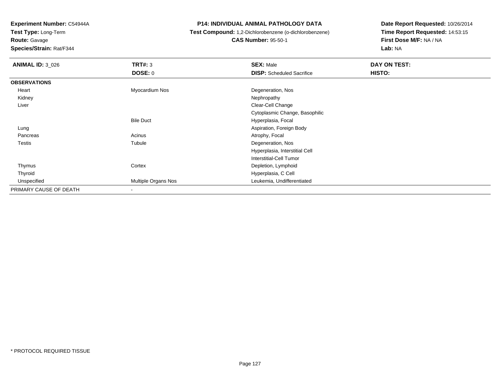**Test Type:** Long-Term

**Route:** Gavage

**Species/Strain:** Rat/F344

### **P14: INDIVIDUAL ANIMAL PATHOLOGY DATA**

**Test Compound:** 1,2-Dichlorobenzene (o-dichlorobenzene)

**CAS Number:** 95-50-1

| <b>ANIMAL ID: 3_026</b> | TRT#: 3             | <b>SEX: Male</b>                 | DAY ON TEST: |  |
|-------------------------|---------------------|----------------------------------|--------------|--|
|                         | <b>DOSE: 0</b>      | <b>DISP:</b> Scheduled Sacrifice | HISTO:       |  |
| <b>OBSERVATIONS</b>     |                     |                                  |              |  |
| Heart                   | Myocardium Nos      | Degeneration, Nos                |              |  |
| Kidney                  |                     | Nephropathy                      |              |  |
| Liver                   |                     | Clear-Cell Change                |              |  |
|                         |                     | Cytoplasmic Change, Basophilic   |              |  |
|                         | <b>Bile Duct</b>    | Hyperplasia, Focal               |              |  |
| Lung                    |                     | Aspiration, Foreign Body         |              |  |
| Pancreas                | Acinus              | Atrophy, Focal                   |              |  |
| Testis                  | Tubule              | Degeneration, Nos                |              |  |
|                         |                     | Hyperplasia, Interstitial Cell   |              |  |
|                         |                     | Interstitial-Cell Tumor          |              |  |
| Thymus                  | Cortex              | Depletion, Lymphoid              |              |  |
| Thyroid                 |                     | Hyperplasia, C Cell              |              |  |
| Unspecified             | Multiple Organs Nos | Leukemia, Undifferentiated       |              |  |
| PRIMARY CAUSE OF DEATH  |                     |                                  |              |  |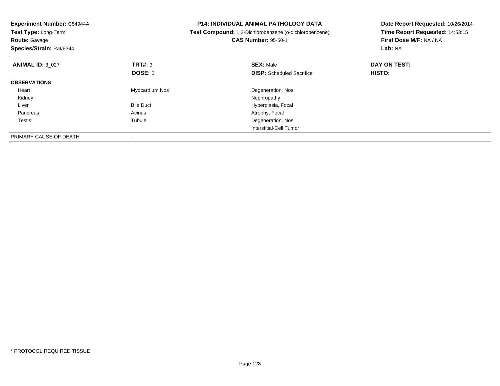| Experiment Number: C54944A<br>Test Type: Long-Term<br><b>Route: Gavage</b><br>Species/Strain: Rat/F344 |                  | <b>P14: INDIVIDUAL ANIMAL PATHOLOGY DATA</b><br>Test Compound: 1,2-Dichlorobenzene (o-dichlorobenzene)<br><b>CAS Number: 95-50-1</b> | Date Report Requested: 10/26/2014<br>Time Report Requested: 14:53:15<br>First Dose M/F: NA / NA<br>Lab: NA |
|--------------------------------------------------------------------------------------------------------|------------------|--------------------------------------------------------------------------------------------------------------------------------------|------------------------------------------------------------------------------------------------------------|
| <b>ANIMAL ID: 3 027</b>                                                                                | TRT#: 3          | <b>SEX: Male</b>                                                                                                                     | DAY ON TEST:                                                                                               |
|                                                                                                        | <b>DOSE: 0</b>   | <b>DISP:</b> Scheduled Sacrifice                                                                                                     | <b>HISTO:</b>                                                                                              |
| <b>OBSERVATIONS</b>                                                                                    |                  |                                                                                                                                      |                                                                                                            |
| Heart                                                                                                  | Myocardium Nos   | Degeneration, Nos                                                                                                                    |                                                                                                            |
| Kidney                                                                                                 |                  | Nephropathy                                                                                                                          |                                                                                                            |
| Liver                                                                                                  | <b>Bile Duct</b> | Hyperplasia, Focal                                                                                                                   |                                                                                                            |
| Pancreas                                                                                               | Acinus           | Atrophy, Focal                                                                                                                       |                                                                                                            |
| Testis                                                                                                 | Tubule           | Degeneration, Nos                                                                                                                    |                                                                                                            |
|                                                                                                        |                  | Interstitial-Cell Tumor                                                                                                              |                                                                                                            |
| PRIMARY CAUSE OF DEATH                                                                                 |                  |                                                                                                                                      |                                                                                                            |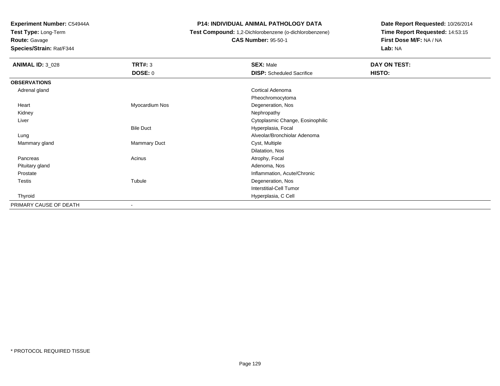**Test Type:** Long-Term

**Route:** Gavage

**Species/Strain:** Rat/F344

### **P14: INDIVIDUAL ANIMAL PATHOLOGY DATA**

**Test Compound:** 1,2-Dichlorobenzene (o-dichlorobenzene)

**CAS Number:** 95-50-1

| <b>ANIMAL ID: 3_028</b> | <b>TRT#: 3</b>           | <b>SEX: Male</b>                 | DAY ON TEST: |
|-------------------------|--------------------------|----------------------------------|--------------|
|                         | <b>DOSE: 0</b>           | <b>DISP:</b> Scheduled Sacrifice | HISTO:       |
| <b>OBSERVATIONS</b>     |                          |                                  |              |
| Adrenal gland           |                          | Cortical Adenoma                 |              |
|                         |                          | Pheochromocytoma                 |              |
| Heart                   | Myocardium Nos           | Degeneration, Nos                |              |
| Kidney                  |                          | Nephropathy                      |              |
| Liver                   |                          | Cytoplasmic Change, Eosinophilic |              |
|                         | <b>Bile Duct</b>         | Hyperplasia, Focal               |              |
| Lung                    |                          | Alveolar/Bronchiolar Adenoma     |              |
| Mammary gland           | Mammary Duct             | Cyst, Multiple                   |              |
|                         |                          | Dilatation, Nos                  |              |
| Pancreas                | Acinus                   | Atrophy, Focal                   |              |
| Pituitary gland         |                          | Adenoma, Nos                     |              |
| Prostate                |                          | Inflammation, Acute/Chronic      |              |
| Testis                  | Tubule                   | Degeneration, Nos                |              |
|                         |                          | <b>Interstitial-Cell Tumor</b>   |              |
| Thyroid                 |                          | Hyperplasia, C Cell              |              |
| PRIMARY CAUSE OF DEATH  | $\overline{\phantom{a}}$ |                                  |              |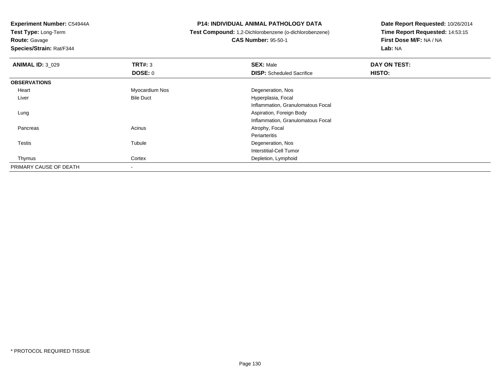**Test Type:** Long-Term

**Route:** Gavage

**Species/Strain:** Rat/F344

### **P14: INDIVIDUAL ANIMAL PATHOLOGY DATA**

**Test Compound:** 1,2-Dichlorobenzene (o-dichlorobenzene)

**CAS Number:** 95-50-1

| <b>ANIMAL ID: 3 029</b> | TRT#: 3                  | <b>SEX: Male</b>                  | DAY ON TEST: |
|-------------------------|--------------------------|-----------------------------------|--------------|
|                         | DOSE: 0                  | <b>DISP:</b> Scheduled Sacrifice  | HISTO:       |
| <b>OBSERVATIONS</b>     |                          |                                   |              |
| Heart                   | Myocardium Nos           | Degeneration, Nos                 |              |
| Liver                   | <b>Bile Duct</b>         | Hyperplasia, Focal                |              |
|                         |                          | Inflammation, Granulomatous Focal |              |
| Lung                    |                          | Aspiration, Foreign Body          |              |
|                         |                          | Inflammation, Granulomatous Focal |              |
| Pancreas                | Acinus                   | Atrophy, Focal                    |              |
|                         |                          | Periarteritis                     |              |
| Testis                  | Tubule                   | Degeneration, Nos                 |              |
|                         |                          | <b>Interstitial-Cell Tumor</b>    |              |
| Thymus                  | Cortex                   | Depletion, Lymphoid               |              |
| PRIMARY CAUSE OF DEATH  | $\overline{\phantom{a}}$ |                                   |              |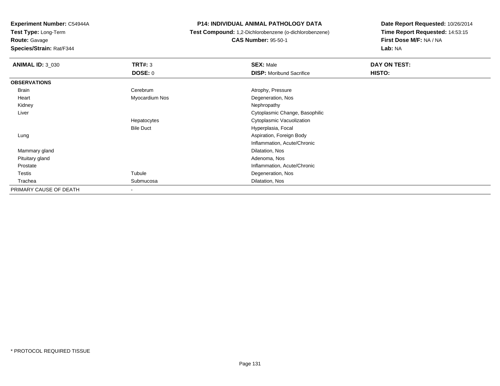**Test Type:** Long-Term

**Route:** Gavage

**Species/Strain:** Rat/F344

**P14: INDIVIDUAL ANIMAL PATHOLOGY DATA**

 **Test Compound:** 1,2-Dichlorobenzene (o-dichlorobenzene)**CAS Number:** 95-50-1

| <b>ANIMAL ID: 3_030</b> | TRT#: 3          | <b>SEX: Male</b>                | DAY ON TEST: |  |
|-------------------------|------------------|---------------------------------|--------------|--|
|                         | <b>DOSE: 0</b>   | <b>DISP:</b> Moribund Sacrifice | HISTO:       |  |
| <b>OBSERVATIONS</b>     |                  |                                 |              |  |
| Brain                   | Cerebrum         | Atrophy, Pressure               |              |  |
| Heart                   | Myocardium Nos   | Degeneration, Nos               |              |  |
| Kidney                  |                  | Nephropathy                     |              |  |
| Liver                   |                  | Cytoplasmic Change, Basophilic  |              |  |
|                         | Hepatocytes      | Cytoplasmic Vacuolization       |              |  |
|                         | <b>Bile Duct</b> | Hyperplasia, Focal              |              |  |
| Lung                    |                  | Aspiration, Foreign Body        |              |  |
|                         |                  | Inflammation, Acute/Chronic     |              |  |
| Mammary gland           |                  | Dilatation, Nos                 |              |  |
| Pituitary gland         |                  | Adenoma, Nos                    |              |  |
| Prostate                |                  | Inflammation, Acute/Chronic     |              |  |
| Testis                  | Tubule           | Degeneration, Nos               |              |  |
| Trachea                 | Submucosa        | Dilatation, Nos                 |              |  |
| PRIMARY CAUSE OF DEATH  |                  |                                 |              |  |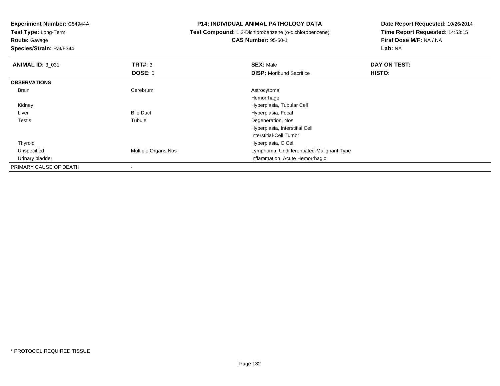**Test Type:** Long-Term

**Route:** Gavage

**Species/Strain:** Rat/F344

**P14: INDIVIDUAL ANIMAL PATHOLOGY DATA**

 **Test Compound:** 1,2-Dichlorobenzene (o-dichlorobenzene)**CAS Number:** 95-50-1

| <b>ANIMAL ID: 3_031</b> | TRT#: 3             | <b>SEX: Male</b>                          | DAY ON TEST: |  |
|-------------------------|---------------------|-------------------------------------------|--------------|--|
|                         | <b>DOSE: 0</b>      | <b>DISP:</b> Moribund Sacrifice           | HISTO:       |  |
| <b>OBSERVATIONS</b>     |                     |                                           |              |  |
| Brain                   | Cerebrum            | Astrocytoma                               |              |  |
|                         |                     | Hemorrhage                                |              |  |
| Kidney                  |                     | Hyperplasia, Tubular Cell                 |              |  |
| Liver                   | <b>Bile Duct</b>    | Hyperplasia, Focal                        |              |  |
| <b>Testis</b>           | Tubule              | Degeneration, Nos                         |              |  |
|                         |                     | Hyperplasia, Interstitial Cell            |              |  |
|                         |                     | Interstitial-Cell Tumor                   |              |  |
| Thyroid                 |                     | Hyperplasia, C Cell                       |              |  |
| Unspecified             | Multiple Organs Nos | Lymphoma, Undifferentiated-Malignant Type |              |  |
| Urinary bladder         |                     | Inflammation, Acute Hemorrhagic           |              |  |
| PRIMARY CAUSE OF DEATH  |                     |                                           |              |  |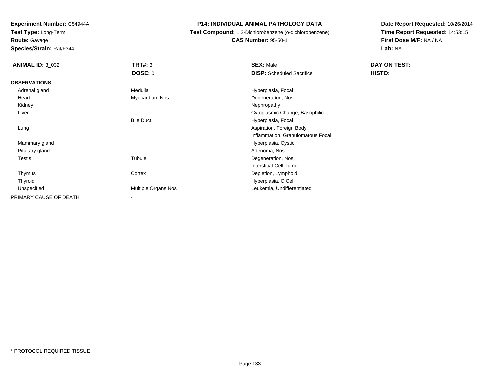**Test Type:** Long-Term

# **Route:** Gavage

**Species/Strain:** Rat/F344

### **P14: INDIVIDUAL ANIMAL PATHOLOGY DATA**

## **Test Compound:** 1,2-Dichlorobenzene (o-dichlorobenzene)**CAS Number:** 95-50-1

| <b>ANIMAL ID: 3_032</b> | TRT#: 3             | <b>SEX: Male</b>                  | DAY ON TEST: |  |
|-------------------------|---------------------|-----------------------------------|--------------|--|
|                         | <b>DOSE: 0</b>      | <b>DISP:</b> Scheduled Sacrifice  | HISTO:       |  |
| <b>OBSERVATIONS</b>     |                     |                                   |              |  |
| Adrenal gland           | Medulla             | Hyperplasia, Focal                |              |  |
| Heart                   | Myocardium Nos      | Degeneration, Nos                 |              |  |
| Kidney                  |                     | Nephropathy                       |              |  |
| Liver                   |                     | Cytoplasmic Change, Basophilic    |              |  |
|                         | <b>Bile Duct</b>    | Hyperplasia, Focal                |              |  |
| Lung                    |                     | Aspiration, Foreign Body          |              |  |
|                         |                     | Inflammation, Granulomatous Focal |              |  |
| Mammary gland           |                     | Hyperplasia, Cystic               |              |  |
| Pituitary gland         |                     | Adenoma, Nos                      |              |  |
| Testis                  | Tubule              | Degeneration, Nos                 |              |  |
|                         |                     | Interstitial-Cell Tumor           |              |  |
| Thymus                  | Cortex              | Depletion, Lymphoid               |              |  |
| Thyroid                 |                     | Hyperplasia, C Cell               |              |  |
| Unspecified             | Multiple Organs Nos | Leukemia, Undifferentiated        |              |  |
| PRIMARY CAUSE OF DEATH  | $\blacksquare$      |                                   |              |  |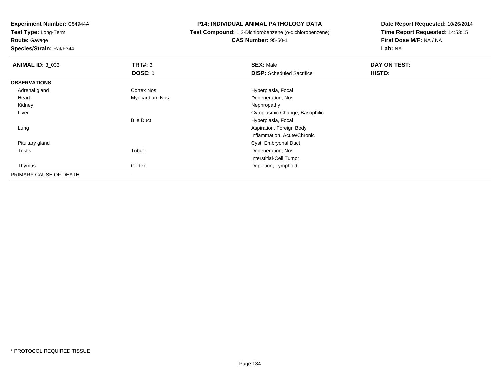**Test Type:** Long-Term

# **Route:** Gavage

**Species/Strain:** Rat/F344

### **P14: INDIVIDUAL ANIMAL PATHOLOGY DATA**

## **Test Compound:** 1,2-Dichlorobenzene (o-dichlorobenzene)**CAS Number:** 95-50-1

| <b>ANIMAL ID: 3_033</b> | TRT#: 3                  | <b>SEX: Male</b>                 | DAY ON TEST: |  |
|-------------------------|--------------------------|----------------------------------|--------------|--|
|                         | DOSE: 0                  | <b>DISP:</b> Scheduled Sacrifice | HISTO:       |  |
| <b>OBSERVATIONS</b>     |                          |                                  |              |  |
| Adrenal gland           | Cortex Nos               | Hyperplasia, Focal               |              |  |
| Heart                   | Myocardium Nos           | Degeneration, Nos                |              |  |
| Kidney                  |                          | Nephropathy                      |              |  |
| Liver                   |                          | Cytoplasmic Change, Basophilic   |              |  |
|                         | <b>Bile Duct</b>         | Hyperplasia, Focal               |              |  |
| Lung                    |                          | Aspiration, Foreign Body         |              |  |
|                         |                          | Inflammation, Acute/Chronic      |              |  |
| Pituitary gland         |                          | Cyst, Embryonal Duct             |              |  |
| <b>Testis</b>           | Tubule                   | Degeneration, Nos                |              |  |
|                         |                          | Interstitial-Cell Tumor          |              |  |
| Thymus                  | Cortex                   | Depletion, Lymphoid              |              |  |
| PRIMARY CAUSE OF DEATH  | $\overline{\phantom{a}}$ |                                  |              |  |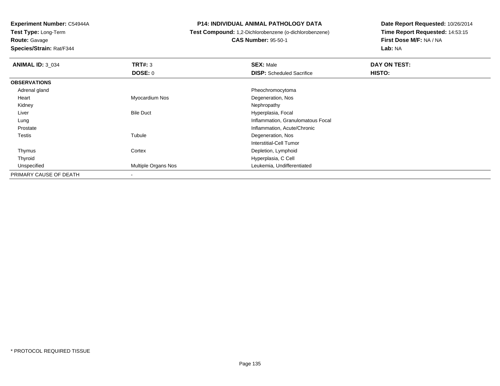**Test Type:** Long-Term

**Route:** Gavage

**Species/Strain:** Rat/F344

### **P14: INDIVIDUAL ANIMAL PATHOLOGY DATA**

**Test Compound:** 1,2-Dichlorobenzene (o-dichlorobenzene)

**CAS Number:** 95-50-1

| <b>ANIMAL ID: 3_034</b> | TRT#: 3                    | <b>SEX: Male</b>                  | DAY ON TEST: |  |
|-------------------------|----------------------------|-----------------------------------|--------------|--|
|                         | <b>DOSE: 0</b>             | <b>DISP:</b> Scheduled Sacrifice  | HISTO:       |  |
| <b>OBSERVATIONS</b>     |                            |                                   |              |  |
| Adrenal gland           |                            | Pheochromocytoma                  |              |  |
| Heart                   | Myocardium Nos             | Degeneration, Nos                 |              |  |
| Kidney                  |                            | Nephropathy                       |              |  |
| Liver                   | <b>Bile Duct</b>           | Hyperplasia, Focal                |              |  |
| Lung                    |                            | Inflammation, Granulomatous Focal |              |  |
| Prostate                |                            | Inflammation, Acute/Chronic       |              |  |
| Testis                  | Tubule                     | Degeneration, Nos                 |              |  |
|                         |                            | Interstitial-Cell Tumor           |              |  |
| Thymus                  | Cortex                     | Depletion, Lymphoid               |              |  |
| Thyroid                 |                            | Hyperplasia, C Cell               |              |  |
| Unspecified             | <b>Multiple Organs Nos</b> | Leukemia, Undifferentiated        |              |  |
| PRIMARY CAUSE OF DEATH  |                            |                                   |              |  |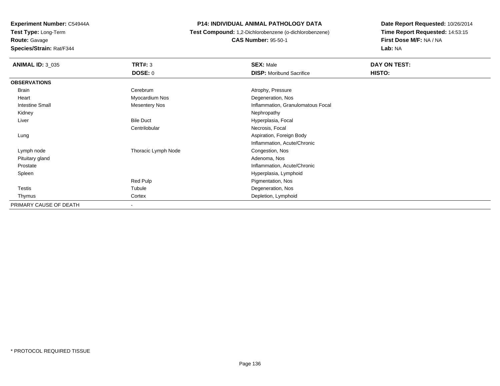**Experiment Number:** C54944A**Test Type:** Long-Term**Route:** Gavage

**Species/Strain:** Rat/F344

**P14: INDIVIDUAL ANIMAL PATHOLOGY DATA**

 **Test Compound:** 1,2-Dichlorobenzene (o-dichlorobenzene)**CAS Number:** 95-50-1

| <b>ANIMAL ID: 3_035</b> | <b>TRT#: 3</b>       | <b>SEX: Male</b>                  | DAY ON TEST: |  |
|-------------------------|----------------------|-----------------------------------|--------------|--|
|                         | <b>DOSE: 0</b>       | <b>DISP:</b> Moribund Sacrifice   | HISTO:       |  |
| <b>OBSERVATIONS</b>     |                      |                                   |              |  |
| <b>Brain</b>            | Cerebrum             | Atrophy, Pressure                 |              |  |
| Heart                   | Myocardium Nos       | Degeneration, Nos                 |              |  |
| Intestine Small         | <b>Mesentery Nos</b> | Inflammation, Granulomatous Focal |              |  |
| Kidney                  |                      | Nephropathy                       |              |  |
| Liver                   | <b>Bile Duct</b>     | Hyperplasia, Focal                |              |  |
|                         | Centrilobular        | Necrosis, Focal                   |              |  |
| Lung                    |                      | Aspiration, Foreign Body          |              |  |
|                         |                      | Inflammation, Acute/Chronic       |              |  |
| Lymph node              | Thoracic Lymph Node  | Congestion, Nos                   |              |  |
| Pituitary gland         |                      | Adenoma, Nos                      |              |  |
| Prostate                |                      | Inflammation, Acute/Chronic       |              |  |
| Spleen                  |                      | Hyperplasia, Lymphoid             |              |  |
|                         | Red Pulp             | Pigmentation, Nos                 |              |  |
| <b>Testis</b>           | Tubule               | Degeneration, Nos                 |              |  |
| Thymus                  | Cortex               | Depletion, Lymphoid               |              |  |
| PRIMARY CAUSE OF DEATH  |                      |                                   |              |  |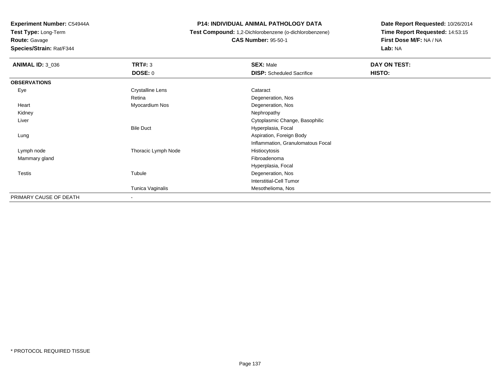**Test Type:** Long-Term

**Route:** Gavage

**Species/Strain:** Rat/F344

**P14: INDIVIDUAL ANIMAL PATHOLOGY DATA**

 **Test Compound:** 1,2-Dichlorobenzene (o-dichlorobenzene)**CAS Number:** 95-50-1

| <b>ANIMAL ID: 3_036</b> | <b>TRT#: 3</b>      | <b>SEX: Male</b>                  | DAY ON TEST: |  |
|-------------------------|---------------------|-----------------------------------|--------------|--|
|                         | <b>DOSE: 0</b>      | <b>DISP:</b> Scheduled Sacrifice  | HISTO:       |  |
| <b>OBSERVATIONS</b>     |                     |                                   |              |  |
| Eye                     | Crystalline Lens    | Cataract                          |              |  |
|                         | Retina              | Degeneration, Nos                 |              |  |
| Heart                   | Myocardium Nos      | Degeneration, Nos                 |              |  |
| Kidney                  |                     | Nephropathy                       |              |  |
| Liver                   |                     | Cytoplasmic Change, Basophilic    |              |  |
|                         | <b>Bile Duct</b>    | Hyperplasia, Focal                |              |  |
| Lung                    |                     | Aspiration, Foreign Body          |              |  |
|                         |                     | Inflammation, Granulomatous Focal |              |  |
| Lymph node              | Thoracic Lymph Node | Histiocytosis                     |              |  |
| Mammary gland           |                     | Fibroadenoma                      |              |  |
|                         |                     | Hyperplasia, Focal                |              |  |
| Testis                  | Tubule              | Degeneration, Nos                 |              |  |
|                         |                     | <b>Interstitial-Cell Tumor</b>    |              |  |
|                         | Tunica Vaginalis    | Mesothelioma, Nos                 |              |  |
| PRIMARY CAUSE OF DEATH  | -                   |                                   |              |  |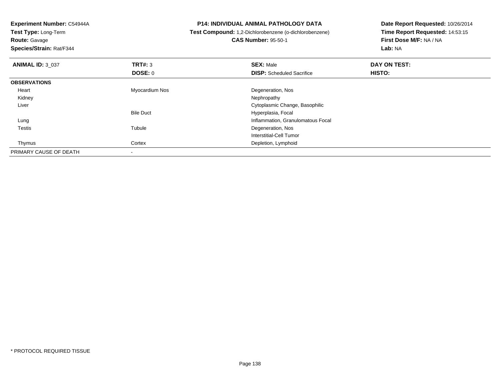**Test Type:** Long-Term**Route:** Gavage

**Species/Strain:** Rat/F344

### **P14: INDIVIDUAL ANIMAL PATHOLOGY DATA**

**Test Compound:** 1,2-Dichlorobenzene (o-dichlorobenzene)

**CAS Number:** 95-50-1

| <b>ANIMAL ID: 3 037</b> | TRT#: 3          | <b>SEX: Male</b>                  | DAY ON TEST: |  |
|-------------------------|------------------|-----------------------------------|--------------|--|
|                         | <b>DOSE: 0</b>   | <b>DISP:</b> Scheduled Sacrifice  | HISTO:       |  |
| <b>OBSERVATIONS</b>     |                  |                                   |              |  |
| Heart                   | Myocardium Nos   | Degeneration, Nos                 |              |  |
| Kidney                  |                  | Nephropathy                       |              |  |
| Liver                   |                  | Cytoplasmic Change, Basophilic    |              |  |
|                         | <b>Bile Duct</b> | Hyperplasia, Focal                |              |  |
| Lung                    |                  | Inflammation, Granulomatous Focal |              |  |
| <b>Testis</b>           | Tubule           | Degeneration, Nos                 |              |  |
|                         |                  | Interstitial-Cell Tumor           |              |  |
| Thymus                  | Cortex           | Depletion, Lymphoid               |              |  |
| PRIMARY CAUSE OF DEATH  |                  |                                   |              |  |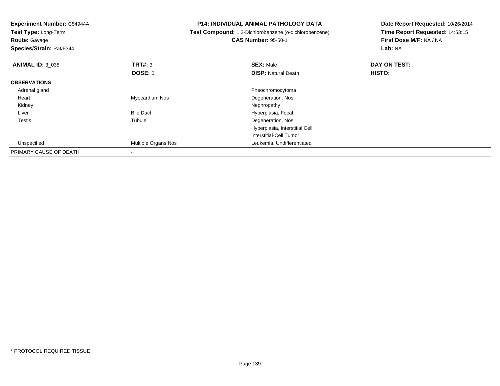**Experiment Number:** C54944A**Test Type:** Long-Term**Route:** Gavage **Species/Strain:** Rat/F344**P14: INDIVIDUAL ANIMAL PATHOLOGY DATA Test Compound:** 1,2-Dichlorobenzene (o-dichlorobenzene)**CAS Number:** 95-50-1**Date Report Requested:** 10/26/2014**Time Report Requested:** 14:53:15**First Dose M/F:** NA / NA**Lab:** NA**ANIMAL ID:** 3\_038**REX:** Male **DAY ON TEST: SEX:** Male **SEX:** Male **DOSE:** 0**DISP:** Natural Death **HISTO: OBSERVATIONS** Adrenal gland Pheochromocytoma Heart Myocardium NosDegeneration, Nos<br>Nephropathy Kidneyy the control of the control of the control of the control of the control of the control of the control of the control of the control of the control of the control of the control of the control of the control of the contro LiverBile Duct **Hyperplasia**, Focal Testiss and the contract of the contract of the contract of the contract of the contract of the contract of the contract of the contract of the contract of the contract of the contract of the contract of the contract of the cont Tubule **Degeneration**, Nos Hyperplasia, Interstitial CellInterstitial-Cell Tumor Unspecified Multiple Organs Nos Leukemia, Undifferentiated PRIMARY CAUSE OF DEATH-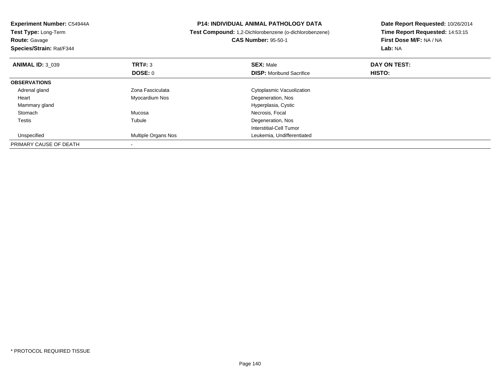| Experiment Number: C54944A<br><b>Test Type: Long-Term</b><br><b>Route: Gavage</b><br>Species/Strain: Rat/F344 |                           | <b>P14: INDIVIDUAL ANIMAL PATHOLOGY DATA</b><br>Test Compound: 1,2-Dichlorobenzene (o-dichlorobenzene)<br><b>CAS Number: 95-50-1</b> | Date Report Requested: 10/26/2014<br>Time Report Requested: 14:53:15<br>First Dose M/F: NA / NA<br>Lab: NA |  |
|---------------------------------------------------------------------------------------------------------------|---------------------------|--------------------------------------------------------------------------------------------------------------------------------------|------------------------------------------------------------------------------------------------------------|--|
| <b>ANIMAL ID: 3_039</b>                                                                                       | <b>TRT#: 3</b><br>DOSE: 0 | <b>SEX: Male</b><br><b>DISP:</b> Moribund Sacrifice                                                                                  | DAY ON TEST:<br>HISTO:                                                                                     |  |
| <b>OBSERVATIONS</b>                                                                                           |                           |                                                                                                                                      |                                                                                                            |  |
| Adrenal gland                                                                                                 | Zona Fasciculata          | Cytoplasmic Vacuolization                                                                                                            |                                                                                                            |  |
| Heart                                                                                                         | Myocardium Nos            | Degeneration, Nos                                                                                                                    |                                                                                                            |  |
| Mammary gland                                                                                                 |                           | Hyperplasia, Cystic                                                                                                                  |                                                                                                            |  |
| Stomach                                                                                                       | Mucosa                    | Necrosis, Focal                                                                                                                      |                                                                                                            |  |
| Testis                                                                                                        | Tubule                    | Degeneration, Nos                                                                                                                    |                                                                                                            |  |
|                                                                                                               |                           | Interstitial-Cell Tumor                                                                                                              |                                                                                                            |  |
| Unspecified                                                                                                   | Multiple Organs Nos       | Leukemia, Undifferentiated                                                                                                           |                                                                                                            |  |
| PRIMARY CAUSE OF DEATH                                                                                        |                           |                                                                                                                                      |                                                                                                            |  |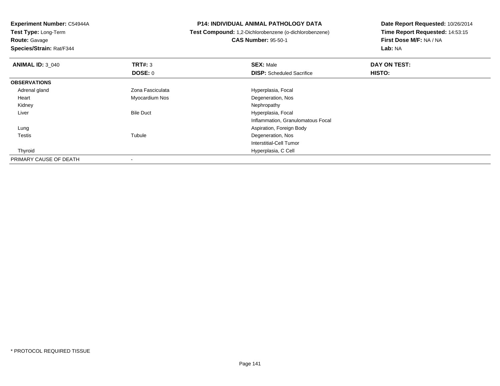**Test Type:** Long-Term**Route:** Gavage

**Species/Strain:** Rat/F344

### **P14: INDIVIDUAL ANIMAL PATHOLOGY DATA**

**Test Compound:** 1,2-Dichlorobenzene (o-dichlorobenzene)

**CAS Number:** 95-50-1

| <b>ANIMAL ID: 3 040</b> | TRT#: 3          | <b>SEX: Male</b>                  | DAY ON TEST: |  |
|-------------------------|------------------|-----------------------------------|--------------|--|
|                         | <b>DOSE: 0</b>   | <b>DISP:</b> Scheduled Sacrifice  | HISTO:       |  |
| <b>OBSERVATIONS</b>     |                  |                                   |              |  |
| Adrenal gland           | Zona Fasciculata | Hyperplasia, Focal                |              |  |
| Heart                   | Myocardium Nos   | Degeneration, Nos                 |              |  |
| Kidney                  |                  | Nephropathy                       |              |  |
| Liver                   | <b>Bile Duct</b> | Hyperplasia, Focal                |              |  |
|                         |                  | Inflammation, Granulomatous Focal |              |  |
| Lung                    |                  | Aspiration, Foreign Body          |              |  |
| <b>Testis</b>           | Tubule           | Degeneration, Nos                 |              |  |
|                         |                  | Interstitial-Cell Tumor           |              |  |
| Thyroid                 |                  | Hyperplasia, C Cell               |              |  |
| PRIMARY CAUSE OF DEATH  |                  |                                   |              |  |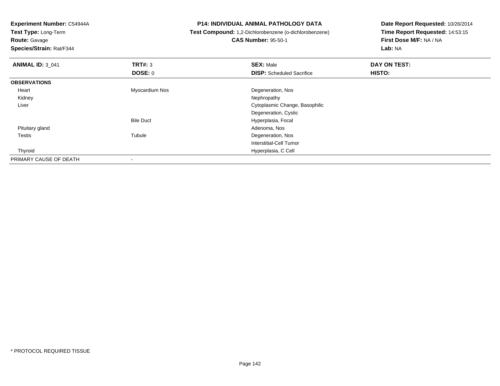**Test Type:** Long-Term**Route:** Gavage

**Species/Strain:** Rat/F344

### **P14: INDIVIDUAL ANIMAL PATHOLOGY DATA**

**Test Compound:** 1,2-Dichlorobenzene (o-dichlorobenzene)

**CAS Number:** 95-50-1

| <b>ANIMAL ID: 3_041</b> | TRT#: 3          | <b>SEX: Male</b>                 | DAY ON TEST: |  |
|-------------------------|------------------|----------------------------------|--------------|--|
|                         | <b>DOSE: 0</b>   | <b>DISP:</b> Scheduled Sacrifice | HISTO:       |  |
| <b>OBSERVATIONS</b>     |                  |                                  |              |  |
| Heart                   | Myocardium Nos   | Degeneration, Nos                |              |  |
| Kidney                  |                  | Nephropathy                      |              |  |
| Liver                   |                  | Cytoplasmic Change, Basophilic   |              |  |
|                         |                  | Degeneration, Cystic             |              |  |
|                         | <b>Bile Duct</b> | Hyperplasia, Focal               |              |  |
| Pituitary gland         |                  | Adenoma, Nos                     |              |  |
| <b>Testis</b>           | Tubule           | Degeneration, Nos                |              |  |
|                         |                  | Interstitial-Cell Tumor          |              |  |
| Thyroid                 |                  | Hyperplasia, C Cell              |              |  |
| PRIMARY CAUSE OF DEATH  |                  |                                  |              |  |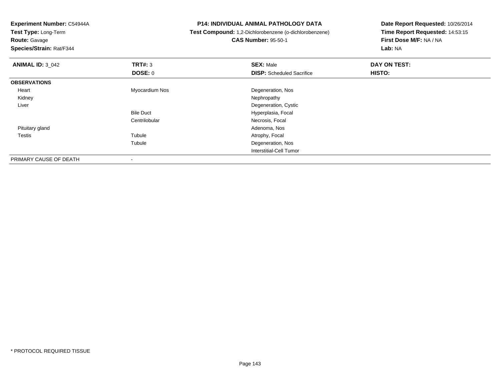**Experiment Number:** C54944A**Test Type:** Long-Term**Route:** Gavage **Species/Strain:** Rat/F344**P14: INDIVIDUAL ANIMAL PATHOLOGY DATA Test Compound:** 1,2-Dichlorobenzene (o-dichlorobenzene)**CAS Number:** 95-50-1**Date Report Requested:** 10/26/2014**Time Report Requested:** 14:53:15**First Dose M/F:** NA / NA**Lab:** NA**ANIMAL ID:** 3\_042 **TRT#:** <sup>3</sup> **SEX:** Male **DAY ON TEST: DOSE:** 0**DISP:** Scheduled Sacrifice **HISTO: OBSERVATIONS** Heart Myocardium Nos Degeneration, Nos Kidneyy the control of the control of the control of the control of the control of the control of the control of the control of the control of the control of the control of the control of the control of the control of the contro Liver Degeneration, CysticBile Duct Hyperplasia, Focal **Centrilobular**  Necrosis, Focal Pituitary glandd and the control of the control of the control of the control of the control of the control of the control of the control of the control of the control of the control of the control of the control of the control of the co Testiss and the contract of the contract of the contract of the contract of the contract of the contract of the contract of the contract of the contract of the contract of the contract of the contract of the contract of the cont Tubule **Atrophy, Focal** Tubule Degeneration, Nos Interstitial-Cell Tumor

PRIMARY CAUSE OF DEATH-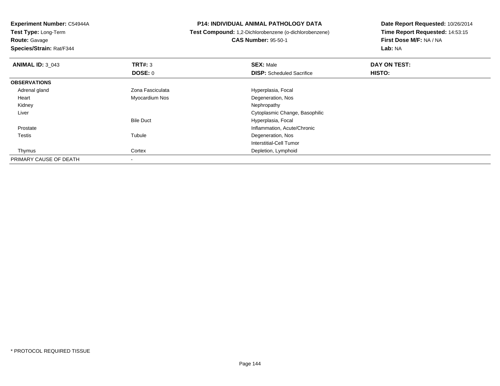**Test Type:** Long-Term**Route:** Gavage

**Species/Strain:** Rat/F344

**P14: INDIVIDUAL ANIMAL PATHOLOGY DATA**

 **Test Compound:** 1,2-Dichlorobenzene (o-dichlorobenzene)**CAS Number:** 95-50-1

| <b>ANIMAL ID: 3 043</b> | TRT#: 3          | <b>SEX: Male</b>                 | DAY ON TEST: |  |
|-------------------------|------------------|----------------------------------|--------------|--|
|                         | <b>DOSE: 0</b>   | <b>DISP:</b> Scheduled Sacrifice | HISTO:       |  |
| <b>OBSERVATIONS</b>     |                  |                                  |              |  |
| Adrenal gland           | Zona Fasciculata | Hyperplasia, Focal               |              |  |
| Heart                   | Myocardium Nos   | Degeneration, Nos                |              |  |
| Kidney                  |                  | Nephropathy                      |              |  |
| Liver                   |                  | Cytoplasmic Change, Basophilic   |              |  |
|                         | <b>Bile Duct</b> | Hyperplasia, Focal               |              |  |
| Prostate                |                  | Inflammation, Acute/Chronic      |              |  |
| <b>Testis</b>           | Tubule           | Degeneration, Nos                |              |  |
|                         |                  | Interstitial-Cell Tumor          |              |  |
| Thymus                  | Cortex           | Depletion, Lymphoid              |              |  |
| PRIMARY CAUSE OF DEATH  |                  |                                  |              |  |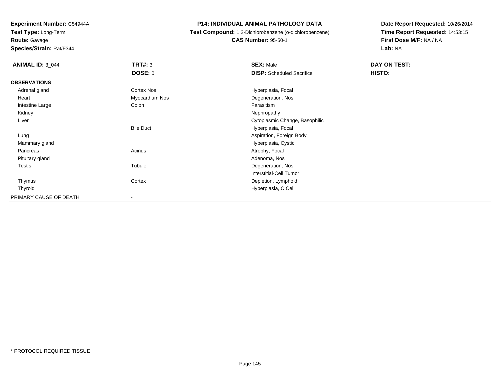**Test Type:** Long-Term

**Route:** Gavage

**Species/Strain:** Rat/F344

### **P14: INDIVIDUAL ANIMAL PATHOLOGY DATA**

**Test Compound:** 1,2-Dichlorobenzene (o-dichlorobenzene)

**CAS Number:** 95-50-1

| <b>ANIMAL ID: 3_044</b> | <b>TRT#: 3</b>           | <b>SEX: Male</b>                 | DAY ON TEST: |  |
|-------------------------|--------------------------|----------------------------------|--------------|--|
|                         | DOSE: 0                  | <b>DISP:</b> Scheduled Sacrifice | HISTO:       |  |
| <b>OBSERVATIONS</b>     |                          |                                  |              |  |
| Adrenal gland           | Cortex Nos               | Hyperplasia, Focal               |              |  |
| Heart                   | Myocardium Nos           | Degeneration, Nos                |              |  |
| Intestine Large         | Colon                    | Parasitism                       |              |  |
| Kidney                  |                          | Nephropathy                      |              |  |
| Liver                   |                          | Cytoplasmic Change, Basophilic   |              |  |
|                         | <b>Bile Duct</b>         | Hyperplasia, Focal               |              |  |
| Lung                    |                          | Aspiration, Foreign Body         |              |  |
| Mammary gland           |                          | Hyperplasia, Cystic              |              |  |
| Pancreas                | Acinus                   | Atrophy, Focal                   |              |  |
| Pituitary gland         |                          | Adenoma, Nos                     |              |  |
| Testis                  | Tubule                   | Degeneration, Nos                |              |  |
|                         |                          | <b>Interstitial-Cell Tumor</b>   |              |  |
| Thymus                  | Cortex                   | Depletion, Lymphoid              |              |  |
| Thyroid                 |                          | Hyperplasia, C Cell              |              |  |
| PRIMARY CAUSE OF DEATH  | $\overline{\phantom{a}}$ |                                  |              |  |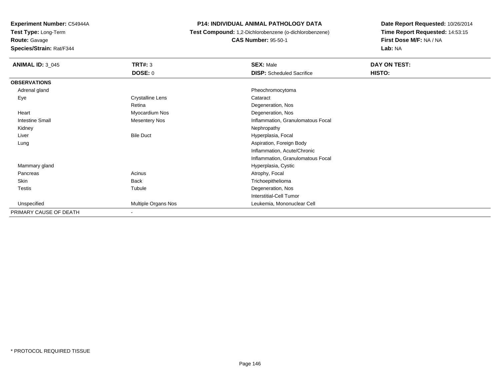**Test Type:** Long-Term

## **Route:** Gavage

**Species/Strain:** Rat/F344

### **P14: INDIVIDUAL ANIMAL PATHOLOGY DATA**

**Test Compound:** 1,2-Dichlorobenzene (o-dichlorobenzene)

**CAS Number:** 95-50-1

| <b>ANIMAL ID: 3_045</b> | <b>TRT#: 3</b>           | <b>SEX: Male</b>                  | DAY ON TEST: |  |
|-------------------------|--------------------------|-----------------------------------|--------------|--|
|                         | DOSE: 0                  | <b>DISP:</b> Scheduled Sacrifice  | HISTO:       |  |
| <b>OBSERVATIONS</b>     |                          |                                   |              |  |
| Adrenal gland           |                          | Pheochromocytoma                  |              |  |
| Eye                     | Crystalline Lens         | Cataract                          |              |  |
|                         | Retina                   | Degeneration, Nos                 |              |  |
| Heart                   | Myocardium Nos           | Degeneration, Nos                 |              |  |
| Intestine Small         | <b>Mesentery Nos</b>     | Inflammation, Granulomatous Focal |              |  |
| Kidney                  |                          | Nephropathy                       |              |  |
| Liver                   | <b>Bile Duct</b>         | Hyperplasia, Focal                |              |  |
| Lung                    |                          | Aspiration, Foreign Body          |              |  |
|                         |                          | Inflammation, Acute/Chronic       |              |  |
|                         |                          | Inflammation, Granulomatous Focal |              |  |
| Mammary gland           |                          | Hyperplasia, Cystic               |              |  |
| Pancreas                | Acinus                   | Atrophy, Focal                    |              |  |
| Skin                    | <b>Back</b>              | Trichoepithelioma                 |              |  |
| <b>Testis</b>           | Tubule                   | Degeneration, Nos                 |              |  |
|                         |                          | <b>Interstitial-Cell Tumor</b>    |              |  |
| Unspecified             | Multiple Organs Nos      | Leukemia, Mononuclear Cell        |              |  |
| PRIMARY CAUSE OF DEATH  | $\overline{\phantom{a}}$ |                                   |              |  |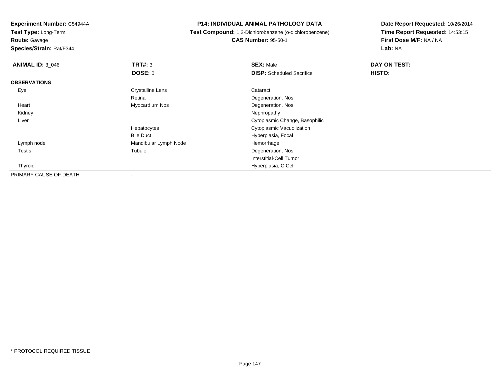**Test Type:** Long-Term

**Route:** Gavage

**Species/Strain:** Rat/F344

**P14: INDIVIDUAL ANIMAL PATHOLOGY DATA**

 **Test Compound:** 1,2-Dichlorobenzene (o-dichlorobenzene)**CAS Number:** 95-50-1

| <b>ANIMAL ID: 3_046</b> | TRT#: 3                 | <b>SEX: Male</b>                 | DAY ON TEST: |  |
|-------------------------|-------------------------|----------------------------------|--------------|--|
|                         | <b>DOSE: 0</b>          | <b>DISP:</b> Scheduled Sacrifice | HISTO:       |  |
| <b>OBSERVATIONS</b>     |                         |                                  |              |  |
| Eye                     | <b>Crystalline Lens</b> | Cataract                         |              |  |
|                         | Retina                  | Degeneration, Nos                |              |  |
| Heart                   | Myocardium Nos          | Degeneration, Nos                |              |  |
| Kidney                  |                         | Nephropathy                      |              |  |
| Liver                   |                         | Cytoplasmic Change, Basophilic   |              |  |
|                         | Hepatocytes             | Cytoplasmic Vacuolization        |              |  |
|                         | <b>Bile Duct</b>        | Hyperplasia, Focal               |              |  |
| Lymph node              | Mandibular Lymph Node   | Hemorrhage                       |              |  |
| <b>Testis</b>           | Tubule                  | Degeneration, Nos                |              |  |
|                         |                         | Interstitial-Cell Tumor          |              |  |
| Thyroid                 |                         | Hyperplasia, C Cell              |              |  |
| PRIMARY CAUSE OF DEATH  |                         |                                  |              |  |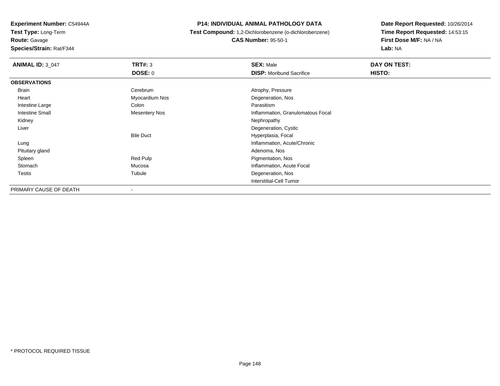**Experiment Number:** C54944A**Test Type:** Long-Term

**Route:** Gavage

**Species/Strain:** Rat/F344

### **P14: INDIVIDUAL ANIMAL PATHOLOGY DATA**

 **Test Compound:** 1,2-Dichlorobenzene (o-dichlorobenzene)**CAS Number:** 95-50-1

| <b>ANIMAL ID: 3_047</b> | TRT#: 3          | <b>SEX: Male</b>                  | DAY ON TEST: |
|-------------------------|------------------|-----------------------------------|--------------|
|                         | <b>DOSE: 0</b>   | <b>DISP:</b> Moribund Sacrifice   | HISTO:       |
| <b>OBSERVATIONS</b>     |                  |                                   |              |
| Brain                   | Cerebrum         | Atrophy, Pressure                 |              |
| Heart                   | Myocardium Nos   | Degeneration, Nos                 |              |
| Intestine Large         | Colon            | Parasitism                        |              |
| <b>Intestine Small</b>  | Mesentery Nos    | Inflammation, Granulomatous Focal |              |
| Kidney                  |                  | Nephropathy                       |              |
| Liver                   |                  | Degeneration, Cystic              |              |
|                         | <b>Bile Duct</b> | Hyperplasia, Focal                |              |
| Lung                    |                  | Inflammation, Acute/Chronic       |              |
| Pituitary gland         |                  | Adenoma, Nos                      |              |
| Spleen                  | Red Pulp         | Pigmentation, Nos                 |              |
| Stomach                 | Mucosa           | Inflammation, Acute Focal         |              |
| Testis                  | Tubule           | Degeneration, Nos                 |              |
|                         |                  | <b>Interstitial-Cell Tumor</b>    |              |
| PRIMARY CAUSE OF DEATH  |                  |                                   |              |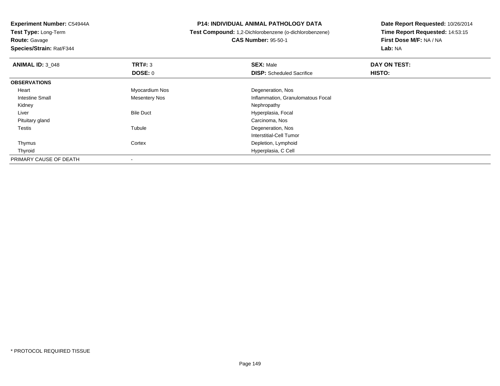**Experiment Number:** C54944A**Test Type:** Long-Term

**Route:** Gavage

**Species/Strain:** Rat/F344

### **P14: INDIVIDUAL ANIMAL PATHOLOGY DATA**

# **Test Compound:** 1,2-Dichlorobenzene (o-dichlorobenzene)

**CAS Number:** 95-50-1

| <b>ANIMAL ID: 3 048</b> | TRT#: 3              | <b>SEX: Male</b>                  | DAY ON TEST: |  |
|-------------------------|----------------------|-----------------------------------|--------------|--|
|                         | <b>DOSE: 0</b>       | <b>DISP:</b> Scheduled Sacrifice  | HISTO:       |  |
| <b>OBSERVATIONS</b>     |                      |                                   |              |  |
| Heart                   | Myocardium Nos       | Degeneration, Nos                 |              |  |
| Intestine Small         | <b>Mesentery Nos</b> | Inflammation, Granulomatous Focal |              |  |
| Kidney                  |                      | Nephropathy                       |              |  |
| Liver                   | <b>Bile Duct</b>     | Hyperplasia, Focal                |              |  |
| Pituitary gland         |                      | Carcinoma, Nos                    |              |  |
| <b>Testis</b>           | Tubule               | Degeneration, Nos                 |              |  |
|                         |                      | Interstitial-Cell Tumor           |              |  |
| Thymus                  | Cortex               | Depletion, Lymphoid               |              |  |
| Thyroid                 |                      | Hyperplasia, C Cell               |              |  |
| PRIMARY CAUSE OF DEATH  |                      |                                   |              |  |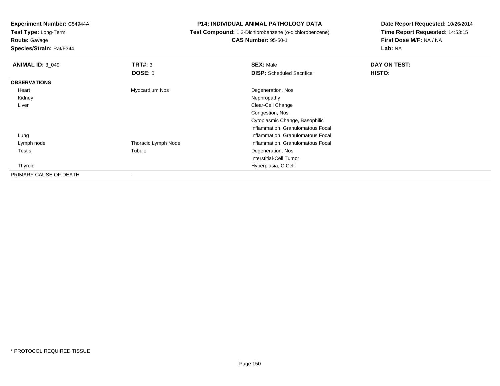**Test Type:** Long-Term

**Route:** Gavage

**Species/Strain:** Rat/F344

### **P14: INDIVIDUAL ANIMAL PATHOLOGY DATA**

**Test Compound:** 1,2-Dichlorobenzene (o-dichlorobenzene)

**CAS Number:** 95-50-1

| <b>ANIMAL ID: 3 049</b> | TRT#: 3<br><b>DOSE: 0</b> | <b>SEX: Male</b><br><b>DISP:</b> Scheduled Sacrifice | DAY ON TEST:<br>HISTO: |
|-------------------------|---------------------------|------------------------------------------------------|------------------------|
|                         |                           |                                                      |                        |
| <b>OBSERVATIONS</b>     |                           |                                                      |                        |
| Heart                   | Myocardium Nos            | Degeneration, Nos                                    |                        |
| Kidney                  |                           | Nephropathy                                          |                        |
| Liver                   |                           | Clear-Cell Change                                    |                        |
|                         |                           | Congestion, Nos                                      |                        |
|                         |                           | Cytoplasmic Change, Basophilic                       |                        |
|                         |                           | Inflammation, Granulomatous Focal                    |                        |
| Lung                    |                           | Inflammation, Granulomatous Focal                    |                        |
| Lymph node              | Thoracic Lymph Node       | Inflammation, Granulomatous Focal                    |                        |
| Testis                  | Tubule                    | Degeneration, Nos                                    |                        |
|                         |                           | Interstitial-Cell Tumor                              |                        |
| Thyroid                 |                           | Hyperplasia, C Cell                                  |                        |
| PRIMARY CAUSE OF DEATH  | ۰                         |                                                      |                        |